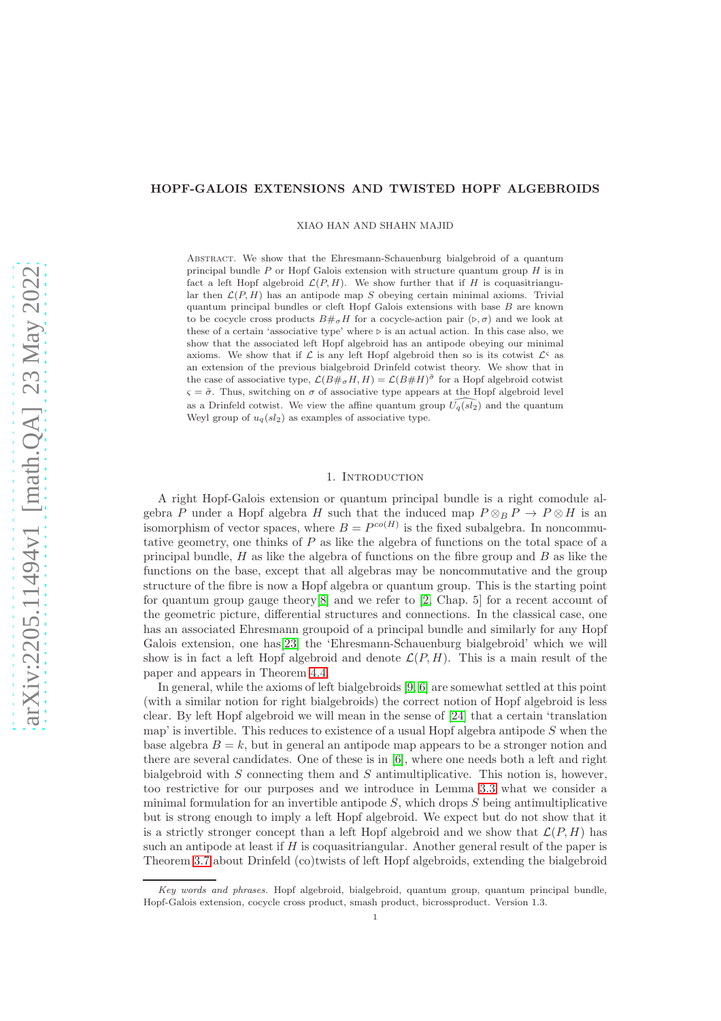## HOPF-GALOIS EXTENSIONS AND TWISTED HOPF ALGEBROIDS

XIAO HAN AND SHAHN MAJID

Abstract. We show that the Ehresmann-Schauenburg bialgebroid of a quantum principal bundle  $P$  or Hopf Galois extension with structure quantum group  $H$  is in fact a left Hopf algebroid  $\mathcal{L}(P, H)$ . We show further that if H is coquasitriangular then  $\mathcal{L}(P, H)$  has an antipode map S obeying certain minimal axioms. Trivial quantum principal bundles or cleft Hopf Galois extensions with base  $B$  are known to be cocycle cross products  $B#_{\sigma}H$  for a cocycle-action pair  $(\triangleright, \sigma)$  and we look at these of a certain 'associative type' where  $\triangleright$  is an actual action. In this case also, we show that the associated left Hopf algebroid has an antipode obeying our minimal axioms. We show that if  $\mathcal L$  is any left Hopf algebroid then so is its cotwist  $\mathcal L^S$  as an extension of the previous bialgebroid Drinfeld cotwist theory. We show that in the case of associative type,  $\mathcal{L}(B \#_{\sigma} H, H) = \mathcal{L}(B \# H)^{\tilde{\sigma}}$  for a Hopf algebroid cotwist  $\varsigma = \tilde{\sigma}$ . Thus, switching on  $\sigma$  of associative type appears at the Hopf algebroid level as a Drinfeld cotwist. We view the affine quantum group  $\widehat{U_q(sl_2)}$  and the quantum Weyl group of  $u_q(sl_2)$  as examples of associative type.

## 1. INTRODUCTION

A right Hopf-Galois extension or quantum principal bundle is a right comodule algebra P under a Hopf algebra H such that the induced map  $P \otimes_B P \to P \otimes H$  is an isomorphism of vector spaces, where  $B = P^{co(H)}$  is the fixed subalgebra. In noncommutative geometry, one thinks of P as like the algebra of functions on the total space of a principal bundle,  $H$  as like the algebra of functions on the fibre group and  $B$  as like the functions on the base, except that all algebras may be noncommutative and the group structure of the fibre is now a Hopf algebra or quantum group. This is the starting point for quantum group gauge theory[\[8\]](#page-26-0) and we refer to [\[2,](#page-25-0) Chap. 5] for a recent account of the geometric picture, differential structures and connections. In the classical case, one has an associated Ehresmann groupoid of a principal bundle and similarly for any Hopf Galois extension, one has[\[23\]](#page-26-1) the 'Ehresmann-Schauenburg bialgebroid' which we will show is in fact a left Hopf algebroid and denote  $\mathcal{L}(P, H)$ . This is a main result of the paper and appears in Theorem [4.4.](#page-20-0)

In general, while the axioms of left bialgebroids [\[9,](#page-26-2) [6\]](#page-25-1) are somewhat settled at this point (with a similar notion for right bialgebroids) the correct notion of Hopf algebroid is less clear. By left Hopf algebroid we will mean in the sense of [\[24\]](#page-26-3) that a certain 'translation map' is invertible. This reduces to existence of a usual Hopf algebra antipode  $S$  when the base algebra  $B = k$ , but in general an antipode map appears to be a stronger notion and there are several candidates. One of these is in  $[6]$ , where one needs both a left and right bialgebroid with  $S$  connecting them and  $S$  antimultiplicative. This notion is, however, too restrictive for our purposes and we introduce in Lemma [3.3](#page-7-0) what we consider a minimal formulation for an invertible antipode  $S$ , which drops  $S$  being antimultiplicative but is strong enough to imply a left Hopf algebroid. We expect but do not show that it is a strictly stronger concept than a left Hopf algebroid and we show that  $\mathcal{L}(P, H)$  has such an antipode at least if  $H$  is coquasitriangular. Another general result of the paper is Theorem [3.7](#page-10-0) about Drinfeld (co)twists of left Hopf algebroids, extending the bialgebroid

Key words and phrases. Hopf algebroid, bialgebroid, quantum group, quantum principal bundle, Hopf-Galois extension, cocycle cross product, smash product, bicrossproduct. Version 1.3.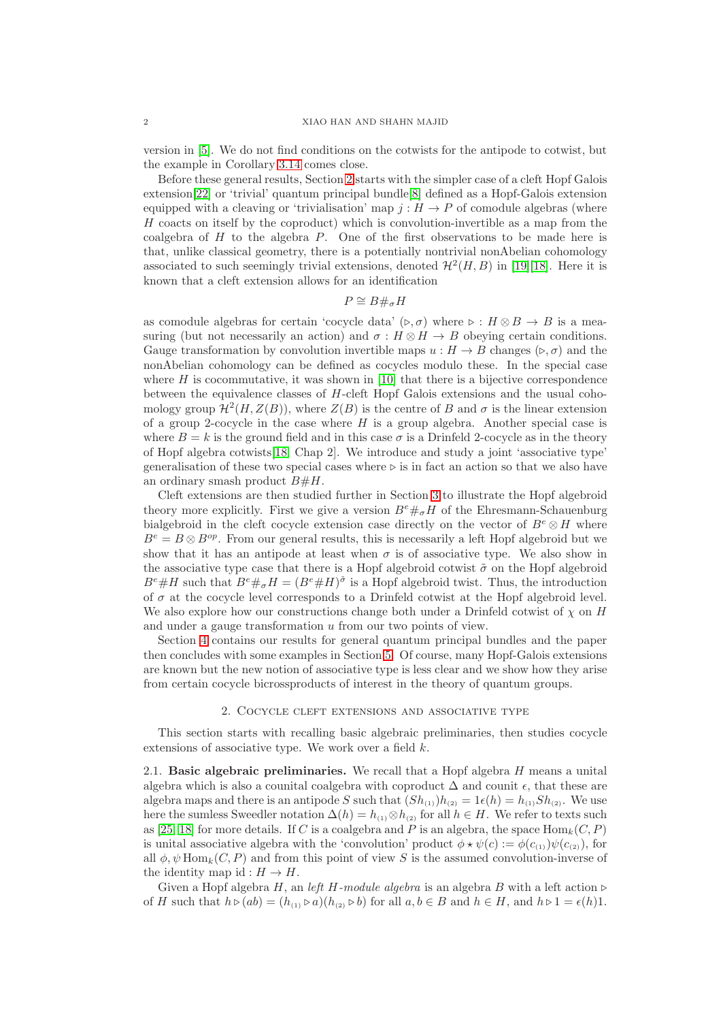version in [\[5\]](#page-25-2). We do not find conditions on the cotwists for the antipode to cotwist, but the example in Corollary [3.14](#page-17-0) comes close.

Before these general results, Section [2](#page-1-0) starts with the simpler case of a cleft Hopf Galois extension[\[22\]](#page-26-4) or 'trivial' quantum principal bundle[\[8\]](#page-26-0) defined as a Hopf-Galois extension equipped with a cleaving or 'trivialisation' map  $j : H \to P$  of comodule algebras (where  $H$  coacts on itself by the coproduct) which is convolution-invertible as a map from the coalgebra of  $H$  to the algebra  $P$ . One of the first observations to be made here is that, unlike classical geometry, there is a potentially nontrivial nonAbelian cohomology associated to such seemingly trivial extensions, denoted  $\mathcal{H}^2(H, B)$  in [\[19\]](#page-26-5)[\[18\]](#page-26-6). Here it is known that a cleft extension allows for an identification

# $P \cong B \#_{\sigma} H$

as comodule algebras for certain 'cocycle data' (⊳,  $\sigma$ ) where  $\triangleright : H \otimes B \to B$  is a measuring (but not necessarily an action) and  $\sigma : H \otimes H \to B$  obeying certain conditions. Gauge transformation by convolution invertible maps  $u : H \to B$  changes ( $\triangleright, \sigma$ ) and the nonAbelian cohomology can be defined as cocycles modulo these. In the special case where  $H$  is cocommutative, it was shown in [\[10\]](#page-26-7) that there is a bijective correspondence between the equivalence classes of H-cleft Hopf Galois extensions and the usual cohomology group  $\mathcal{H}^2(H, Z(B))$ , where  $Z(B)$  is the centre of B and  $\sigma$  is the linear extension of a group 2-cocycle in the case where  $H$  is a group algebra. Another special case is where  $B = k$  is the ground field and in this case  $\sigma$  is a Drinfeld 2-cocycle as in the theory of Hopf algebra cotwists  $[18, Chap 2]$  $[18, Chap 2]$ . We introduce and study a joint 'associative type' generalisation of these two special cases where  $\triangleright$  is in fact an action so that we also have an ordinary smash product  $B\#H$ .

Cleft extensions are then studied further in Section [3](#page-6-0) to illustrate the Hopf algebroid theory more explicitly. First we give a version  $B^e \#_\sigma H$  of the Ehresmann-Schauenburg bialgebroid in the cleft cocycle extension case directly on the vector of  $B^e \otimes H$  where  $B^e = B \otimes B^{op}$ . From our general results, this is necessarily a left Hopf algebroid but we show that it has an antipode at least when  $\sigma$  is of associative type. We also show in the associative type case that there is a Hopf algebroid cotwist  $\tilde{\sigma}$  on the Hopf algebroid  $B^e \# H$  such that  $B^e \#_\sigma H = (B^e \# H)^\sigma$  is a Hopf algebroid twist. Thus, the introduction of  $\sigma$  at the cocycle level corresponds to a Drinfeld cotwist at the Hopf algebroid level. We also explore how our constructions change both under a Drinfeld cotwist of  $\chi$  on H and under a gauge transformation u from our two points of view.

Section [4](#page-18-0) contains our results for general quantum principal bundles and the paper then concludes with some examples in Section [5.](#page-23-0) Of course, many Hopf-Galois extensions are known but the new notion of associative type is less clear and we show how they arise from certain cocycle bicrossproducts of interest in the theory of quantum groups.

### 2. Cocycle cleft extensions and associative type

<span id="page-1-0"></span>This section starts with recalling basic algebraic preliminaries, then studies cocycle extensions of associative type. We work over a field k.

2.1. Basic algebraic preliminaries. We recall that a Hopf algebra  $H$  means a unital algebra which is also a counital coalgebra with coproduct  $\Delta$  and counit  $\epsilon$ , that these are algebra maps and there is an antipode S such that  $(Sh_{(1)})h_{(2)} = 1\epsilon(h) = h_{(1)}Sh_{(2)}$ . We use here the sumless Sweedler notation  $\Delta(h) = h_{(1)} \otimes h_{(2)}$  for all  $h \in H$ . We refer to texts such as [\[25,](#page-26-8) [18\]](#page-26-6) for more details. If C is a coalgebra and P is an algebra, the space  $\text{Hom}_k(C, P)$ is unital associative algebra with the 'convolution' product  $\phi \star \psi(c) := \phi(c_{(1)}) \psi(c_{(2)})$ , for all  $\phi, \psi$  Hom<sub>k</sub> $(C, P)$  and from this point of view S is the assumed convolution-inverse of the identity map id :  $H \to H$ .

Given a Hopf algebra H, an left H-module algebra is an algebra B with a left action ⊳ of H such that  $h \triangleright (ab) = (h_{(1)} \triangleright a)(h_{(2)} \triangleright b)$  for all  $a, b \in B$  and  $h \in H$ , and  $h \triangleright 1 = \epsilon(h)1$ .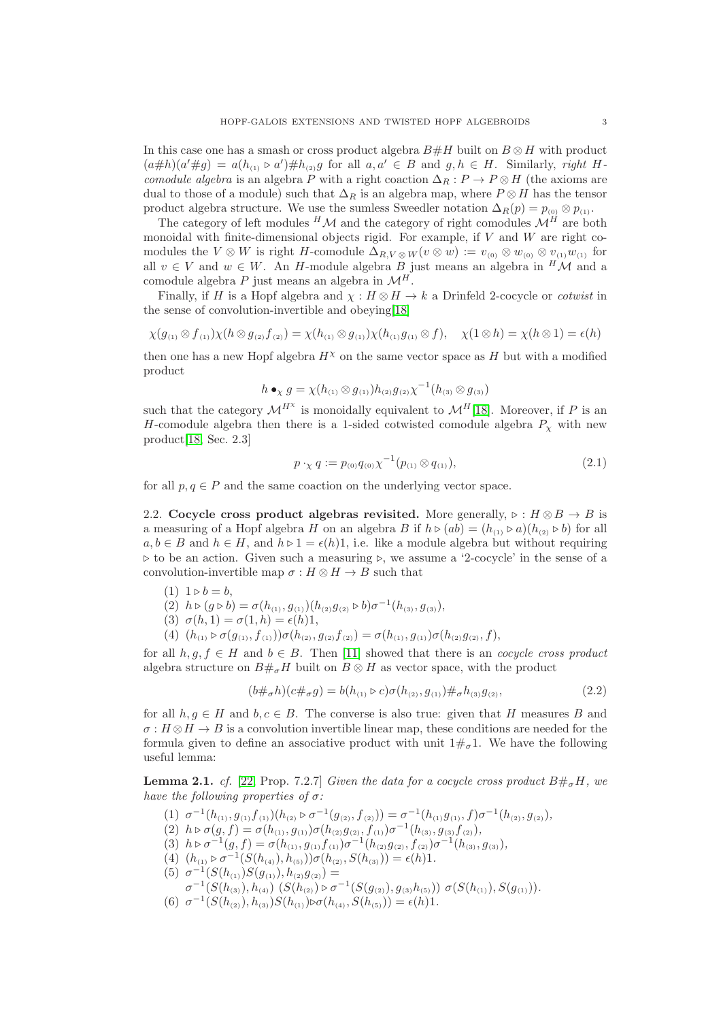In this case one has a smash or cross product algebra  $B#H$  built on  $B \otimes H$  with product  $(a \# h)(a' \# g) = a(h_{(1)} \triangleright a') \# h_{(2)} g$  for all  $a, a' \in B$  and  $g, h \in H$ . Similarly, right Hcomodule algebra is an algebra P with a right coaction  $\Delta_R : P \to P \otimes H$  (the axioms are dual to those of a module) such that  $\Delta_R$  is an algebra map, where  $P \otimes H$  has the tensor product algebra structure. We use the sumless Sweedler notation  $\Delta_R(p) = p_{(0)} \otimes p_{(1)}$ .

The category of left modules  $^H\mathcal{M}$  and the category of right comodules  $\mathcal{M}^H$  are both monoidal with finite-dimensional objects rigid. For example, if  $V$  and  $W$  are right comodules the  $V \otimes W$  is right H-comodule  $\Delta_{R,V \otimes W}(v \otimes w) := v_{(0)} \otimes w_{(0)} \otimes v_{(1)}w_{(1)}$  for all  $v \in V$  and  $w \in W$ . An H-module algebra B just means an algebra in  $^H\mathcal{M}$  and a comodule algebra P just means an algebra in  $\mathcal{M}^H$ .

Finally, if H is a Hopf algebra and  $\chi : H \otimes H \to k$  a Drinfeld 2-cocycle or *cotwist* in the sense of convolution-invertible and obeying[\[18\]](#page-26-6)

$$
\chi(g_{(1)} \otimes f_{(1)})\chi(h \otimes g_{(2)}f_{(2)}) = \chi(h_{(1)} \otimes g_{(1)})\chi(h_{(1)}g_{(1)} \otimes f), \quad \chi(1 \otimes h) = \chi(h \otimes 1) = \epsilon(h)
$$

then one has a new Hopf algebra  $H^{\chi}$  on the same vector space as H but with a modified product

$$
h \bullet_{\chi} g = \chi(h_{(1)} \otimes g_{(1)}) h_{(2)} g_{(2)} \chi^{-1}(h_{(3)} \otimes g_{(3)})
$$

such that the category  $\mathcal{M}^{H^{\chi}}$  is monoidally equivalent to  $\mathcal{M}^{H}[18]$  $\mathcal{M}^{H}[18]$ . Moreover, if P is an H-comodule algebra then there is a 1-sided cotwisted comodule algebra  $P<sub>x</sub>$  with new product[\[18,](#page-26-6) Sec. 2.3]

<span id="page-2-2"></span>
$$
p \cdot_{\chi} q := p_{(0)} q_{(0)} \chi^{-1}(p_{(1)} \otimes q_{(1)}), \tag{2.1}
$$

for all  $p, q \in P$  and the same coaction on the underlying vector space.

<span id="page-2-1"></span>2.2. Cocycle cross product algebras revisited. More generally,  $\triangleright : H \otimes B \to B$  is a measuring of a Hopf algebra H on an algebra B if  $h \triangleright (ab) = (h_{(1)} \triangleright a)(h_{(2)} \triangleright b)$  for all  $a, b \in B$  and  $h \in H$ , and  $h \triangleright 1 = \epsilon(h)1$ , i.e. like a module algebra but without requiring ⊲ to be an action. Given such a measuring ⊲, we assume a '2-cocycle' in the sense of a convolution-invertible map  $\sigma : H \otimes H \to B$  such that

$$
(1) 1 \triangleright b = b,
$$

(2)  $h \triangleright (g \triangleright b) = \sigma(h_{(1)}, g_{(1)}) (h_{(2)}g_{(2)} \triangleright b)\sigma^{-1}(h_{(3)}, g_{(3)}),$ 

$$
(3) \ \sigma(h,1) = \sigma(1,h) = \epsilon(h)1,
$$

(4)  $(h_{(1)} \triangleright \sigma(g_{(1)}, f_{(1)}))\sigma(h_{(2)}, g_{(2)}f_{(2)}) = \sigma(h_{(1)}, g_{(1)})\sigma(h_{(2)}g_{(2)}, f),$ 

for all  $h, g, f \in H$  and  $b \in B$ . Then [\[11\]](#page-26-9) showed that there is an *cocycle cross product* algebra structure on  $B#_{\sigma}H$  built on  $B \otimes H$  as vector space, with the product

$$
(b \#_{\sigma} h)(c \#_{\sigma} g) = b(h_{(1)} \triangleright c)\sigma(h_{(2)}, g_{(1)}) \#_{\sigma} h_{(3)} g_{(2)},
$$
\n(2.2)

for all  $h, g \in H$  and  $b, c \in B$ . The converse is also true: given that H measures B and  $\sigma: H \otimes H \to B$  is a convolution invertible linear map, these conditions are needed for the formula given to define an associative product with unit  $1\#_{\sigma}1$ . We have the following useful lemma:

<span id="page-2-0"></span>**Lemma 2.1.** cf. [\[22,](#page-26-4) Prop. 7.2.7] Given the data for a cocycle cross product  $B\#_{\sigma}H$ , we have the following properties of  $\sigma$ :

- (1)  $\sigma^{-1}(h_{(1)}, g_{(1)}f_{(1)})(h_{(2)} \triangleright \sigma^{-1}(g_{(2)}, f_{(2)})) = \sigma^{-1}(h_{(1)}g_{(1)}, f)\sigma^{-1}(h_{(2)}, g_{(2)}),$ (2)  $h \triangleright \sigma(g, f) = \sigma(h_{(1)}, g_{(1)}) \sigma(h_{(2)}g_{(2)}, f_{(1)}) \sigma^{-1}(h_{(3)}, g_{(3)}f_{(2)}),$ (3)  $h \triangleright \sigma^{-1}(g, f) = \sigma(h_{(1)}, g_{(1)}f_{(1)}) \sigma^{-1}(h_{(2)}g_{(2)}, f_{(2)}) \sigma^{-1}(h_{(3)}, g_{(3)}),$
- (4)  $(h_{(1)} \triangleright \sigma^{-1}(S(h_{(4)}), h_{(5)}))\sigma(h_{(2)}, S(h_{(3)})) = \epsilon(h)1.$
- (5)  $\sigma^{-1}(S(h_{(1)})S(g_{(1)}), h_{(2)}g_{(2)}) =$
- $\sigma^{-1}(S(h_{(3)}), h_{(4)})$   $(S(h_{(2)}) \triangleright \sigma^{-1}(S(g_{(2)}), g_{(3)}h_{(5)})$   $\sigma(S(h_{(1)}), S(g_{(1)})).$ (6)  $\sigma^{-1}(S(h_{(2)}), h_{(3)})S(h_{(1)})\triangleright \sigma(h_{(4)}, S(h_{(5)})) = \epsilon(h)1.$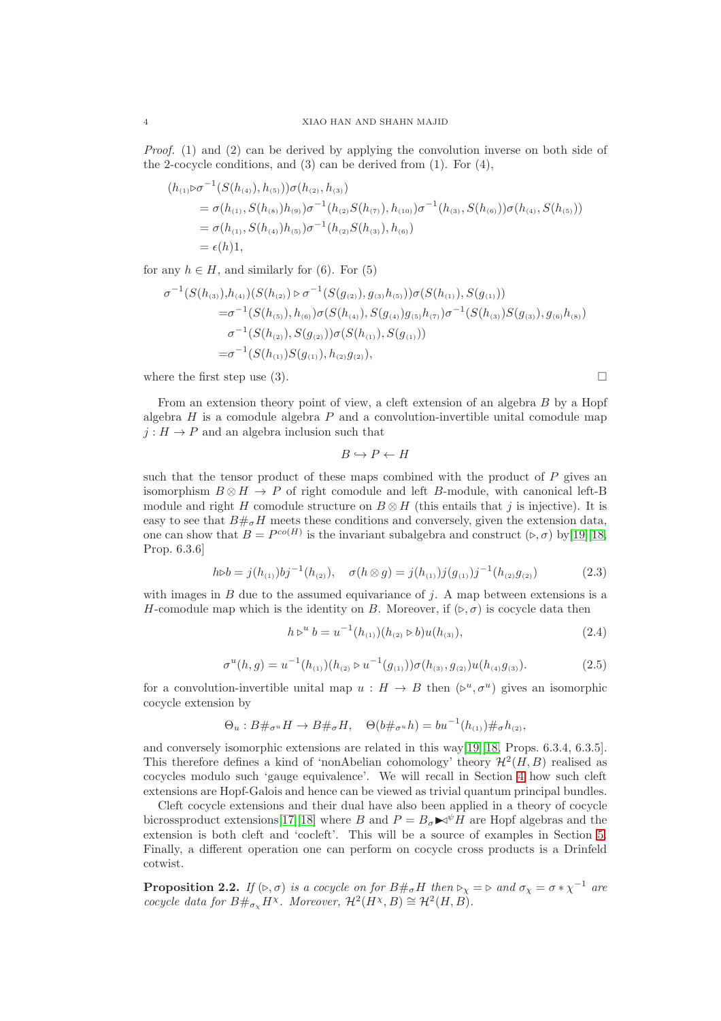Proof. (1) and (2) can be derived by applying the convolution inverse on both side of the 2-cocycle conditions, and (3) can be derived from (1). For (4),

$$
(h_{(1)} \triangleright \sigma^{-1}(S(h_{(4)}), h_{(5)})) \sigma(h_{(2)}, h_{(3)})
$$
  
=  $\sigma(h_{(1)}, S(h_{(8)})h_{(9)})\sigma^{-1}(h_{(2)}S(h_{(7)}), h_{(10)})\sigma^{-1}(h_{(3)}, S(h_{(6)}))\sigma(h_{(4)}, S(h_{(5)}))$   
=  $\sigma(h_{(1)}, S(h_{(4)})h_{(5)})\sigma^{-1}(h_{(2)}S(h_{(3)}), h_{(6)})$   
=  $\epsilon(h)1$ ,

for any  $h \in H$ , and similarly for (6). For (5)

$$
\sigma^{-1}(S(h_{(3)}),h_{(4)})(S(h_{(2)}) \triangleright \sigma^{-1}(S(g_{(2)}),g_{(3)}h_{(5)}))\sigma(S(h_{(1)}),S(g_{(1)}))
$$
  
\n
$$
=\sigma^{-1}(S(h_{(5)}),h_{(6)})\sigma(S(h_{(4)}),S(g_{(4)})g_{(5)}h_{(7)})\sigma^{-1}(S(h_{(3)})S(g_{(3)}),g_{(6)}h_{(8)})
$$
  
\n
$$
\sigma^{-1}(S(h_{(2)}),S(g_{(2)}))\sigma(S(h_{(1)}),S(g_{(1)}))
$$
  
\n
$$
=\sigma^{-1}(S(h_{(1)})S(g_{(1)}),h_{(2)}g_{(2)}),
$$

where the first step use (3).  $\Box$ 

From an extension theory point of view, a cleft extension of an algebra B by a Hopf algebra  $H$  is a comodule algebra  $P$  and a convolution-invertible unital comodule map  $j: H \to P$  and an algebra inclusion such that

 $B \hookrightarrow P \leftarrow H$ 

such that the tensor product of these maps combined with the product of  $P$  gives an isomorphism  $B \otimes H \to P$  of right comodule and left B-module, with canonical left-B module and right H comodule structure on  $B \otimes H$  (this entails that j is injective). It is easy to see that  $B#_{\sigma}H$  meets these conditions and conversely, given the extension data, one can show that  $B = P^{co(H)}$  is the invariant subalgebra and construct  $(\triangleright, \sigma)$  by [\[19\]](#page-26-5)[\[18,](#page-26-6) Prop. 6.3.6]

<span id="page-3-0"></span>
$$
h \triangleright b = j(h_{(1)})bj^{-1}(h_{(2)}), \quad \sigma(h \otimes g) = j(h_{(1)})j(g_{(1)})j^{-1}(h_{(2)}g_{(2)}) \tag{2.3}
$$

with images in  $B$  due to the assumed equivariance of  $j$ . A map between extensions is a H-comodule map which is the identity on B. Moreover, if  $(\triangleright, \sigma)$  is cocycle data then

<span id="page-3-1"></span>
$$
h \triangleright^{u} b = u^{-1}(h_{(1)}) (h_{(2)} \triangleright b) u(h_{(3)}), \tag{2.4}
$$

$$
\sigma^u(h,g) = u^{-1}(h_{(1)})(h_{(2)} \triangleright u^{-1}(g_{(1)})) \sigma(h_{(3)}, g_{(2)}) u(h_{(4)}g_{(3)}).
$$
\n(2.5)

for a convolution-invertible unital map  $u : H \to B$  then  $(\triangleright^u, \sigma^u)$  gives an isomorphic cocycle extension by

$$
\Theta_u : B \#_{\sigma^u} H \to B \#_{\sigma} H, \quad \Theta(b \#_{\sigma^u} h) = b u^{-1}(h_{(1)}) \#_{\sigma} h_{(2)},
$$

and conversely isomorphic extensions are related in this way[\[19\]](#page-26-5)[\[18,](#page-26-6) Props. 6.3.4, 6.3.5]. This therefore defines a kind of 'nonAbelian cohomology' theory  $\mathcal{H}^2(H, B)$  realised as cocycles modulo such 'gauge equivalence'. We will recall in Section [4](#page-18-0) how such cleft extensions are Hopf-Galois and hence can be viewed as trivial quantum principal bundles.

Cleft cocycle extensions and their dual have also been applied in a theory of cocycle bicrossproduct extensions[\[17\]](#page-26-10)[\[18\]](#page-26-6) where B and  $P = B_{\sigma} \blacktriangleright \psi H$  are Hopf algebras and the extension is both cleft and 'cocleft'. This will be a source of examples in Section [5.](#page-23-0) Finally, a different operation one can perform on cocycle cross products is a Drinfeld cotwist.

<span id="page-3-2"></span>**Proposition 2.2.** If  $(\triangleright, \sigma)$  is a cocycle on for  $B \#_{\sigma} H$  then  $\triangleright_{\chi} = \triangleright$  and  $\sigma_{\chi} = \sigma * \chi^{-1}$  are cocycle data for  $B\#_{\sigma_x} H^{\chi}$ . Moreover,  $\mathcal{H}^2(H^{\chi}, B) \cong \mathcal{H}^2(H, B)$ .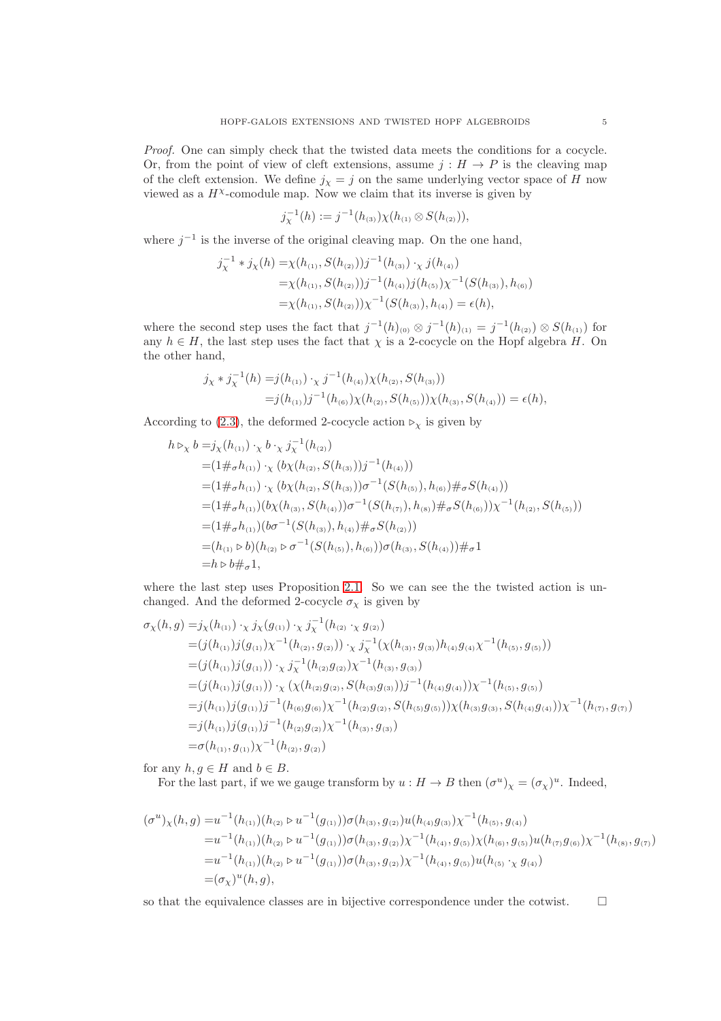Proof. One can simply check that the twisted data meets the conditions for a cocycle. Or, from the point of view of cleft extensions, assume  $j: H \to P$  is the cleaving map of the cleft extension. We define  $j_x = j$  on the same underlying vector space of H now viewed as a  $H^{\chi}$ -comodule map. Now we claim that its inverse is given by

$$
j_{\chi}^{-1}(h) := j^{-1}(h_{(3)})\chi(h_{(1)} \otimes S(h_{(2)})),
$$

where  $j^{-1}$  is the inverse of the original cleaving map. On the one hand,

$$
j_{\chi}^{-1} * j_{\chi}(h) = \chi(h_{(1)}, S(h_{(2)}))j^{-1}(h_{(3)}) \cdot_{\chi} j(h_{(4)})
$$
  
=  $\chi(h_{(1)}, S(h_{(2)}))j^{-1}(h_{(4)})j(h_{(5)})\chi^{-1}(S(h_{(3)}), h_{(6)})$   
=  $\chi(h_{(1)}, S(h_{(2)}))\chi^{-1}(S(h_{(3)}), h_{(4)}) = \epsilon(h),$ 

where the second step uses the fact that  $j^{-1}(h)_{(0)} \otimes j^{-1}(h)_{(1)} = j^{-1}(h_{(2)}) \otimes S(h_{(1)})$  for any  $h \in H$ , the last step uses the fact that  $\chi$  is a 2-cocycle on the Hopf algebra H. On the other hand,

$$
\begin{aligned} j_{\chi} * j_{\chi}^{-1}(h) &= j(h_{(1)}) \cdot_{\chi} j^{-1}(h_{(4)}) \chi(h_{(2)}, S(h_{(3)})) \\ &= j(h_{(1)}) j^{-1}(h_{(6)}) \chi(h_{(2)}, S(h_{(5)})) \chi(h_{(3)}, S(h_{(4)})) = \epsilon(h), \end{aligned}
$$

According to [\(2.3\)](#page-3-0), the deformed 2-cocycle action  $\triangleright_\chi$  is given by

$$
h \rhd_{\chi} b = j_{\chi}(h_{(1)}) \cdot_{\chi} b \cdot_{\chi} j_{\chi}^{-1}(h_{(2)})
$$
  
\n
$$
= (1 \#_{\sigma} h_{(1)}) \cdot_{\chi} (b_{\chi}(h_{(2)}, S(h_{(3)}))j^{-1}(h_{(4)}))
$$
  
\n
$$
= (1 \#_{\sigma} h_{(1)}) \cdot_{\chi} (b_{\chi}(h_{(2)}, S(h_{(3)}))\sigma^{-1}(S(h_{(5)}), h_{(6)}) \#_{\sigma} S(h_{(4)}))
$$
  
\n
$$
= (1 \#_{\sigma} h_{(1)})(b_{\chi}(h_{(3)}, S(h_{(4)}))\sigma^{-1}(S(h_{(7)}), h_{(8)}) \#_{\sigma} S(h_{(6)}))\chi^{-1}(h_{(2)}, S(h_{(5)}))
$$
  
\n
$$
= (1 \#_{\sigma} h_{(1)})(b\sigma^{-1}(S(h_{(3)}), h_{(4)}) \#_{\sigma} S(h_{(2)}))
$$
  
\n
$$
= (h_{(1)} \rhd b)(h_{(2)} \rhd \sigma^{-1}(S(h_{(5)}), h_{(6)}))\sigma(h_{(3)}, S(h_{(4)})) \#_{\sigma} 1
$$
  
\n
$$
= h \rhd b \#_{\sigma} 1,
$$

where the last step uses Proposition [2.1.](#page-2-0) So we can see the the twisted action is unchanged. And the deformed 2-cocycle  $\sigma_{\chi}$  is given by

$$
\sigma_{\chi}(h,g) = j_{\chi}(h_{(1)}) \cdot_{\chi} j_{\chi}(g_{(1)}) \cdot_{\chi} j_{\chi}^{-1}(h_{(2)} \cdot_{\chi} g_{(2)})
$$
  
\n
$$
= (j(h_{(1)})j(g_{(1)})\chi^{-1}(h_{(2)}, g_{(2)})) \cdot_{\chi} j_{\chi}^{-1}(\chi(h_{(3)}, g_{(3)})h_{(4)}g_{(4)}\chi^{-1}(h_{(5)}, g_{(5)}))
$$
  
\n
$$
= (j(h_{(1)})j(g_{(1)})) \cdot_{\chi} j_{\chi}^{-1}(h_{(2)}g_{(2)})\chi^{-1}(h_{(3)}, g_{(3)})
$$
  
\n
$$
= (j(h_{(1)})j(g_{(1)})) \cdot_{\chi} (\chi(h_{(2)}g_{(2)}, S(h_{(3)}g_{(3)}))j^{-1}(h_{(4)}g_{(4)}))\chi^{-1}(h_{(5)}, g_{(5)})
$$
  
\n
$$
= j(h_{(1)})j(g_{(1)})j^{-1}(h_{(6)}g_{(6)})\chi^{-1}(h_{(2)}g_{(2)}, S(h_{(5)}g_{(5)}))\chi(h_{(3)}g_{(3)}, S(h_{(4)}g_{(4)}))\chi^{-1}(h_{(7)}, g_{(7)})
$$
  
\n
$$
= j(h_{(1)})j(g_{(1)})j^{-1}(h_{(2)}g_{(2)})\chi^{-1}(h_{(3)}, g_{(3)})
$$
  
\n
$$
= \sigma(h_{(1)}, g_{(1)})\chi^{-1}(h_{(2)}, g_{(2)})
$$

for any  $h, g \in H$  and  $b \in B$ .

For the last part, if we we gauge transform by  $u : H \to B$  then  $(\sigma^u)_\chi = (\sigma_\chi)^u$ . Indeed,

$$
(\sigma^{u})_{\chi}(h,g) = u^{-1}(h_{(1)})(h_{(2)} \triangleright u^{-1}(g_{(1)}))\sigma(h_{(3)},g_{(2)})u(h_{(4)}g_{(3)})\chi^{-1}(h_{(5)},g_{(4)})
$$
  
\n
$$
=u^{-1}(h_{(1)})(h_{(2)} \triangleright u^{-1}(g_{(1)}))\sigma(h_{(3)},g_{(2)})\chi^{-1}(h_{(4)},g_{(5)})\chi(h_{(6)},g_{(5)})u(h_{(7)}g_{(6)})\chi^{-1}(h_{(8)},g_{(7)})
$$
  
\n
$$
=u^{-1}(h_{(1)})(h_{(2)} \triangleright u^{-1}(g_{(1)}))\sigma(h_{(3)},g_{(2)})\chi^{-1}(h_{(4)},g_{(5)})u(h_{(5)} \cdot_{\chi} g_{(4)})
$$
  
\n
$$
=(\sigma_{\chi})^{u}(h,g),
$$

so that the equivalence classes are in bijective correspondence under the cotwist.  $\Box$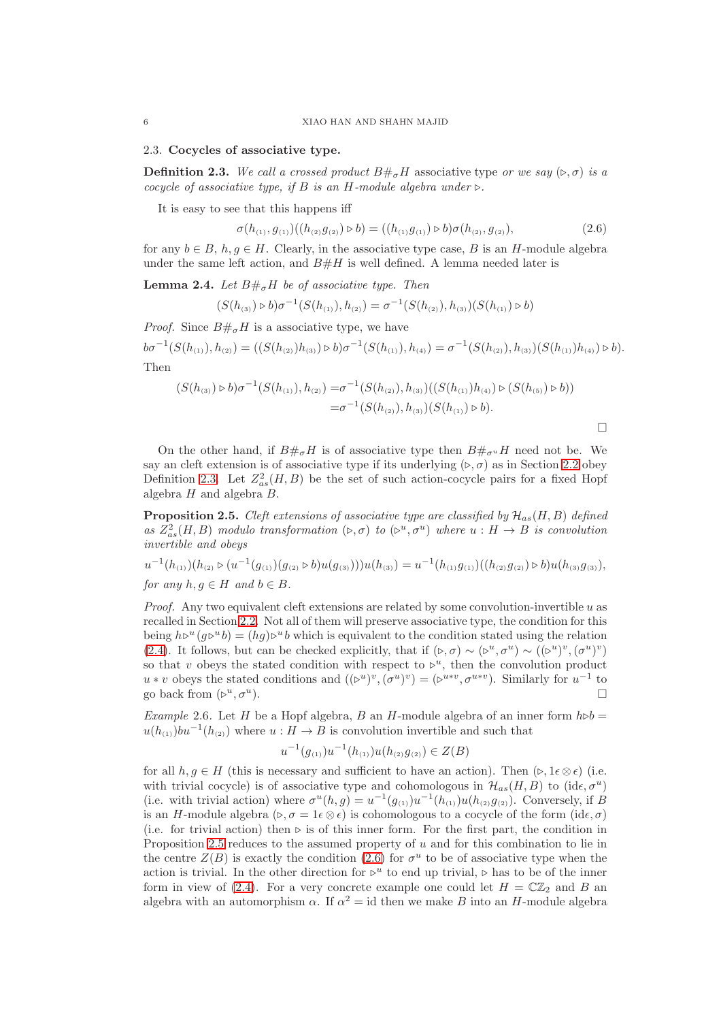2.3. Cocycles of associative type.

<span id="page-5-0"></span>**Definition 2.3.** We call a crossed product  $B\#_{\sigma}H$  associative type or we say  $(\triangleright, \sigma)$  is a cocycle of associative type, if B is an H-module algebra under  $\triangleright$ .

It is easy to see that this happens iff

$$
\sigma(h_{(1)}, g_{(1)})((h_{(2)}g_{(2)}) \triangleright b) = ((h_{(1)}g_{(1)}) \triangleright b)\sigma(h_{(2)}, g_{(2)}),
$$
\n(2.6)

<span id="page-5-2"></span> $\Box$ 

for any  $b \in B$ ,  $h, g \in H$ . Clearly, in the associative type case, B is an H-module algebra under the same left action, and  $B\#H$  is well defined. A lemma needed later is

<span id="page-5-3"></span>**Lemma 2.4.** Let  $B\#_{\sigma}H$  be of associative type. Then

$$
(S(h_{(3)}) \triangleright b)\sigma^{-1}(S(h_{(1)}), h_{(2)}) = \sigma^{-1}(S(h_{(2)}), h_{(3)})(S(h_{(1)}) \triangleright b)
$$

*Proof.* Since  $B \#_{\sigma} H$  is a associative type, we have

 $b\sigma^{-1}(S(h_{(1)}), h_{(2)}) = ((S(h_{(2)})h_{(3)}) \triangleright b)\sigma^{-1}(S(h_{(1)}), h_{(4)}) = \sigma^{-1}(S(h_{(2)}), h_{(3)})(S(h_{(1)})h_{(4)}) \triangleright b).$ Then

$$
(S(h_{(3)}) \triangleright b)\sigma^{-1}(S(h_{(1)}), h_{(2)}) = \sigma^{-1}(S(h_{(2)}), h_{(3)})((S(h_{(1)})h_{(4)}) \triangleright (S(h_{(5)}) \triangleright b))
$$
  
=  $\sigma^{-1}(S(h_{(2)}), h_{(3)}) (S(h_{(1)}) \triangleright b).$ 

On the other hand, if  $B\#_{\sigma}H$  is of associative type then  $B\#_{\sigma^u}H$  need not be. We say an cleft extension is of associative type if its underlying  $(\triangleright, \sigma)$  as in Section [2.2](#page-2-1) obey Definition [2.3.](#page-5-0) Let  $Z_{as}^2(H, B)$  be the set of such action-cocycle pairs for a fixed Hopf algebra  $H$  and algebra  $B$ .

<span id="page-5-1"></span>**Proposition 2.5.** Cleft extensions of associative type are classified by  $\mathcal{H}_{as}(H, B)$  defined as  $Z_{as}^2(H, B)$  modulo transformation  $(\triangleright, \sigma)$  to  $(\triangleright^u, \sigma^u)$  where  $u : H \to B$  is convolution invertible and obeys

$$
u^{-1}(h_{(1)})(h_{(2)} \triangleright (u^{-1}(g_{(1)})(g_{(2)} \triangleright b)u(g_{(3)})))u(h_{(3)}) = u^{-1}(h_{(1)}g_{(1)})((h_{(2)}g_{(2)}) \triangleright b)u(h_{(3)}g_{(3)}),
$$
  
for any  $h, g \in H$  and  $b \in B$ .

*Proof.* Any two equivalent cleft extensions are related by some convolution-invertible  $u$  as recalled in Section [2.2.](#page-2-1) Not all of them will preserve associative type, the condition for this being  $h\triangleright^{u}(g\triangleright^{u}b) = (hg)\triangleright^{u}b$  which is equivalent to the condition stated using the relation [\(2.4\)](#page-3-1). It follows, but can be checked explicitly, that if  $(\triangleright, \sigma) \sim (\triangleright^{u}, \sigma^{u}) \sim ((\triangleright^{u})^{v}, (\sigma^{u})^{v})$ so that v obeys the stated condition with respect to  $\triangleright^u$ , then the convolution product  $u * v$  obeys the stated conditions and  $((\triangleright^u)^v, (\sigma^u)^v) = (\triangleright^{u * v}, \sigma^{u * v})$ . Similarly for  $u^{-1}$  to go back from  $(\triangleright^u, \sigma^u)$ ).  $\Box$ 

<span id="page-5-4"></span>Example 2.6. Let H be a Hopf algebra, B an H-module algebra of an inner form  $h \triangleright b =$  $u(h_{(1)})$ bu<sup>-1</sup> $(h_{(2)})$  where  $u : H \to B$  is convolution invertible and such that

$$
u^{-1}(g_{(1)})u^{-1}(h_{(1)})u(h_{(2)}g_{(2)}) \in Z(B)
$$

for all  $h, g \in H$  (this is necessary and sufficient to have an action). Then  $(\triangleright, 1 \epsilon \otimes \epsilon)$  (i.e. with trivial cocycle) is of associative type and cohomologous in  $\mathcal{H}_{as}(H, B)$  to  $(\mathrm{id} \epsilon, \sigma^u)$ (i.e. with trivial action) where  $\sigma^u(h,g) = u^{-1}(g_{(1)})u^{-1}(h_{(1)})u(h_{(2)}g_{(2)})$ . Conversely, if B is an H-module algebra  $(\triangleright, \sigma = 1\epsilon \otimes \epsilon)$  is cohomologous to a cocycle of the form  $(id\epsilon, \sigma)$ (i.e. for trivial action) then ⊳ is of this inner form. For the first part, the condition in Proposition [2.5](#page-5-1) reduces to the assumed property of  $u$  and for this combination to lie in the centre  $Z(B)$  is exactly the condition [\(2.6\)](#page-5-2) for  $\sigma^u$  to be of associative type when the action is trivial. In the other direction for  $\triangleright^u$  to end up trivial,  $\triangleright$  has to be of the inner form in view of [\(2.4\)](#page-3-1). For a very concrete example one could let  $H = \mathbb{C}\mathbb{Z}_2$  and B and algebra with an automorphism  $\alpha$ . If  $\alpha^2 = id$  then we make B into an H-module algebra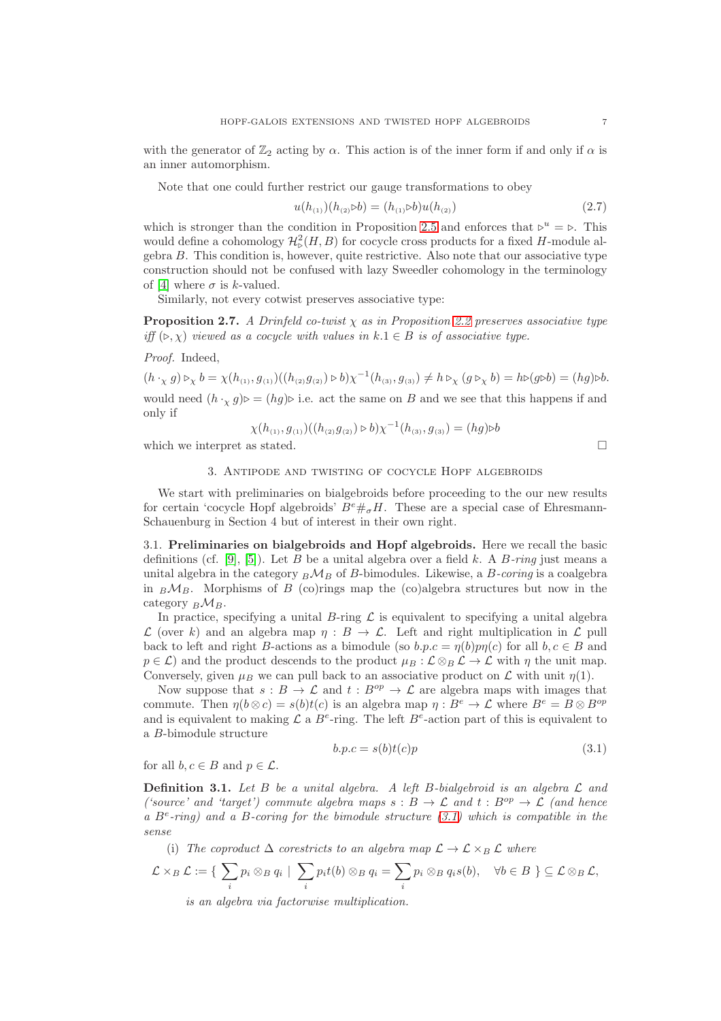Note that one could further restrict our gauge transformations to obey

$$
u(h_{(1)}) (h_{(2)} \triangleright b) = (h_{(1)} \triangleright b) u(h_{(2)}) \tag{2.7}
$$

which is stronger than the condition in Proposition [2.5](#page-5-1) and enforces that  $\triangleright^u = \triangleright$ . This would define a cohomology  $\mathcal{H}^2_{\mathcal{D}}(H, B)$  for cocycle cross products for a fixed H-module algebra B. This condition is, however, quite restrictive. Also note that our associative type construction should not be confused with lazy Sweedler cohomology in the terminology of [\[4\]](#page-25-3) where  $\sigma$  is k-valued.

Similarly, not every cotwist preserves associative type:

<span id="page-6-2"></span>**Proposition 2.7.** A Drinfeld co-twist  $\chi$  as in Proposition [2.2](#page-3-2) preserves associative type iff  $(\triangleright, \chi)$  viewed as a cocycle with values in  $k \cdot 1 \in B$  is of associative type.

Proof. Indeed,

 $(h \cdot_X g) \triangleright_X b = \chi(h_{(1)}, g_{(1)})((h_{(2)}g_{(2)}) \triangleright b)\chi^{-1}(h_{(3)}, g_{(3)}) \neq h \triangleright_X (g \triangleright_X b) = h \triangleright (g \triangleright b) = (hg) \triangleright b.$ would need  $(h \cdot_X g) \triangleright = (hg) \triangleright$  i.e. act the same on B and we see that this happens if and only if

$$
\chi(h_{(1)}, g_{(1)})((h_{(2)}g_{(2)}) \triangleright b)\chi^{-1}(h_{(3)}, g_{(3)}) = (hg) \triangleright b
$$

<span id="page-6-0"></span>which we interpret as stated.  $\square$ 

## 3. Antipode and twisting of cocycle Hopf algebroids

We start with preliminaries on bialgebroids before proceeding to the our new results for certain 'cocycle Hopf algebroids'  $B^e \#_\sigma H$ . These are a special case of Ehresmann-Schauenburg in Section 4 but of interest in their own right.

3.1. Preliminaries on bialgebroids and Hopf algebroids. Here we recall the basic definitions (cf. [\[9\]](#page-26-2), [\[5\]](#page-25-2)). Let B be a unital algebra over a field k. A B-ring just means a unital algebra in the category  $_B\mathcal{M}_B$  of B-bimodules. Likewise, a B-coring is a coalgebra in  $_B\mathcal{M}_B$ . Morphisms of B (co)rings map the (co)algebra structures but now in the category  $_B\mathcal{M}_B$ .

In practice, specifying a unital B-ring  $\mathcal L$  is equivalent to specifying a unital algebra  $\mathcal L$  (over k) and an algebra map  $\eta : B \to \mathcal L$ . Left and right multiplication in  $\mathcal L$  pull back to left and right B-actions as a bimodule (so  $b.p.c = \eta(b)p\eta(c)$  for all  $b, c \in B$  and  $p \in \mathcal{L}$ ) and the product descends to the product  $\mu_B : \mathcal{L} \otimes_B \mathcal{L} \to \mathcal{L}$  with  $\eta$  the unit map. Conversely, given  $\mu_B$  we can pull back to an associative product on  $\mathcal L$  with unit  $\eta(1)$ .

Now suppose that  $s : B \to \mathcal{L}$  and  $t : B^{op} \to \mathcal{L}$  are algebra maps with images that commute. Then  $\eta(b \otimes c) = s(b)t(c)$  is an algebra map  $\eta : B^e \to \mathcal{L}$  where  $B^e = B \otimes B^{op}$ and is equivalent to making  $\mathcal L$  a  $B^e$ -ring. The left  $B^e$ -action part of this is equivalent to a B-bimodule structure

<span id="page-6-1"></span>
$$
b.p.c = s(b)t(c)p
$$
\n
$$
(3.1)
$$

for all  $b, c \in B$  and  $p \in \mathcal{L}$ .

**Definition 3.1.** Let B be a unital algebra. A left B-bialgebroid is an algebra  $\mathcal{L}$  and ('source' and 'target') commute algebra maps  $s : B \to \mathcal{L}$  and  $t : B^{op} \to \mathcal{L}$  (and hence a  $B^e$ -ring) and a B-coring for the bimodule structure [\(3.1\)](#page-6-1) which is compatible in the sense

(i) The coproduct  $\Delta$  corestricts to an algebra map  $\mathcal{L} \to \mathcal{L} \times_B \mathcal{L}$  where

$$
\mathcal{L} \times_B \mathcal{L} := \{ \sum_i p_i \otimes_B q_i \mid \sum_i p_i t(b) \otimes_B q_i = \sum_i p_i \otimes_B q_i s(b), \quad \forall b \in B \} \subseteq \mathcal{L} \otimes_B \mathcal{L},
$$
  
is an algebra via factorwise multiplication.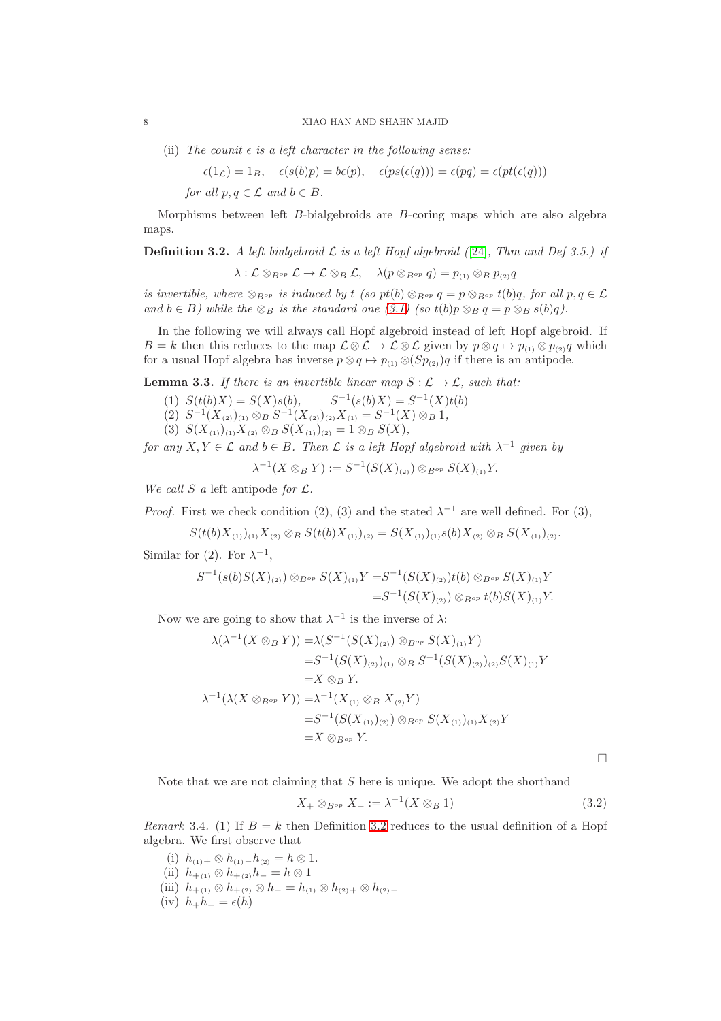(ii) The counit  $\epsilon$  is a left character in the following sense:

$$
\epsilon(1_{\mathcal{L}}) = 1_{B}, \quad \epsilon(s(b)p) = b\epsilon(p), \quad \epsilon(ps(\epsilon(q))) = \epsilon(pq) = \epsilon(pt(\epsilon(q)))
$$

for all  $p, q \in \mathcal{L}$  and  $b \in B$ .

Morphisms between left B-bialgebroids are B-coring maps which are also algebra maps.

<span id="page-7-1"></span>**Definition 3.2.** A left bialgebroid  $\mathcal{L}$  is a left Hopf algebroid ([\[24\]](#page-26-3), Thm and Def 3.5.) if

 $\lambda : \mathcal{L} \otimes_{B^{op}} \mathcal{L} \to \mathcal{L} \otimes_B \mathcal{L}, \quad \lambda(p \otimes_{B^{op}} q) = p_{(1)} \otimes_B p_{(2)}q$ 

is invertible, where  $\otimes_{B^{op}}$  is induced by t (so pt(b)  $\otimes_{B^{op}} q = p \otimes_{B^{op}} t(b)q$ , for all  $p, q \in \mathcal{L}$ and  $b \in B$ ) while the  $\otimes_B$  is the standard one [\(3.1\)](#page-6-1) (so t(b)p  $\otimes_B q = p \otimes_B s(b)q$ ).

In the following we will always call Hopf algebroid instead of left Hopf algebroid. If  $B = k$  then this reduces to the map  $\mathcal{L} \otimes \mathcal{L} \to \mathcal{L} \otimes \mathcal{L}$  given by  $p \otimes q \mapsto p_{(1)} \otimes p_{(2)}q$  which for a usual Hopf algebra has inverse  $p \otimes q \mapsto p_{(1)} \otimes (Sp_{(2)})q$  if there is an antipode.

<span id="page-7-0"></span>**Lemma 3.3.** If there is an invertible linear map  $S : \mathcal{L} \to \mathcal{L}$ , such that:

- (1)  $S(t(b)X) = S(X)s(b),$  $-1(s(b)X) = S^{-1}(X)t(b)$
- (2)  $S^{-1}(X_{(2)})_{(1)} \otimes_B S^{-1}(X_{(2)})_{(2)}X_{(1)} = S^{-1}(X) \otimes_B 1,$
- (3)  $S(X_{(1)})_{(1)}X_{(2)} \otimes_B S(X_{(1)})_{(2)} = 1 \otimes_B S(X),$

for any  $X, Y \in \mathcal{L}$  and  $b \in B$ . Then  $\mathcal{L}$  is a left Hopf algebroid with  $\lambda^{-1}$  given by

 $\lambda^{-1}(X \otimes_B Y) := S^{-1}(S(X)_{(2)}) \otimes_{B^{op}} S(X)_{(1)}Y.$ 

We call S a left antipode for  $\mathcal{L}$ .

*Proof.* First we check condition (2), (3) and the stated  $\lambda^{-1}$  are well defined. For (3),

$$
S(t(b)X_{(1)})_{(1)}X_{(2)}\otimes_B S(t(b)X_{(1)})_{(2)}=S(X_{(1)})_{(1)}s(b)X_{(2)}\otimes_B S(X_{(1)})_{(2)}.
$$

Similar for (2). For  $\lambda^{-1}$ ,

$$
S^{-1}(s(b)S(X)_{(2)}) \otimes_{B^{op}} S(X)_{(1)}Y = S^{-1}(S(X)_{(2)})t(b) \otimes_{B^{op}} S(X)_{(1)}Y
$$
  
=
$$
S^{-1}(S(X)_{(2)}) \otimes_{B^{op}} t(b)S(X)_{(1)}Y.
$$

Now we are going to show that  $\lambda^{-1}$  is the inverse of  $\lambda$ :

$$
\lambda(\lambda^{-1}(X \otimes_B Y)) = \lambda(S^{-1}(S(X)_{(2)}) \otimes_{B^{op}} S(X)_{(1)}Y)
$$
  
\n
$$
= S^{-1}(S(X)_{(2)})_{(1)} \otimes_B S^{-1}(S(X)_{(2)})_{(2)}S(X)_{(1)}Y
$$
  
\n
$$
= X \otimes_B Y.
$$
  
\n
$$
\lambda^{-1}(\lambda(X \otimes_{B^{op}} Y)) = \lambda^{-1}(X_{(1)} \otimes_B X_{(2)}Y)
$$
  
\n
$$
= S^{-1}(S(X_{(1)})_{(2)}) \otimes_{B^{op}} S(X_{(1)})_{(1)}X_{(2)}Y
$$
  
\n
$$
= X \otimes_{B^{op}} Y.
$$

 $\Box$ 

Note that we are not claiming that  $S$  here is unique. We adopt the shorthand

$$
X_{+} \otimes_{B^{op}} X_{-} := \lambda^{-1} (X \otimes_B 1) \tag{3.2}
$$

*Remark* 3.4. (1) If  $B = k$  then Definition [3.2](#page-7-1) reduces to the usual definition of a Hopf algebra. We first observe that

- (i)  $h_{(1)} + \otimes h_{(1)} h_{(2)} = h \otimes 1.$
- (ii)  $h_{+(1)} \otimes h_{+(2)} h_ = h \otimes 1$
- (iii)  $h_{+(1)} \otimes h_{+(2)} \otimes h_{-} = h_{(1)} \otimes h_{(2)+} \otimes h_{(2)-}$
- (iv)  $h_+h_- = \epsilon(h)$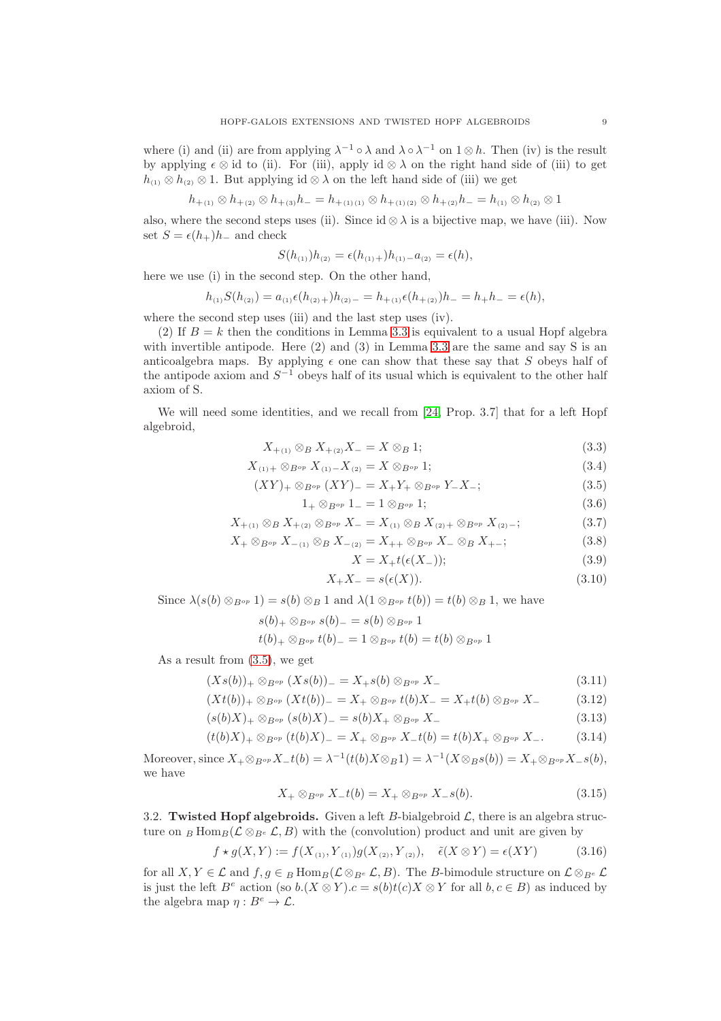where (i) and (ii) are from applying  $\lambda^{-1} \circ \lambda$  and  $\lambda \circ \lambda^{-1}$  on  $1 \otimes h$ . Then (iv) is the result by applying  $\epsilon \otimes id$  to (ii). For (iii), apply id  $\otimes \lambda$  on the right hand side of (iii) to get  $h_{(1)} \otimes h_{(2)} \otimes 1$ . But applying id  $\otimes \lambda$  on the left hand side of (iii) we get

$$
h_{+(1)} \otimes h_{+(2)} \otimes h_{+(3)} h_{-} = h_{+(1)(1)} \otimes h_{+(1)(2)} \otimes h_{+(2)} h_{-} = h_{(1)} \otimes h_{(2)} \otimes 1
$$

also, where the second steps uses (ii). Since  $id \otimes \lambda$  is a bijective map, we have (iii). Now set  $S = \epsilon(h_+)h_-$  and check

$$
S(h_{(1)})h_{(2)} = \epsilon(h_{(1)+})h_{(1)-}a_{(2)} = \epsilon(h),
$$

here we use (i) in the second step. On the other hand,

$$
h_{(1)}S(h_{(2)}) = a_{(1)}\epsilon(h_{(2)+})h_{(2)-} = h_{+(1)}\epsilon(h_{+(2)})h_{-} = h_{+}h_{-} = \epsilon(h),
$$

where the second step uses (iii) and the last step uses (iv).

(2) If  $B = k$  then the conditions in Lemma [3.3](#page-7-0) is equivalent to a usual Hopf algebra with invertible antipode. Here  $(2)$  and  $(3)$  in Lemma [3.3](#page-7-0) are the same and say S is an anticoalgebra maps. By applying  $\epsilon$  one can show that these say that S obeys half of the antipode axiom and  $S^{-1}$  obeys half of its usual which is equivalent to the other half axiom of S.

We will need some identities, and we recall from [\[24,](#page-26-3) Prop. 3.7] that for a left Hopf algebroid,

$$
X_{+(1)} \otimes_B X_{+(2)} X_- = X \otimes_B 1; \tag{3.3}
$$

$$
X_{(1)} + \otimes_{B^{op}} X_{(1)} - X_{(2)} = X \otimes_{B^{op}} 1; \tag{3.4}
$$

$$
(XY)_{+} \otimes_{B^{op}} (XY)_{-} = X_{+}Y_{+} \otimes_{B^{op}} Y_{-}X_{-}; \tag{3.5}
$$

$$
1_+ \otimes_{B^{op}} 1_- = 1 \otimes_{B^{op}} 1; \tag{3.6}
$$

$$
X_{+(1)} \otimes_B X_{+(2)} \otimes_{B^{op}} X_{-} = X_{(1)} \otimes_B X_{(2)+} \otimes_{B^{op}} X_{(2)-};
$$
\n(3.7)

$$
X_{+} \otimes_{B^{op}} X_{-(1)} \otimes_{B} X_{-(2)} = X_{++} \otimes_{B^{op}} X_{-} \otimes_{B} X_{+-};
$$
\n(3.8)

<span id="page-8-7"></span><span id="page-8-6"></span><span id="page-8-5"></span><span id="page-8-4"></span><span id="page-8-3"></span><span id="page-8-1"></span><span id="page-8-0"></span>
$$
X = X_{+}t(\epsilon(X_{-}));\tag{3.9}
$$

$$
X_+X_- = s(\epsilon(X)).\tag{3.10}
$$

Since  $\lambda(s(b) \otimes_{B^{op}} 1) = s(b) \otimes_B 1$  and  $\lambda(1 \otimes_{B^{op}} t(b)) = t(b) \otimes_B 1$ , we have

$$
s(b)_+ \otimes_{B^{op}} s(b)_- = s(b) \otimes_{B^{op}} 1
$$
  

$$
t(b)_+ \otimes_{B^{op}} t(b)_- = 1 \otimes_{B^{op}} t(b) = t(b) \otimes_{B^{op}} 1
$$

$$
\iota(v) + \otimes B^{op} \iota(v) = -1 \otimes B^{op} \iota(v) = \iota(v)
$$

As a result from [\(3.5\)](#page-8-0), we get

$$
(Xs(b))_{+} \otimes_{B^{op}} (Xs(b))_{-} = X_{+}s(b) \otimes_{B^{op}} X_{-}
$$
\n(3.11)

$$
(Xt(b))_+ \otimes_{B^{op}} (Xt(b))_- = X_+ \otimes_{B^{op}} t(b)X_- = X_+t(b) \otimes_{B^{op}} X_- \tag{3.12}
$$

$$
(s(b)X)_+ \otimes_{B^{op}} (s(b)X)_- = s(b)X_+ \otimes_{B^{op}} X_- \tag{3.13}
$$

$$
(t(b)X)_+ \otimes_{B^{op}} (t(b)X)_- = X_+ \otimes_{B^{op}} X_-t(b) = t(b)X_+ \otimes_{B^{op}} X_-.
$$
 (3.14)

Moreover, since  $X_+ \otimes_{B^{op}} X_- t(b) = \lambda^{-1}(t(b)X \otimes_B 1) = \lambda^{-1}(X \otimes_B s(b)) = X_+ \otimes_{B^{op}} X_- s(b),$ we have

<span id="page-8-2"></span>
$$
X_{+} \otimes_{B^{op}} X_{-}t(b) = X_{+} \otimes_{B^{op}} X_{-}s(b). \tag{3.15}
$$

3.2. Twisted Hopf algebroids. Given a left B-bialgebroid  $\mathcal{L}$ , there is an algebra structure on B Hom $_B(\mathcal{L} \otimes_{B^e} \mathcal{L}, B)$  with the (convolution) product and unit are given by

$$
f \star g(X, Y) := f(X_{(1)}, Y_{(1)})g(X_{(2)}, Y_{(2)}), \quad \tilde{\epsilon}(X \otimes Y) = \epsilon(XY) \tag{3.16}
$$

for all  $X, Y \in \mathcal{L}$  and  $f, g \in B$  Hom $_B(\mathcal{L} \otimes_{B^e} \mathcal{L}, B)$ . The B-bimodule structure on  $\mathcal{L} \otimes_{B^e} \mathcal{L}$ is just the left  $B^e$  action (so  $b.(X \otimes Y).c = s(b)t(c)X \otimes Y$  for all  $b, c \in B$ ) as induced by the algebra map  $\eta: B^e \to \mathcal{L}$ .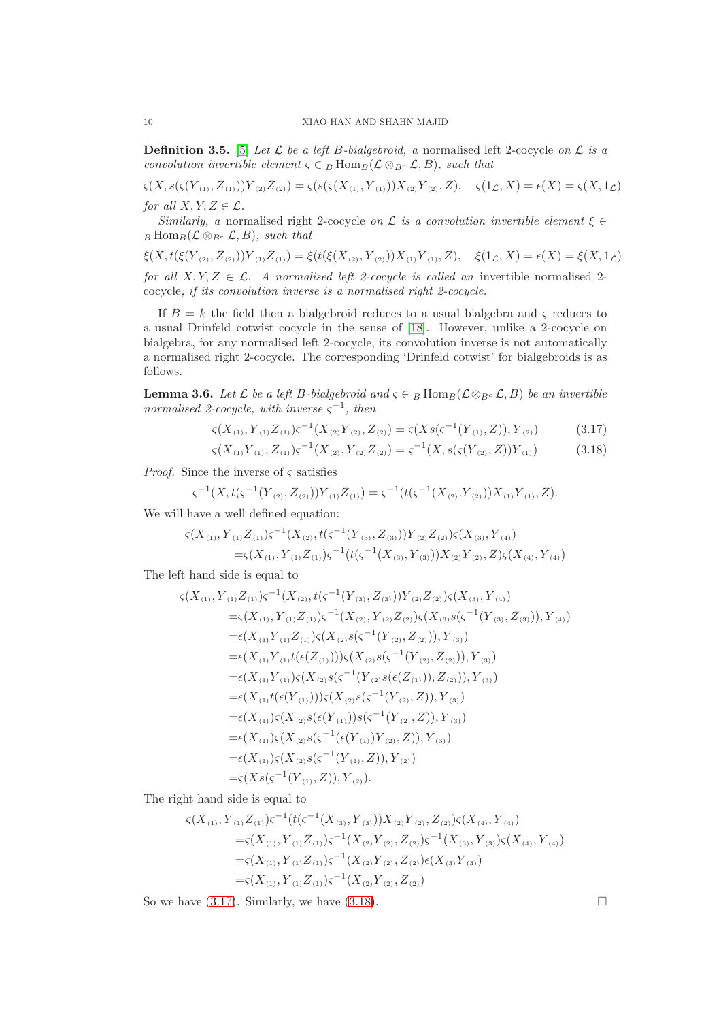**Definition 3.5.** [\[5\]](#page-25-2) Let  $\mathcal{L}$  be a left B-bialgebroid, a normalised left 2-cocycle on  $\mathcal{L}$  is a convolution invertible element  $\varsigma \in B$  Hom $_B(\mathcal{L} \otimes_{B^e} \mathcal{L}, B)$ , such that

 $\varsigma(X, s(\varsigma(Y_{(1)}, Z_{(1)}))Y_{(2)}Z_{(2)}) = \varsigma(s(\varsigma(X_{(1)}, Y_{(1)}))X_{(2)}Y_{(2)}, Z), \quad \varsigma(1_{\mathcal{L}}, X) = \epsilon(X) = \varsigma(X, 1_{\mathcal{L}})$ for all  $X, Y, Z \in \mathcal{L}$ .

Similarly, a normalised right 2-cocycle on  $\mathcal L$  is a convolution invertible element  $\xi \in$  $_B \text{Hom}_B(\mathcal{L} \otimes_{B^e} \mathcal{L}, B)$ , such that

 $\xi(X, t(\xi(Y_{(2)}, Z_{(2)}))Y_{(1)}Z_{(1)}) = \xi(t(\xi(X_{(2)}, Y_{(2)}))X_{(1)}Y_{(1)}, Z), \quad \xi(1_{\mathcal{L}}, X) = \epsilon(X) = \xi(X, 1_{\mathcal{L}})$ for all  $X, Y, Z \in \mathcal{L}$ . A normalised left 2-cocycle is called an invertible normalised 2cocycle, if its convolution inverse is a normalised right 2-cocycle.

If  $B = k$  the field then a bialgebroid reduces to a usual bialgebra and  $\varsigma$  reduces to a usual Drinfeld cotwist cocycle in the sense of [\[18\]](#page-26-6). However, unlike a 2-cocycle on bialgebra, for any normalised left 2-cocycle, its convolution inverse is not automatically a normalised right 2-cocycle. The corresponding 'Drinfeld cotwist' for bialgebroids is as follows.

**Lemma 3.6.** Let  $\mathcal L$  be a left B-bialgebroid and  $\varsigma \in B$  Hom $B(\mathcal L \otimes_{B^e} \mathcal L, B)$  be an invertible normalised 2-cocycle, with inverse  $\varsigma^{-1}$ , then

$$
\varsigma(X_{(1)}, Y_{(1)}Z_{(1)})\varsigma^{-1}(X_{(2)}Y_{(2)}, Z_{(2)}) = \varsigma(Xs(\varsigma^{-1}(Y_{(1)}, Z)), Y_{(2)})
$$
\n(3.17)

<span id="page-9-1"></span><span id="page-9-0"></span>
$$
\varsigma(X_{(1)}Y_{(1)}, Z_{(1)})\varsigma^{-1}(X_{(2)}, Y_{(2)}Z_{(2)}) = \varsigma^{-1}(X, s(\varsigma(Y_{(2)}, Z))Y_{(1)})
$$
(3.18)

*Proof.* Since the inverse of  $\varsigma$  satisfies

$$
\varsigma^{-1}(X,t(\varsigma^{-1}(Y_{(2)},Z_{(2)}))Y_{(1)}Z_{(1)}) = \varsigma^{-1}(t(\varsigma^{-1}(X_{(2)}.Y_{(2)}))X_{(1)}Y_{(1)},Z).
$$

We will have a well defined equation:

$$
\begin{aligned} \varsigma(X_{(1)}, Y_{(1)}Z_{(1)})\varsigma^{-1}(X_{(2)}, t(\varsigma^{-1}(Y_{(3)}, Z_{(3)}))Y_{(2)}Z_{(2)})\varsigma(X_{(3)}, Y_{(4)})\\ = &\varsigma(X_{(1)}, Y_{(1)}Z_{(1)})\varsigma^{-1}(t(\varsigma^{-1}(X_{(3)}, Y_{(3)}))X_{(2)}Y_{(2)}, Z)\varsigma(X_{(4)}, Y_{(4)})\end{aligned}
$$

The left hand side is equal to

$$
\begin{split}\n&\varsigma(X_{(1)}, Y_{(1)}Z_{(1)})\varsigma^{-1}(X_{(2)}, t(\varsigma^{-1}(Y_{(3)}, Z_{(3)}))Y_{(2)}Z_{(2)})\varsigma(X_{(3)}, Y_{(4)}) \\
&= &\varsigma(X_{(1)}, Y_{(1)}Z_{(1)})\varsigma^{-1}(X_{(2)}, Y_{(2)}Z_{(2)})\varsigma(X_{(3)}s(\varsigma^{-1}(Y_{(3)}, Z_{(3)})), Y_{(4)}) \\
&= &\epsilon(X_{(1)}Y_{(1)}Z_{(1)})\varsigma(X_{(2)}s(\varsigma^{-1}(Y_{(2)}, Z_{(2)})), Y_{(3)}) \\
&= &\epsilon(X_{(1)}Y_{(1)}t(\epsilon(Z_{(1)})))\varsigma(X_{(2)}s(\varsigma^{-1}(Y_{(2)}, Z_{(2)})), Y_{(3)}) \\
&= &\epsilon(X_{(1)}Y_{(1)})\varsigma(X_{(2)}s(\varsigma^{-1}(Y_{(2)}s(\epsilon(Z_{(1)})), Z_{(2)})), Y_{(3)}) \\
&= &\epsilon(X_{(1)}t(\epsilon(Y_{(1)})))\varsigma(X_{(2)}s(\varsigma^{-1}(Y_{(2)}, Z)), Y_{(3)}) \\
&= &\epsilon(X_{(1)})\varsigma(X_{(2)}s(\varsigma^{-1}(\epsilon(Y_{(1)}))Y_{(2)}, Z)), Y_{(3)}) \\
&= &\epsilon(X_{(1)})\varsigma(X_{(2)}s(\varsigma^{-1}(\epsilon(Y_{(1)}))Y_{(2)}, Z)), Y_{(3)}) \\
&= &\epsilon(X_{(1)})\varsigma(X_{(2)}s(\varsigma^{-1}(Y_{(1)}, Z)), Y_{(2)}) \\
&= &\varsigma(Xs(\varsigma^{-1}(Y_{(1)}, Z)), Y_{(2)}).\n\end{split}
$$

The right hand side is equal to

$$
s(X_{(1)}, Y_{(1)}Z_{(1)})s^{-1}(t(s^{-1}(X_{(3)}, Y_{(3)}))X_{(2)}Y_{(2)}, Z_{(2)})s(X_{(4)}, Y_{(4)})
$$
  
= $s(X_{(1)}, Y_{(1)}Z_{(1)})s^{-1}(X_{(2)}Y_{(2)}, Z_{(2)})s^{-1}(X_{(3)}, Y_{(3)})s(X_{(4)}, Y_{(4)})$   
= $s(X_{(1)}, Y_{(1)}Z_{(1)})s^{-1}(X_{(2)}Y_{(2)}, Z_{(2)})\epsilon(X_{(3)}Y_{(3)})$   
= $s(X_{(1)}, Y_{(1)}Z_{(1)})s^{-1}(X_{(2)}Y_{(2)}, Z_{(2)})$ 

So we have  $(3.17)$ . Similarly, we have  $(3.18)$ .

$$
10\quad
$$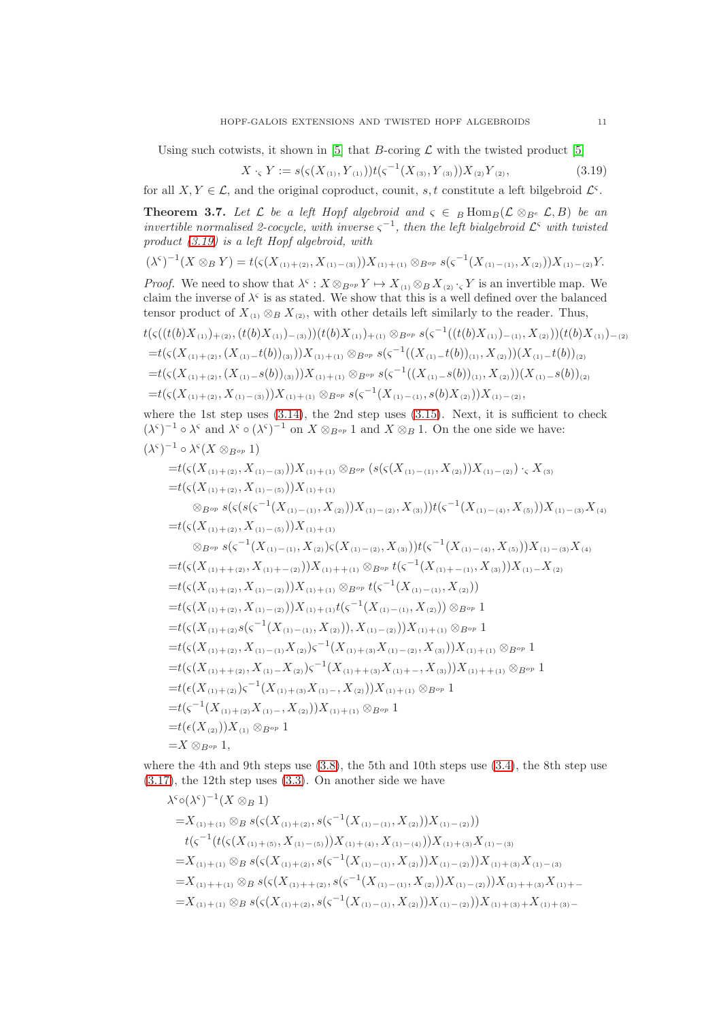Using such cotwists, it shown in [\[5\]](#page-25-2) that B-coring  $\mathcal L$  with the twisted product [5]

<span id="page-10-1"></span>
$$
X \cdot_{\varsigma} Y := s(\varsigma(X_{(1)}, Y_{(1)})) t(\varsigma^{-1}(X_{(3)}, Y_{(3)})) X_{(2)} Y_{(2)},
$$
\n(3.19)

for all  $X, Y \in \mathcal{L}$ , and the original coproduct, counit, s, t constitute a left bilgebroid  $\mathcal{L}^{\varsigma}$ .

<span id="page-10-0"></span>**Theorem 3.7.** Let  $\mathcal{L}$  be a left Hopf algebroid and  $\varsigma \in B$  Hom $B(\mathcal{L} \otimes_{B^e} \mathcal{L}, B)$  be an invertible normalised 2-cocycle, with inverse  $\varsigma^{-1}$ , then the left bialgebroid  $\mathcal{L}^{\varsigma}$  with twisted product [\(3.19\)](#page-10-1) is a left Hopf algebroid, with

$$
(\lambda^{\varsigma})^{-1}(X\otimes_B Y)=t(\varsigma(X_{(1)+(2)},X_{(1)-(3)}))X_{(1)+(1)}\otimes_{B^{op}}s(\varsigma^{-1}(X_{(1)-(1)},X_{(2)}))X_{(1)-(2)}Y.
$$

*Proof.* We need to show that  $\lambda^{\varsigma}: X \otimes_{B^{op}} Y \mapsto X_{(1)} \otimes_B X_{(2)} \cdot_{\varsigma} Y$  is an invertible map. We claim the inverse of  $\lambda^{\varsigma}$  is as stated. We show that this is a well defined over the balanced tensor product of  $X_{(1)} \otimes_B X_{(2)}$ , with other details left similarly to the reader. Thus,

$$
t(\varsigma((t(b)X_{(1)})_{+(2)},(t(b)X_{(1)})_{-(3)}))(t(b)X_{(1)})_{+(1)} \otimes_{B^{op}} s(\varsigma^{-1}((t(b)X_{(1)})_{-(1)},X_{(2)}))(t(b)X_{(1)})_{-(2)}=t(\varsigma(X_{(1)+(2)},(X_{(1)}-t(b))_{(3)}))X_{(1)+(1)} \otimes_{B^{op}} s(\varsigma^{-1}((X_{(1)}-t(b))_{(1)},X_{(2)}))(X_{(1)}-t(b))_{(2)}=t(\varsigma(X_{(1)+(2)},(X_{(1)}-s(b))_{(3)}))X_{(1)+(1)} \otimes_{B^{op}} s(\varsigma^{-1}((X_{(1)}-s(b))_{(1)},X_{(2)}))(X_{(1)}-s(b))_{(2)}=t(\varsigma(X_{(1)+(2)},X_{(1)-(3)}))X_{(1)+(1)} \otimes_{B^{op}} s(\varsigma^{-1}(X_{(1)-(1)},s(b)X_{(2)}))X_{(1)-(2)},
$$

where the 1st step uses  $(3.14)$ , the 2nd step uses  $(3.15)$ . Next, it is sufficient to check  $(\lambda^{\varsigma})^{-1} \circ \lambda^{\varsigma}$  and  $\lambda^{\varsigma} \circ (\lambda^{\varsigma})^{-1}$  on  $X \otimes_{B^{op}} 1$  and  $X \otimes_B 1$ . On the one side we have:

$$
(\lambda^{c})^{-1} \circ \lambda^{c}(X \otimes_{B^{op}} 1)
$$
  
\n
$$
=t(s(X_{(1)+(2)}, X_{(1)-(3)}))X_{(1)+(1)} \otimes_{B^{op}} (s(s(X_{(1)-(1)}, X_{(2)}))X_{(1)-(2)}) \cdot_{s} X_{(3)}
$$
  
\n
$$
=t(s(X_{(1)+(2)}, X_{(1)-(5)}))X_{(1)+(1)}
$$
  
\n
$$
\otimes_{B^{op}} s(s(s(s^{-1}(X_{(1)-(1)}, X_{(2)}))X_{(1)-(2)}, X_{(3)}))t(s^{-1}(X_{(1)-(4)}, X_{(5)}))X_{(1)-(3)}X_{(4)}
$$
  
\n
$$
=t(s(X_{(1)+(2)}, X_{(1)-(5)}))X_{(1)+(1)}
$$
  
\n
$$
\otimes_{B^{op}} s(s^{-1}(X_{(1)-(1)}, X_{(2)})s(X_{(1)-(2)}, X_{(3)}))t(s^{-1}(X_{(1)-(4)}, X_{(5)}))X_{(1)-(3)}X_{(4)}
$$
  
\n
$$
=t(s(X_{(1)+(2)}, X_{(1)+(2)}))X_{(1)+(1)} \otimes_{B^{op}} t(s^{-1}(X_{(1)-(1)}, X_{(3)}))X_{(1)-}X_{(2)}
$$
  
\n
$$
=t(s(X_{(1)+(2)}, X_{(1)-(2)}))X_{(1)+(1)}(s^{-1}(X_{(1)-(1)}, X_{(2)}))
$$
  
\n
$$
=t(s(X_{(1)+(2)}, X_{(1)-(2)}))X_{(1)+(1)}(s^{-1}(X_{(1)-(1)}, X_{(2)})) \otimes_{B^{op}} 1
$$
  
\n
$$
=t(s(X_{(1)+(2)}, X_{(1)-(1)}, X_{(2)})) \cdot X_{(1)-(2)}X_{(1)}X_{(1)+(1)} \otimes_{B^{op}} 1
$$
  
\n
$$
=t(s(X_{(1)+(2)}, X_{(1)-(1)}, X_{(2)})s^{-1}(X_{(1)+(3)}X_{(1)-(2)}, X_{(3)}))X_{(1)+(1)} \otimes_{B^{op}} 1
$$
  
\n
$$
=t(s(X_{(1)+(2)}, X_{(1)-(X)}X_{(2)})s^{-1}(X_{(1)+(3)}X_{(1)+(3)}X_{(1)+(1)} \otimes_{B^{op}} 1
$$
  
\n
$$
=t(s^{-1}(X_{(
$$

where the 4th and 9th steps use  $(3.8)$ , the 5th and 10th steps use  $(3.4)$ , the 8th step use [\(3.17\)](#page-9-0), the 12th step uses [\(3.3\)](#page-8-5). On another side we have

$$
\lambda^{5} \circ (\lambda^{5})^{-1} (X \otimes_{B} 1)
$$
\n
$$
= X_{(1) + (1)} \otimes_{B} s(\varsigma (X_{(1) + (2)}, s(\varsigma^{-1}(X_{(1) - (1)}, X_{(2)})) X_{(1) - (2)}))
$$
\n
$$
t(\varsigma^{-1}(t(\varsigma (X_{(1) + (5)}, X_{(1) - (5)})) X_{(1) + (4)}, X_{(1) - (4)})) X_{(1) + (3)} X_{(1) - (3)}
$$
\n
$$
= X_{(1) + (1)} \otimes_{B} s(\varsigma (X_{(1) + (2)}, s(\varsigma^{-1}(X_{(1) - (1)}, X_{(2)})) X_{(1) - (2)})) X_{(1) + (3)} X_{(1) - (3)}
$$
\n
$$
= X_{(1) + (1)} \otimes_{B} s(\varsigma (X_{(1) + (2)}, s(\varsigma^{-1}(X_{(1) - (1)}, X_{(2)})) X_{(1) - (2)})) X_{(1) + (3)} X_{(1) + (3) - (3)}
$$
\n
$$
= X_{(1) + (1)} \otimes_{B} s(\varsigma (X_{(1) + (2)}, s(\varsigma^{-1}(X_{(1) - (1)}, X_{(2)})) X_{(1) - (2)})) X_{(1) + (3) + (3) + (3) - (3)}
$$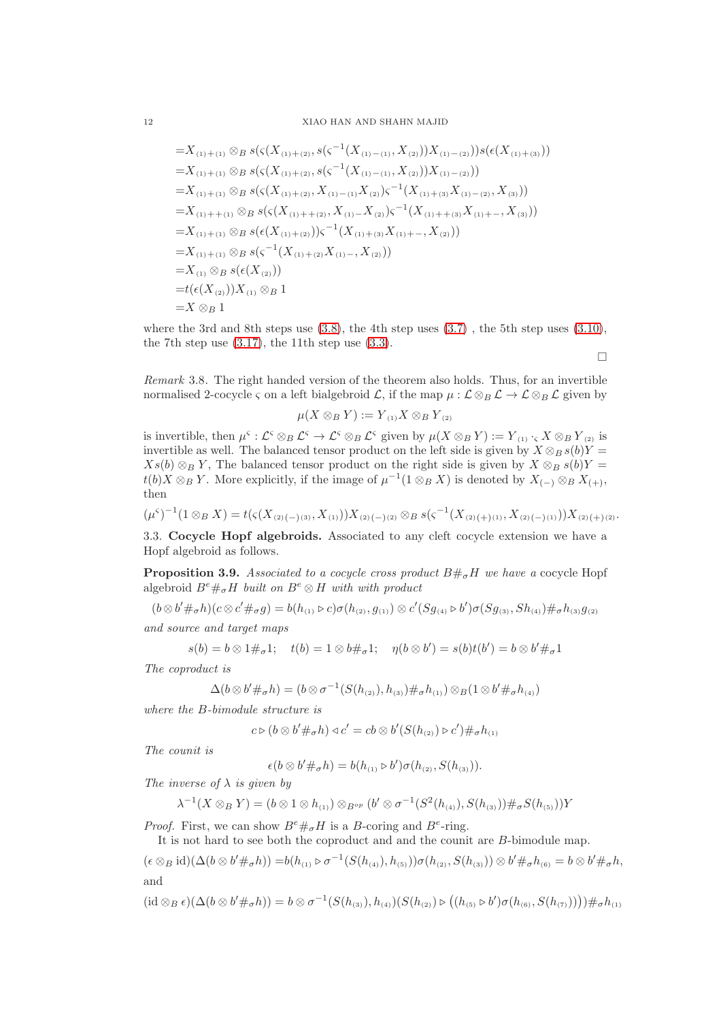## 12 XIAO HAN AND SHAHN MAJID

$$
=X_{(1)+(1)} \otimes_{B} s(\varsigma(X_{(1)+(2)}, s(\varsigma^{-1}(X_{(1)-(1)}, X_{(2)}))X_{(1)-(2)}))s(\epsilon(X_{(1)+(3)}))
$$
  
\n
$$
=X_{(1)+(1)} \otimes_{B} s(\varsigma(X_{(1)+(2)}, s(\varsigma^{-1}(X_{(1)-(1)}, X_{(2)}))X_{(1)-(2)}))
$$
  
\n
$$
=X_{(1)+(1)} \otimes_{B} s(\varsigma(X_{(1)+(2)}, X_{(1)-(1)}X_{(2)})\varsigma^{-1}(X_{(1)+(3)}X_{(1)-(2)}, X_{(3)}))
$$
  
\n
$$
=X_{(1)+(1)} \otimes_{B} s(\varsigma(X_{(1)+(2)}, X_{(1)-X_{(2)}})\varsigma^{-1}(X_{(1)+(3)}X_{(1)+-, X_{(3)}))
$$
  
\n
$$
=X_{(1)+(1)} \otimes_{B} s(\varsigma(X_{(1)+(2)}))\varsigma^{-1}(X_{(1)+(3)}X_{(1)+-, X_{(2)}))
$$
  
\n
$$
=X_{(1)+(1)} \otimes_{B} s(\varsigma^{-1}(X_{(1)+(2)}X_{(1)-}, X_{(2)}))
$$
  
\n
$$
=X_{(1)} \otimes_{B} s(\varsigma(X_{(2)}))
$$
  
\n
$$
=t(\varsigma(X_{(2)}))X_{(1)} \otimes_{B} 1
$$
  
\n
$$
=X \otimes_{B} 1
$$
  
\n
$$
=X \otimes_{B} 1
$$

where the 3rd and 8th steps use  $(3.8)$ , the 4th step uses  $(3.7)$ , the 5th step uses  $(3.10)$ , the 7th step use  $(3.17)$ , the 11th step use  $(3.3)$ .

 $\Box$ 

Remark 3.8. The right handed version of the theorem also holds. Thus, for an invertible normalised 2-cocycle  $\zeta$  on a left bialgebroid  $\mathcal{L}$ , if the map  $\mu : \mathcal{L} \otimes_B \mathcal{L} \to \mathcal{L} \otimes_B \mathcal{L}$  given by

$$
\mu(X\otimes_B Y):=Y_{(1)}X\otimes_B Y_{(2)}
$$

is invertible, then  $\mu^{\varsigma}: \mathcal{L}^{\varsigma} \otimes_B \mathcal{L}^{\varsigma} \to \mathcal{L}^{\varsigma} \otimes_B \mathcal{L}^{\varsigma}$  given by  $\mu(X \otimes_B Y) := Y_{(1)} \cdot_{\varsigma} X \otimes_B Y_{(2)}$  is invertible as well. The balanced tensor product on the left side is given by  $X \otimes_B s(b)Y =$  $Xs(b) \otimes_B Y$ , The balanced tensor product on the right side is given by  $X \otimes_B s(b)Y =$  $t(b)X \otimes_B Y$ . More explicitly, if the image of  $\mu^{-1}(1 \otimes_B X)$  is denoted by  $X_{(-)} \otimes_B X_{(+)}$ , then

$$
(\mu^{s})^{-1}(1 \otimes_{B} X) = t(\varsigma(X_{(2)(-)(3)}, X_{(1)}))X_{(2)(-)(2)} \otimes_{B} s(\varsigma^{-1}(X_{(2)(+)(1)}, X_{(2)(-)(1)}))X_{(2)(+)(2)}.
$$

3.3. Cocycle Hopf algebroids. Associated to any cleft cocycle extension we have a Hopf algebroid as follows.

<span id="page-11-0"></span>**Proposition 3.9.** Associated to a cocycle cross product  $B \#_{\sigma} H$  we have a cocycle Hopf algebroid  $B^e \#_\sigma H$  built on  $B^e \otimes H$  with with product

 $(b \otimes b' \#_{\sigma} h)(c \otimes c' \#_{\sigma} g) = b(h_{(1)} \triangleright c) \sigma(h_{(2)}, g_{(1)}) \otimes c'(Sg_{(4)} \triangleright b') \sigma(Sg_{(3)}, Sh_{(4)}) \#_{\sigma} h_{(3)}g_{(2)}$ 

and source and target maps

$$
s(b) = b \otimes 1 \#_{\sigma} 1; \quad t(b) = 1 \otimes b \#_{\sigma} 1; \quad \eta(b \otimes b') = s(b)t(b') = b \otimes b' \#_{\sigma} 1
$$

The coproduct is

$$
\Delta(b \otimes b' \#_{\sigma} h) = (b \otimes \sigma^{-1}(S(h_{(2)}), h_{(3)}) \#_{\sigma} h_{(1)}) \otimes B(1 \otimes b' \#_{\sigma} h_{(4)})
$$

where the B-bimodule structure is

$$
c \triangleright (b \otimes b' \#_{\sigma} h) \triangleleft c' = cb \otimes b'(S(h_{(2)}) \triangleright c') \#_{\sigma} h_{(1)}
$$

The counit is

$$
\epsilon(b \otimes b' \#_{\sigma} h) = b(h_{(1)} \triangleright b') \sigma(h_{(2)}, S(h_{(3)})).
$$

The inverse of  $\lambda$  is given by

$$
\lambda^{-1}(X \otimes_B Y) = (b \otimes 1 \otimes h_{(1)}) \otimes_{B^{op}} (b' \otimes \sigma^{-1}(S^2(h_{(4)}), S(h_{(3)})) \#_{\sigma} S(h_{(5)}))Y
$$

*Proof.* First, we can show  $B^e \#_\sigma H$  is a B-coring and  $B^e$ -ring.

It is not hard to see both the coproduct and and the counit are B-bimodule map.

$$
(\epsilon \otimes_B id)(\Delta(b \otimes b' \#_{\sigma} h)) = b(h_{(1)} \triangleright \sigma^{-1}(S(h_{(4)}), h_{(5)})) \sigma(h_{(2)}, S(h_{(3)})) \otimes b' \#_{\sigma} h_{(6)} = b \otimes b' \#_{\sigma} h,
$$
  
and

$$
(\mathrm{id} \otimes_B \epsilon)(\Delta(b \otimes b' \#_{\sigma} h)) = b \otimes \sigma^{-1}(S(h_{(3)}), h_{(4)})(S(h_{(2)}) \triangleright ((h_{(5)} \triangleright b')\sigma(h_{(6)}, S(h_{(7)}))) \#_{\sigma} h_{(1)}
$$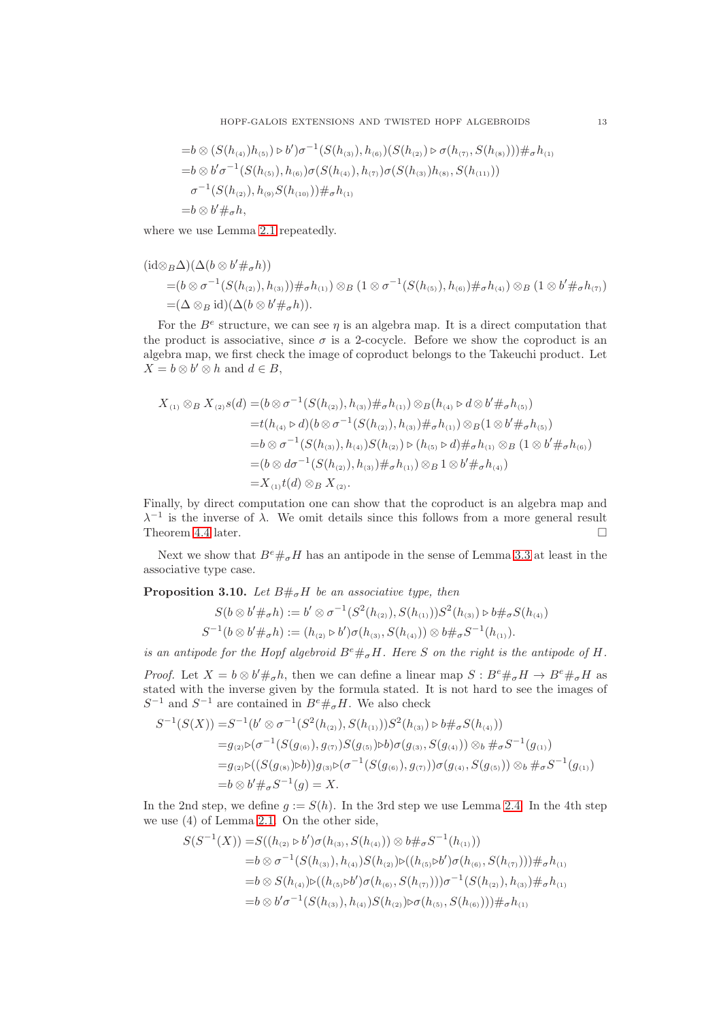$$
=b \otimes (S(h_{(4)})h_{(5)}) \triangleright b')\sigma^{-1}(S(h_{(3)}), h_{(6)})(S(h_{(2)}) \triangleright \sigma(h_{(7)}, S(h_{(8)}))) \#_{\sigma} h_{(1)}
$$
  
\n
$$
=b \otimes b'\sigma^{-1}(S(h_{(5)}), h_{(6)})\sigma(S(h_{(4)}), h_{(7)})\sigma(S(h_{(3)})h_{(8)}, S(h_{(11)}))
$$
  
\n
$$
\sigma^{-1}(S(h_{(2)}), h_{(9)}S(h_{(10)})) \#_{\sigma} h_{(1)}
$$
  
\n
$$
=b \otimes b' \#_{\sigma} h,
$$

where we use Lemma [2.1](#page-2-0) repeatedly.

$$
\begin{aligned} (\mathrm{id} &\otimes_B \Delta)(\Delta(b \otimes b' \#_\sigma h)) \\ &= (b \otimes \sigma^{-1}(S(h_{(2)}), h_{(3)})) \#_\sigma h_{(1)}) \otimes_B (1 \otimes \sigma^{-1}(S(h_{(5)}), h_{(6)}) \#_\sigma h_{(4)}) \otimes_B (1 \otimes b' \#_\sigma h_{(7)}) \\ &= (\Delta \otimes_B \mathrm{id})(\Delta(b \otimes b' \#_\sigma h)). \end{aligned}
$$

For the  $B^e$  structure, we can see  $\eta$  is an algebra map. It is a direct computation that the product is associative, since  $\sigma$  is a 2-cocycle. Before we show the coproduct is an algebra map, we first check the image of coproduct belongs to the Takeuchi product. Let  $X = b \otimes b' \otimes h$  and  $d \in B$ ,

$$
X_{(1)} \otimes_{B} X_{(2)}s(d) = (b \otimes \sigma^{-1}(S(h_{(2)}), h_{(3)}) \#_{\sigma} h_{(1)}) \otimes_{B}(h_{(4)} \triangleright d \otimes b' \#_{\sigma} h_{(5)})
$$
  
\n
$$
= t(h_{(4)} \triangleright d)(b \otimes \sigma^{-1}(S(h_{(2)}), h_{(3)}) \#_{\sigma} h_{(1)}) \otimes_{B}(1 \otimes b' \#_{\sigma} h_{(5)})
$$
  
\n
$$
= b \otimes \sigma^{-1}(S(h_{(3)}), h_{(4)})S(h_{(2)}) \triangleright (h_{(5)} \triangleright d) \#_{\sigma} h_{(1)} \otimes_{B} (1 \otimes b' \#_{\sigma} h_{(6)})
$$
  
\n
$$
= (b \otimes d\sigma^{-1}(S(h_{(2)}), h_{(3)}) \#_{\sigma} h_{(1)}) \otimes_{B} 1 \otimes b' \#_{\sigma} h_{(4)})
$$
  
\n
$$
= X_{(1)}t(d) \otimes_{B} X_{(2)}.
$$

Finally, by direct computation one can show that the coproduct is an algebra map and  $\lambda^{-1}$  is the inverse of  $\lambda$ . We omit details since this follows from a more general result Theorem [4.4](#page-20-0) later.

Next we show that  $B^e\#_\sigma H$  has an antipode in the sense of Lemma [3.3](#page-7-0) at least in the associative type case.

<span id="page-12-0"></span>**Proposition 3.10.** Let  $B\#_{\sigma}H$  be an associative type, then

$$
S(b \otimes b' \#_{\sigma} h) := b' \otimes \sigma^{-1}(S^2(h_{(2)}), S(h_{(1)}))S^2(h_{(3)}) \triangleright b \#_{\sigma} S(h_{(4)})
$$
  

$$
S^{-1}(b \otimes b' \#_{\sigma} h) := (h_{(2)} \triangleright b') \sigma(h_{(3)}, S(h_{(4)})) \otimes b \#_{\sigma} S^{-1}(h_{(1)}).
$$

is an antipode for the Hopf algebroid  $B^e \#_\sigma H$ . Here S on the right is the antipode of H.

*Proof.* Let  $X = b \otimes b' \#_{\sigma} h$ , then we can define a linear map  $S : B^e \#_{\sigma} H \to B^e \#_{\sigma} H$  as stated with the inverse given by the formula stated. It is not hard to see the images of  $S^{-1}$  and  $S^{-1}$  are contained in  $B^e \#_\sigma H$ . We also check

$$
S^{-1}(S(X)) = S^{-1}(b' \otimes \sigma^{-1}(S^{2}(h_{(2)}), S(h_{(1)}))S^{2}(h_{(3)}) \triangleright b \#_{\sigma} S(h_{(4)}))
$$
  
\n
$$
= g_{(2)} \triangleright (\sigma^{-1}(S(g_{(6)}), g_{(7)})S(g_{(5)}) \triangleright b)\sigma(g_{(3)}, S(g_{(4)})) \otimes_b \#_{\sigma} S^{-1}(g_{(1)})
$$
  
\n
$$
= g_{(2)} \triangleright ((S(g_{(8)}) \triangleright b))g_{(3)} \triangleright (\sigma^{-1}(S(g_{(6)}), g_{(7)}))\sigma(g_{(4)}, S(g_{(5)})) \otimes_b \#_{\sigma} S^{-1}(g_{(1)})
$$
  
\n
$$
= b \otimes b' \#_{\sigma} S^{-1}(g) = X.
$$

In the 2nd step, we define  $g := S(h)$ . In the 3rd step we use Lemma [2.4.](#page-5-3) In the 4th step we use (4) of Lemma [2.1.](#page-2-0) On the other side,

$$
S(S^{-1}(X)) = S((h_{(2)} \triangleright b')\sigma(h_{(3)}, S(h_{(4)})) \otimes b \#_{\sigma} S^{-1}(h_{(1)}))
$$
  
= $b \otimes \sigma^{-1}(S(h_{(3)}), h_{(4)})S(h_{(2)}) \triangleright ((h_{(5)} \triangleright b')\sigma(h_{(6)}, S(h_{(7)}))) \#_{\sigma} h_{(1)}$   
= $b \otimes S(h_{(4)}) \triangleright ((h_{(5)} \triangleright b')\sigma(h_{(6)}, S(h_{(7)}))) \sigma^{-1}(S(h_{(2)}), h_{(3)}) \#_{\sigma} h_{(1)}$   
= $b \otimes b'\sigma^{-1}(S(h_{(3)}), h_{(4)})S(h_{(2)}) \triangleright \sigma(h_{(5)}, S(h_{(6)}))) \#_{\sigma} h_{(1)}$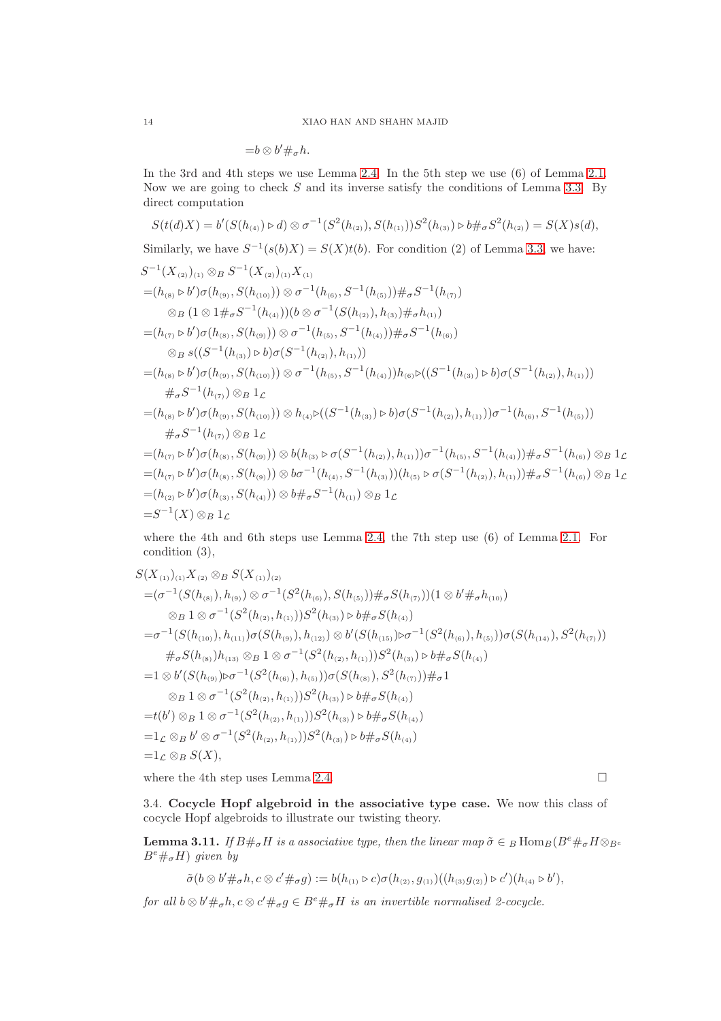$$
=b\otimes b'\#_{\sigma}h.
$$

In the 3rd and 4th steps we use Lemma [2.4.](#page-5-3) In the 5th step we use (6) of Lemma [2.1.](#page-2-0) Now we are going to check  $S$  and its inverse satisfy the conditions of Lemma [3.3.](#page-7-0) By direct computation

$$
S(t(d)X) = b'(S(h_{(4)}) \triangleright d) \otimes \sigma^{-1}(S^2(h_{(2)}), S(h_{(1)}))S^2(h_{(3)}) \triangleright b \#_{\sigma} S^2(h_{(2)}) = S(X)s(d),
$$

Similarly, we have  $S^{-1}(s(b)X) = S(X)t(b)$ . For condition (2) of Lemma [3.3,](#page-7-0) we have:

$$
S^{-1}(X_{(2)})_{(1)} \otimes B S^{-1}(X_{(2)})_{(1)} X_{(1)}
$$
  
\n=  $(h_{(8)} \triangleright b')\sigma(h_{(9)}, S(h_{(10)})) \otimes \sigma^{-1}(h_{(6)}, S^{-1}(h_{(5)})) \#_{\sigma} S^{-1}(h_{(7)})$   
\n $\otimes B (1 \otimes 1 \#_{\sigma} S^{-1}(h_{(4)})) (b \otimes \sigma^{-1}(S(h_{(2)}), h_{(3)}) \#_{\sigma} h_{(1)})$   
\n=  $(h_{(7)} \triangleright b')\sigma(h_{(8)}, S(h_{(9)})) \otimes \sigma^{-1}(h_{(5)}, S^{-1}(h_{(4)})) \#_{\sigma} S^{-1}(h_{(6)})$   
\n $\otimes B s((S^{-1}(h_{(3)}) \triangleright b)\sigma(S^{-1}(h_{(2)}), h_{(1)}))$   
\n=  $(h_{(8)} \triangleright b')\sigma(h_{(9)}, S(h_{(10)})) \otimes \sigma^{-1}(h_{(5)}, S^{-1}(h_{(4)})) h_{(6)} \triangleright ((S^{-1}(h_{(3)}) \triangleright b)\sigma(S^{-1}(h_{(2)}), h_{(1)}))$   
\n $\#_{\sigma} S^{-1}(h_{(7)}) \otimes B 1_{\mathcal{L}}$   
\n=  $(h_{(8)} \triangleright b')\sigma(h_{(9)}, S(h_{(10)})) \otimes h_{(4)} \triangleright ((S^{-1}(h_{(3)}) \triangleright b)\sigma(S^{-1}(h_{(2)}), h_{(1)})) \sigma^{-1}(h_{(6)}, S^{-1}(h_{(5)}))$   
\n $\#_{\sigma} S^{-1}(h_{(7)}) \otimes B 1_{\mathcal{L}}$   
\n=  $(h_{(7)} \triangleright b')\sigma(h_{(8)}, S(h_{(9)})) \otimes b(h_{(3)} \triangleright \sigma(S^{-1}(h_{(2)}), h_{(1)})) \sigma^{-1}(h_{(5)}, S^{-1}(h_{(4)})) \#_{\sigma} S^{-1}(h_{(6)}) \otimes B 1_{\mathcal{L}}$   
\n=  $(h_{(7)} \triangleright b')\sigma(h_{(8)}, S(h_{(9)})) \otimes b\sigma^{-1}(h_{(4)}, S^{-1}(h_{(3)})) (h_{(5)} \triangleright \sigma(S^{-1}(h_{(2$ 

where the 4th and 6th steps use Lemma [2.4,](#page-5-3) the 7th step use (6) of Lemma [2.1.](#page-2-0) For condition (3),

$$
S(X_{(1)})_{(1)}X_{(2)} \otimes B S(X_{(1)})_{(2)}
$$
  
=  $(\sigma^{-1}(S(h_{(8)}), h_{(9)}) \otimes \sigma^{-1}(S^2(h_{(6)}), S(h_{(5)})) \#_{\sigma} S(h_{(7)}))(1 \otimes b' \#_{\sigma} h_{(10)})$   

$$
\otimes B 1 \otimes \sigma^{-1}(S^2(h_{(2)}, h_{(1)})) S^2(h_{(3)}) \triangleright b \#_{\sigma} S(h_{(4)})
$$
  
=  $\sigma^{-1}(S(h_{(10)}), h_{(11)}) \sigma(S(h_{(9)}), h_{(12)}) \otimes b'(S(h_{(15)}) \triangleright \sigma^{-1}(S^2(h_{(6)}), h_{(5)})) \sigma(S(h_{(14)}), S^2(h_{(7)}))$   

$$
\#_{\sigma} S(h_{(8)}) h_{(13)} \otimes B 1 \otimes \sigma^{-1}(S^2(h_{(2)}, h_{(1)})) S^2(h_{(3)}) \triangleright b \#_{\sigma} S(h_{(4)})
$$
  
=  $1 \otimes b'(S(h_{(9)}) \triangleright \sigma^{-1}(S^2(h_{(6)}), h_{(5)})) \sigma(S(h_{(8)}), S^2(h_{(7)})) \#_{\sigma} 1$   

$$
\otimes B 1 \otimes \sigma^{-1}(S^2(h_{(2)}, h_{(1)})) S^2(h_{(3)}) \triangleright b \#_{\sigma} S(h_{(4)})
$$
  
=  $t(b') \otimes B 1 \otimes \sigma^{-1}(S^2(h_{(2)}, h_{(1)})) S^2(h_{(3)}) \triangleright b \#_{\sigma} S(h_{(4)})$   
=  $1_{\mathcal{L}} \otimes B b' \otimes \sigma^{-1}(S^2(h_{(2)}, h_{(1)})) S^2(h_{(3)}) \triangleright b \#_{\sigma} S(h_{(4)})$   
=  $1_{\mathcal{L}} \otimes B S(X),$ 

where the 4th step uses Lemma [2.4.](#page-5-3)  $\Box$ 

3.4. Cocycle Hopf algebroid in the associative type case. We now this class of cocycle Hopf algebroids to illustrate our twisting theory.

<span id="page-13-0"></span>**Lemma 3.11.** If  $B\#_{\sigma}H$  is a associative type, then the linear map  $\tilde{\sigma} \in B$  Hom $_B(B^e \#_{\sigma} H \otimes_{B^e} B^e)$  $B^e \#_\sigma H$ ) given by

$$
\tilde{\sigma}(b \otimes b' \#_{\sigma} h, c \otimes c' \#_{\sigma} g) := b(h_{(1)} \triangleright c) \sigma(h_{(2)}, g_{(1)}) ((h_{(3)} g_{(2)}) \triangleright c')(h_{(4)} \triangleright b'),
$$

for all  $b \otimes b' \#_{\sigma} h, c \otimes c' \#_{\sigma} g \in B^e \#_{\sigma} H$  is an invertible normalised 2-cocycle.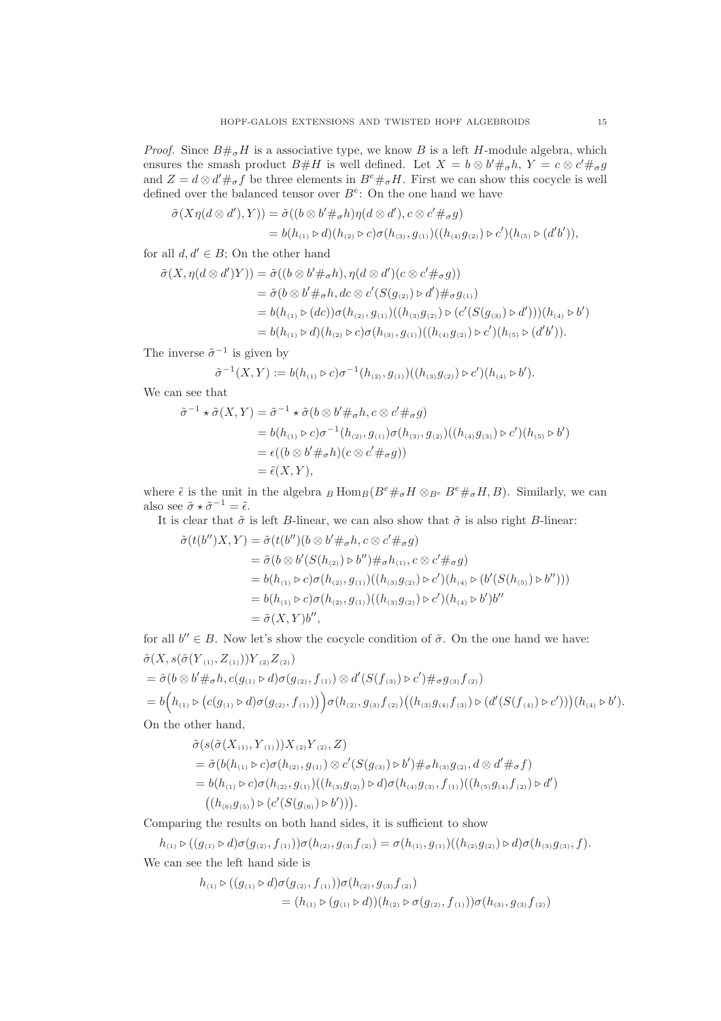*Proof.* Since  $B\#_{\sigma}H$  is a associative type, we know B is a left H-module algebra, which ensures the smash product  $B\#H$  is well defined. Let  $X = b \otimes b'\#_{\sigma}h$ ,  $Y = c \otimes c'\#_{\sigma}g$ and  $Z = d \otimes d' \#_{\sigma} f$  be three elements in  $B^e \#_{\sigma} H$ . First we can show this cocycle is well defined over the balanced tensor over  $B^e$ : On the one hand we have

$$
\tilde{\sigma}(X\eta(d\otimes d'),Y)) = \tilde{\sigma}((b\otimes b'\#_{\sigma}h)\eta(d\otimes d'),c\otimes c'\#_{\sigma}g)
$$
  
=  $b(h_{(1)}\triangleright d)(h_{(2)}\triangleright c)\sigma(h_{(3)},g_{(1)})((h_{(4)}g_{(2)})\triangleright c')(h_{(5)}\triangleright (d'b')),$ 

for all  $d, d' \in B$ ; On the other hand

$$
\tilde{\sigma}(X, \eta(d \otimes d')Y)) = \tilde{\sigma}((b \otimes b' \#_{\sigma} h), \eta(d \otimes d')(c \otimes c' \#_{\sigma} g))
$$
  
\n
$$
= \tilde{\sigma}(b \otimes b' \#_{\sigma} h, dc \otimes c'(S(g_{(2)}) \circ d') \#_{\sigma} g_{(1)})
$$
  
\n
$$
= b(h_{(1)} \triangleright (dc)) \sigma(h_{(2)}, g_{(1)})((h_{(3)} g_{(2)}) \triangleright (c'(S(g_{(3)}) \triangleright d')))(h_{(4)} \triangleright b')
$$
  
\n
$$
= b(h_{(1)} \triangleright d)(h_{(2)} \triangleright c) \sigma(h_{(3)}, g_{(1)})((h_{(4)} g_{(2)}) \triangleright c')(h_{(5)} \triangleright (d'b')).
$$

The inverse  $\tilde{\sigma}^{-1}$  is given by

$$
\tilde{\sigma}^{-1}(X,Y) := b(h_{(1)} \triangleright c)\sigma^{-1}(h_{(2)}, g_{(1)})((h_{(3)}g_{(2)}) \triangleright c')(h_{(4)} \triangleright b').
$$

We can see that

$$
\tilde{\sigma}^{-1} \star \tilde{\sigma}(X, Y) = \tilde{\sigma}^{-1} \star \tilde{\sigma}(b \otimes b' \#_{\sigma} h, c \otimes c' \#_{\sigma} g)
$$
  
\n
$$
= b(h_{(1)} \triangleright c)\sigma^{-1}(h_{(2)}, g_{(1)})\sigma(h_{(3)}, g_{(2)})((h_{(4)}g_{(3)}) \triangleright c')(h_{(5)} \triangleright b')
$$
  
\n
$$
= \epsilon((b \otimes b' \#_{\sigma} h)(c \otimes c' \#_{\sigma} g))
$$
  
\n
$$
= \tilde{\epsilon}(X, Y),
$$

where  $\tilde{\epsilon}$  is the unit in the algebra  $_B$  Hom $_B(B^e\#_{\sigma}H \otimes_{B^e} B^e\#_{\sigma}H, B)$ . Similarly, we can also see  $\tilde{\sigma} \star \tilde{\sigma}^{-1} = \tilde{\epsilon}$ .

It is clear that  $\tilde{\sigma}$  is left B-linear, we can also show that  $\tilde{\sigma}$  is also right B-linear:

$$
\tilde{\sigma}(t(b'')X, Y) = \tilde{\sigma}(t(b'')(b \otimes b' \#_{\sigma} h, c \otimes c' \#_{\sigma} g)
$$
  
\n
$$
= \tilde{\sigma}(b \otimes b'(S(h_{(2)}) \triangleright b'') \#_{\sigma} h_{(1)}, c \otimes c' \#_{\sigma} g)
$$
  
\n
$$
= b(h_{(1)} \triangleright c)\sigma(h_{(2)}, g_{(1)})((h_{(3)}g_{(2)}) \triangleright c')(h_{(4)} \triangleright (b'(S(h_{(5)}) \triangleright b'')))
$$
  
\n
$$
= b(h_{(1)} \triangleright c)\sigma(h_{(2)}, g_{(1)})((h_{(3)}g_{(2)}) \triangleright c')(h_{(4)} \triangleright b')b''
$$
  
\n
$$
= \tilde{\sigma}(X, Y)b'',
$$

for all  $b'' \in B$ . Now let's show the cocycle condition of  $\tilde{\sigma}$ . On the one hand we have:  $\tilde{\sigma}(X, s(\tilde{\sigma}(Y_{(1)}, Z_{(1)}))Y_{(2)}Z_{(2)})$ 

$$
= \tilde{\sigma}(b \otimes b' \#_{\sigma} h, c(g_{(1)} \triangleright d)\sigma(g_{(2)}, f_{(1)}) \otimes d'(S(f_{(3)}) \triangleright c') \#_{\sigma} g_{(3)} f_{(2)})
$$
  
=  $b(h_{(1)} \triangleright (c(g_{(1)} \triangleright d)\sigma(g_{(2)}, f_{(1)}))) \sigma(h_{(2)}, g_{(3)} f_{(2)}) ((h_{(3)} g_{(4)} f_{(3)}) \triangleright (d'(S(f_{(4)}) \triangleright c')))(h_{(4)} \triangleright b').$   
On the other hand,

$$
\tilde{\sigma}(s(\tilde{\sigma}(X_{(1)}, {Y}_{(1)}))X_{(2)}{Y}_{(2)}, Z)
$$

$$
= \tilde{\sigma}(b(h_{(1)} \triangleright c)\sigma(h_{(2)}, g_{(1)}) \otimes c'(S(g_{(3)}) \triangleright b') \#_{\sigma} h_{(3)}g_{(2)}, d \otimes d' \#_{\sigma} f)
$$
  
=  $b(h_{(1)} \triangleright c)\sigma(h_{(2)}, g_{(1)})((h_{(3)}g_{(2)}) \triangleright d)\sigma(h_{(4)}g_{(3)}, f_{(1)})((h_{(5)}g_{(4)}f_{(2)}) \triangleright d')$   
 $((h_{(6)}g_{(5)}) \triangleright (c'(S(g_{(6)}) \triangleright b'))).$ 

Comparing the results on both hand sides, it is sufficient to show

 $h_{(1)} \triangleright ((g_{(1)} \triangleright d)\sigma(g_{(2)}, f_{(1)}))\sigma(h_{(2)}, g_{(3)}f_{(2)}) = \sigma(h_{(1)}, g_{(1)})( (h_{(2)}g_{(2)}) \triangleright d)\sigma(h_{(3)}g_{(3)}, f).$ We can see the left hand side is

$$
h_{(1)} \triangleright ((g_{(1)} \triangleright d)\sigma(g_{(2)}, f_{(1)}))\sigma(h_{(2)}, g_{(3)}f_{(2)})
$$
  
=  $(h_{(1)} \triangleright (g_{(1)} \triangleright d))(h_{(2)} \triangleright \sigma(g_{(2)}, f_{(1)}))\sigma(h_{(3)}, g_{(3)}f_{(2)})$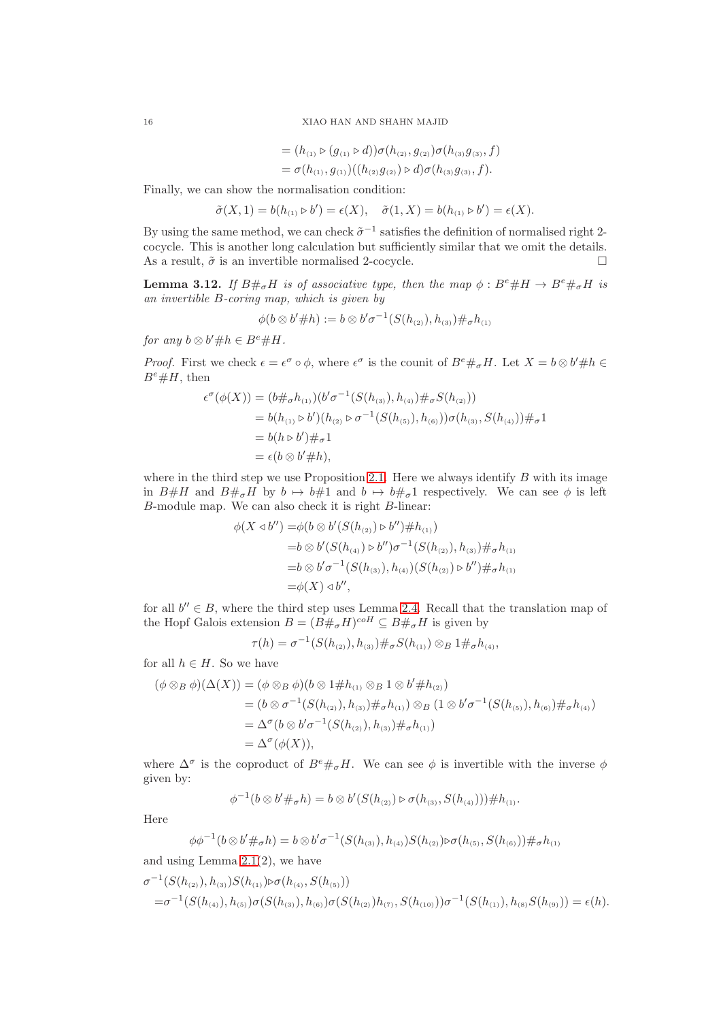16 XIAO HAN AND SHAHN MAJID

$$
= (h_{(1)} \triangleright (g_{(1)} \triangleright d)) \sigma(h_{(2)}, g_{(2)}) \sigma(h_{(3)}g_{(3)}, f)
$$
  
=  $\sigma(h_{(1)}, g_{(1)})((h_{(2)}g_{(2)}) \triangleright d) \sigma(h_{(3)}g_{(3)}, f).$ 

Finally, we can show the normalisation condition:

 $\tilde{\sigma}(X,1) = b(h_{(1)} \triangleright b') = \epsilon(X), \quad \tilde{\sigma}(1,X) = b(h_{(1)} \triangleright b') = \epsilon(X).$ 

By using the same method, we can check  $\tilde{\sigma}^{-1}$  satisfies the definition of normalised right 2cocycle. This is another long calculation but sufficiently similar that we omit the details. As a result,  $\tilde{\sigma}$  is an invertible normalised 2-cocycle.

<span id="page-15-0"></span>**Lemma 3.12.** If  $B\#_{\sigma}H$  is of associative type, then the map  $\phi : B^e\#H \to B^e\#_{\sigma}H$  is an invertible B-coring map, which is given by

$$
\phi(b \otimes b' \# h) := b \otimes b' \sigma^{-1}(S(h_{(2)}), h_{(3)}) \#_{\sigma} h_{(1)}
$$

for any  $b \otimes b' \# h \in B^e \# H$ .

*Proof.* First we check  $\epsilon = \epsilon^{\sigma} \circ \phi$ , where  $\epsilon^{\sigma}$  is the counit of  $B^e \#_{\sigma} H$ . Let  $X = b \otimes b' \# h \in$  $B^e \# H$ , then

$$
\epsilon^{\sigma}(\phi(X)) = (b \#_{\sigma} h_{(1)}) (b' \sigma^{-1}(S(h_{(3)}), h_{(4)}) \#_{\sigma} S(h_{(2)}))
$$
  
=  $b(h_{(1)} \triangleright b')(h_{(2)} \triangleright \sigma^{-1}(S(h_{(5)}), h_{(6)})) \sigma(h_{(3)}, S(h_{(4)})) \#_{\sigma} 1$   
=  $b(h \triangleright b') \#_{\sigma} 1$   
=  $\epsilon(b \otimes b' \# h),$ 

where in the third step we use Proposition [2.1.](#page-2-0) Here we always identify  $B$  with its image in B#H and  $B#_{\sigma}H$  by  $b \mapsto b#1$  and  $b \mapsto b#_{\sigma}1$  respectively. We can see  $\phi$  is left B-module map. We can also check it is right B-linear:

$$
\phi(X \triangleleft b'') = \phi(b \otimes b'(S(h_{(2)}) \triangleright b'') \# h_{(1)})
$$
  
= $b \otimes b'(S(h_{(4)}) \triangleright b'') \sigma^{-1}(S(h_{(2)}), h_{(3)}) \#_{\sigma} h_{(1)}$   
= $b \otimes b' \sigma^{-1}(S(h_{(3)}), h_{(4)})(S(h_{(2)}) \triangleright b'') \#_{\sigma} h_{(1)}$   
= $\phi(X) \triangleleft b''$ ,

for all  $b'' \in B$ , where the third step uses Lemma [2.4.](#page-5-3) Recall that the translation map of the Hopf Galois extension  $B = (B \#_{\sigma} H)^{coH} \subseteq B \#_{\sigma} H$  is given by

$$
\tau(h) = \sigma^{-1}(S(h_{(2)}), h_{(3)}) \#_{\sigma} S(h_{(1)}) \otimes_B 1 \#_{\sigma} h_{(4)},
$$

for all  $h \in H$ . So we have

$$
(\phi \otimes_B \phi)(\Delta(X)) = (\phi \otimes_B \phi)(b \otimes 1 \# h_{(1)} \otimes_B 1 \otimes b' \# h_{(2)})
$$
  
=  $(b \otimes \sigma^{-1}(S(h_{(2)}), h_{(3)}) \#_{\sigma} h_{(1)}) \otimes_B (1 \otimes b' \sigma^{-1}(S(h_{(5)}), h_{(6)}) \#_{\sigma} h_{(4)})$   
=  $\Delta^{\sigma}(b \otimes b' \sigma^{-1}(S(h_{(2)}), h_{(3)}) \#_{\sigma} h_{(1)})$   
=  $\Delta^{\sigma}(\phi(X)),$ 

where  $\Delta^{\sigma}$  is the coproduct of  $B^e \#_{\sigma} H$ . We can see  $\phi$  is invertible with the inverse  $\phi$ given by:

$$
\phi^{-1}(b \otimes b' \#_{\sigma} h) = b \otimes b'(S(h_{(2)}) \triangleright \sigma(h_{(3)}, S(h_{(4)}))) \# h_{(1)}.
$$

Here

$$
\phi\phi^{-1}(b\otimes b'\#_{\sigma}h)=b\otimes b'\sigma^{-1}(S(h_{(3)}),h_{(4)})S(h_{(2)})\triangleright \sigma(h_{(5)},S(h_{(6)}))\#_{\sigma}h_{(1)}
$$

and using Lemma  $2.1(2)$ , we have

$$
\sigma^{-1}(S(h_{(2)}), h_{(3)})S(h_{(1)})\rhd\sigma(h_{(4)}, S(h_{(5)}))
$$
  
=
$$
\sigma^{-1}(S(h_{(4)}), h_{(5)})\sigma(S(h_{(3)}), h_{(6)})\sigma(S(h_{(2)})h_{(7)}, S(h_{(10)}))\sigma^{-1}(S(h_{(1)}), h_{(8)}S(h_{(9)})) = \epsilon(h).
$$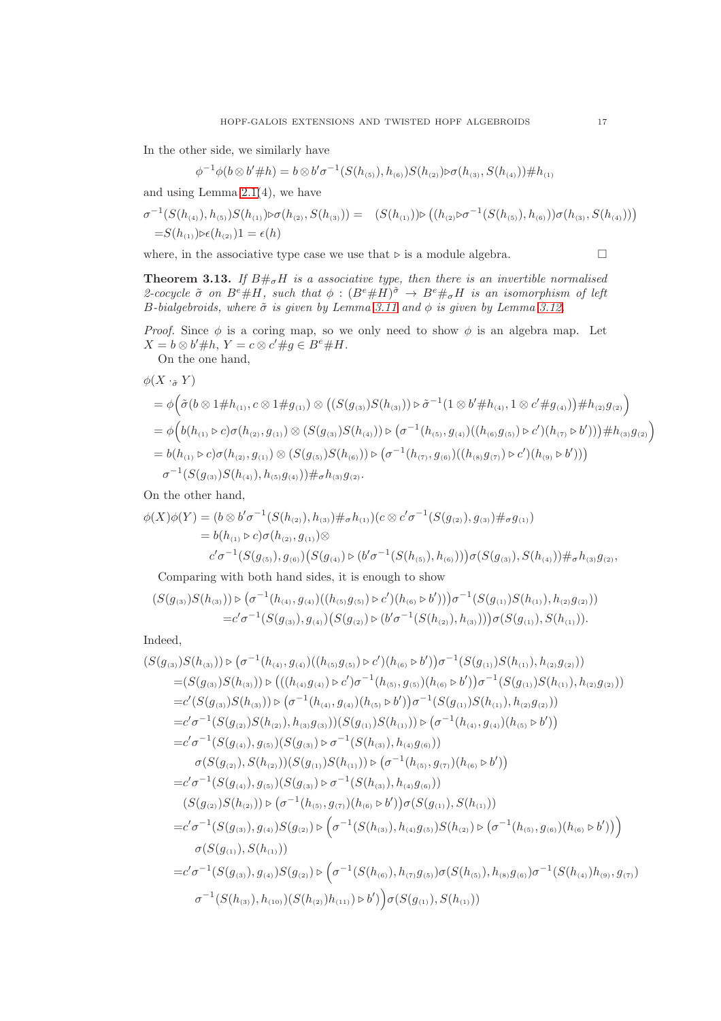In the other side, we similarly have

 $\phi^{-1}\phi(b\otimes b'\# h)=b\otimes b'\sigma^{-1}(S(h_{(5)}),h_{(6)})S(h_{(2)})\triangleright \sigma(h_{(3)},S(h_{(4)}))\# h_{(1)}$ 

and using Lemma [2.1\(](#page-2-0)4), we have

$$
\sigma^{-1}(S(h_{(4)}), h_{(5)})S(h_{(1)})\rhd\sigma(h_{(2)}, S(h_{(3)})) = (S(h_{(1)}))\rhd((h_{(2)}\rhd\sigma^{-1}(S(h_{(5)}), h_{(6)}))\sigma(h_{(3)}, S(h_{(4)})))
$$
  
= $S(h_{(1)})\rhd\epsilon(h_{(2)})1 = \epsilon(h)$ 

where, in the associative type case we use that  $\triangleright$  is a module algebra.  $\Box$ 

<span id="page-16-0"></span>**Theorem 3.13.** If  $B\#_{\sigma}H$  is a associative type, then there is an invertible normalised 2-cocycle  $\tilde{\sigma}$  on  $B^e \# H$ , such that  $\phi : (B^e \# H)^{\tilde{\sigma}} \to B^e \#_\sigma H$  is an isomorphism of left B-bialgebroids, where  $\tilde{\sigma}$  is given by Lemma [3.11](#page-13-0) and  $\phi$  is given by Lemma [3.12.](#page-15-0)

*Proof.* Since  $\phi$  is a coring map, so we only need to show  $\phi$  is an algebra map. Let  $X = b \otimes b' \# h$ ,  $Y = c \otimes c' \# g \in B^e \# H$ .

On the one hand,

$$
\phi(X \cdot_{\tilde{\sigma}} Y) \n= \phi\Big(\tilde{\sigma}(b \otimes 1 \# h_{(1)}, c \otimes 1 \# g_{(1)}) \otimes \big((S(g_{(3)})S(h_{(3)})) \triangleright \tilde{\sigma}^{-1}(1 \otimes b' \# h_{(4)}, 1 \otimes c' \# g_{(4)})\big) \# h_{(2)}g_{(2)}\Big) \n= \phi\Big(b(h_{(1)} \triangleright c)\sigma(h_{(2)}, g_{(1)}) \otimes (S(g_{(3)})S(h_{(4)})) \triangleright (\sigma^{-1}(h_{(5)}, g_{(4)})((h_{(6)}g_{(5)}) \triangleright c')(h_{(7)} \triangleright b'))\Big) \# h_{(3)}g_{(2)}\Big) \n= b(h_{(1)} \triangleright c)\sigma(h_{(2)}, g_{(1)}) \otimes (S(g_{(5)})S(h_{(6)})) \triangleright (\sigma^{-1}(h_{(7)}, g_{(6)})((h_{(8)}g_{(7)}) \triangleright c')(h_{(9)} \triangleright b')))\n\sigma^{-1}(S(g_{(3)})S(h_{(4)}), h_{(5)}g_{(4)})) \#_{\sigma}h_{(3)}g_{(2)}.
$$

On the other hand,

$$
\phi(X)\phi(Y) = (b \otimes b'\sigma^{-1}(S(h_{(2)}), h_{(3)}) \#_{\sigma} h_{(1)})(c \otimes c'\sigma^{-1}(S(g_{(2)}), g_{(3)}) \#_{\sigma} g_{(1)})
$$
  
=  $b(h_{(1)} \triangleright c)\sigma(h_{(2)}, g_{(1)}) \otimes$   

$$
c'\sigma^{-1}(S(g_{(5)}), g_{(6)}) (S(g_{(4)}) \triangleright (b'\sigma^{-1}(S(h_{(5)}), h_{(6)})))\sigma(S(g_{(3)}), S(h_{(4)})) \#_{\sigma} h_{(3)}g_{(2)},
$$

Comparing with both hand sides, it is enough to show

$$
(S(g_{(3)})S(h_{(3)})) \triangleright (\sigma^{-1}(h_{(4)}, g_{(4)})((h_{(5)}g_{(5)}) \triangleright c')(h_{(6)} \triangleright b')))\sigma^{-1}(S(g_{(1)})S(h_{(1)}), h_{(2)}g_{(2)}))
$$
  
=
$$
c'\sigma^{-1}(S(g_{(3)}), g_{(4)})(S(g_{(2)}) \triangleright (b'\sigma^{-1}(S(h_{(2)}), h_{(3)})))\sigma(S(g_{(1)}), S(h_{(1)})).
$$

Indeed,

$$
(S(g_{(3)})S(h_{(3)})) \triangleright (\sigma^{-1}(h_{(4)}, g_{(4)})((h_{(5)}g_{(5)}) \triangleright c')(h_{(6)} \triangleright b')\sigma^{-1}(S(g_{(1)})S(h_{(1)}), h_{(2)}g_{(2)}))
$$
  
\n
$$
= (S(g_{(3)})S(h_{(3)})) \triangleright (((h_{(4)}g_{(4)}) \triangleright c')\sigma^{-1}(h_{(5)}, g_{(5)}) (h_{(6)} \triangleright b')\sigma^{-1}(S(g_{(1)})S(h_{(1)}), h_{(2)}g_{(2)}))
$$
  
\n
$$
= c'(S(g_{(3)})S(h_{(3)})) \triangleright (\sigma^{-1}(h_{(4)}, g_{(4)}) (h_{(5)} \triangleright b')\sigma^{-1}(S(g_{(1)})S(h_{(1)}), h_{(2)}g_{(2)}))
$$
  
\n
$$
= c'\sigma^{-1}(S(g_{(2)})S(h_{(2)}), h_{(3)}g_{(3)}))(S(g_{(1)})S(h_{(1)})) \triangleright (\sigma^{-1}(h_{(4)}, g_{(4)}) (h_{(5)} \triangleright b'))
$$
  
\n
$$
= c'\sigma^{-1}(S(g_{(4)}), g_{(5)}) (S(g_{(3)}) \triangleright \sigma^{-1}(S(h_{(3)}), h_{(4)}g_{(6)}))
$$
  
\n
$$
\sigma(S(g_{(2)}), S(h_{(2)}))(S(g_{(1)})S(h_{(1)})) \triangleright (\sigma^{-1}(h_{(5)}, g_{(7)}) (h_{(6)} \triangleright b'))
$$
  
\n
$$
= c'\sigma^{-1}(S(g_{(4)}), g_{(5)}) (S(g_{(3)}) \triangleright \sigma^{-1}(S(h_{(3)}), h_{(4)}g_{(6)}))
$$
  
\n
$$
(S(g_{(2)})S(h_{(2)})) \triangleright (\sigma^{-1}(h_{(5)}, g_{(7)}) (h_{(6)} \triangleright b'))\sigma(S(g_{(1)}), S(h_{(1)}))
$$
  
\n
$$
= c'\sigma^{-1}(S(g_{(3)}), g_{(4)})S(g_{(2)}) \triangleright (\sigma^{-1}(S(h_{(3)}), h_{(4)}g_{(5)})S(h_{(2)}) \triangleright (\sigma^{-1}(h_{(5)}, g_{(6)}) (h_{(6)} \triangleright b')))
$$
  
\n
$$
\sigma(S(g_{
$$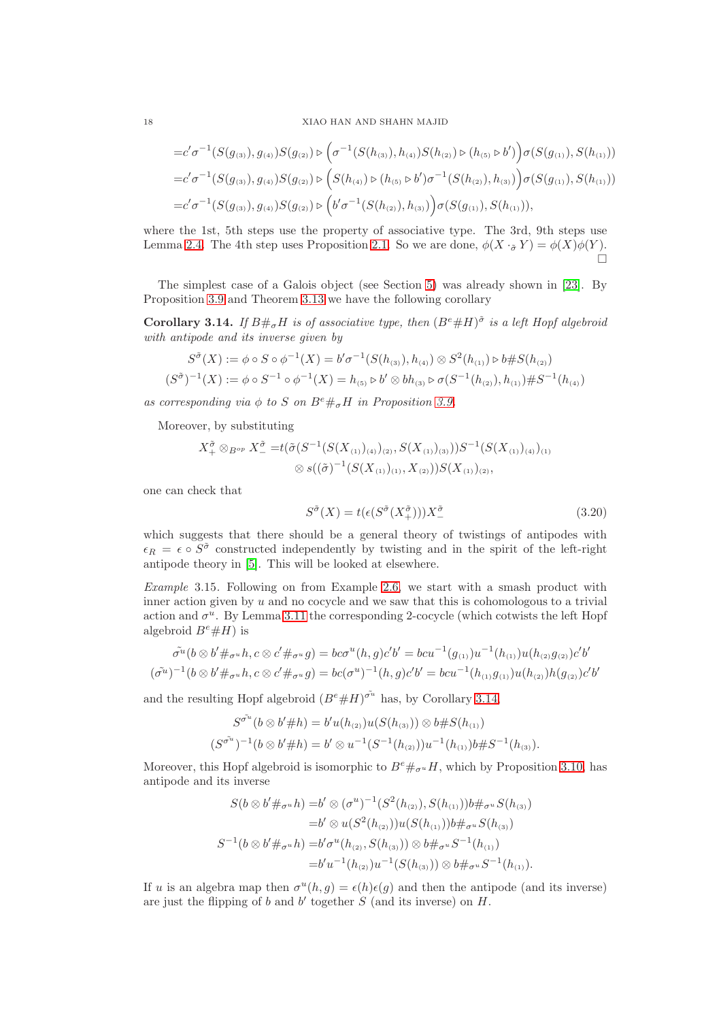#### 18 XIAO HAN AND SHAHN MAJID

$$
=c'\sigma^{-1}(S(g_{(3)}), g_{(4)})S(g_{(2)}) \triangleright (\sigma^{-1}(S(h_{(3)}), h_{(4)})S(h_{(2)}) \triangleright (h_{(5)} \triangleright b')\sigma(S(g_{(1)}), S(h_{(1)}))
$$
  

$$
=c'\sigma^{-1}(S(g_{(3)}), g_{(4)})S(g_{(2)}) \triangleright (S(h_{(4)}) \triangleright (h_{(5)} \triangleright b')\sigma^{-1}(S(h_{(2)}), h_{(3)})\sigma(S(g_{(1)}), S(h_{(1)}))
$$
  

$$
=c'\sigma^{-1}(S(g_{(3)}), g_{(4)})S(g_{(2)}) \triangleright (b'\sigma^{-1}(S(h_{(2)}), h_{(3)})\sigma(S(g_{(1)}), S(h_{(1)})),
$$

where the 1st, 5th steps use the property of associative type. The 3rd, 9th steps use Lemma [2.4.](#page-5-3) The 4th step uses Proposition [2.1.](#page-2-0) So we are done,  $\phi(X \cdot_{\tilde{\sigma}} Y) = \phi(X)\phi(Y)$ .  $\Box$ 

The simplest case of a Galois object (see Section [5\)](#page-23-0) was already shown in [\[23\]](#page-26-1). By Proposition [3.9](#page-11-0) and Theorem [3.13](#page-16-0) we have the following corollary

<span id="page-17-0"></span>**Corollary 3.14.** If  $B\#_{\sigma}H$  is of associative type, then  $(B^e \# H)^{\tilde{\sigma}}$  is a left Hopf algebroid with antipode and its inverse given by

$$
S^{\tilde{\sigma}}(X) := \phi \circ S \circ \phi^{-1}(X) = b'\sigma^{-1}(S(h_{(3)}), h_{(4)}) \otimes S^2(h_{(1)}) \triangleright b \# S(h_{(2)})
$$
  

$$
(S^{\tilde{\sigma}})^{-1}(X) := \phi \circ S^{-1} \circ \phi^{-1}(X) = h_{(5)} \triangleright b' \otimes bh_{(3)} \triangleright \sigma(S^{-1}(h_{(2)}), h_{(1)}) \# S^{-1}(h_{(4)})
$$

as corresponding via  $\phi$  to S on  $B^e\#_{\sigma}H$  in Proposition [3.9.](#page-11-0)

Moreover, by substituting

$$
X_+^{\tilde{\sigma}} \otimes_{B^{op}} X_-^{\tilde{\sigma}} = t(\tilde{\sigma}(S^{-1}(S(X_{(1)})_{(4)})_{(2)}, S(X_{(1)})_{(3)}))S^{-1}(S(X_{(1)})_{(4)})_{(1)} \\ \otimes s((\tilde{\sigma})^{-1}(S(X_{(1)})_{(1)}, X_{(2)}))S(X_{(1)})_{(2)},
$$

one can check that

$$
S^{\tilde{\sigma}}(X) = t(\epsilon(S^{\tilde{\sigma}}(X_+^{\tilde{\sigma}})))X_-^{\tilde{\sigma}} \tag{3.20}
$$

which suggests that there should be a general theory of twistings of antipodes with  $\epsilon_R = \epsilon \circ S^{\tilde{\sigma}}$  constructed independently by twisting and in the spirit of the left-right antipode theory in [\[5\]](#page-25-2). This will be looked at elsewhere.

Example 3.15. Following on from Example [2.6,](#page-5-4) we start with a smash product with inner action given by  $u$  and no cocycle and we saw that this is cohomologous to a trivial action and  $\sigma^u$ . By Lemma [3.11](#page-13-0) the corresponding 2-cocycle (which cotwists the left Hopf algebroid  $B^e \# H$ ) is

$$
\tilde{\sigma}^{u}(b \otimes b' \#_{\sigma^{u}} h, c \otimes c' \#_{\sigma^{u}} g) = b c \sigma^{u}(h, g) c' b' = b c u^{-1}(g_{(1)}) u^{-1}(h_{(1)}) u(h_{(2)} g_{(2)}) c' b'
$$
  

$$
(\tilde{\sigma}^{u})^{-1}(b \otimes b' \#_{\sigma^{u}} h, c \otimes c' \#_{\sigma^{u}} g) = b c (\sigma^{u})^{-1}(h, g) c' b' = b c u^{-1}(h_{(1)} g_{(1)}) u(h_{(2)}) h(g_{(2)}) c' b'
$$

and the resulting Hopf algebroid  $(B^e \# H)^{\tilde{\sigma^u}}$  has, by Corollary [3.14,](#page-17-0)

$$
S^{\sigma^{\mathbf{u}}}(b \otimes b' \# h) = b'u(h_{(2)})u(S(h_{(3)})) \otimes b \# S(h_{(1)})
$$
  

$$
(S^{\sigma^{\mathbf{u}}})^{-1}(b \otimes b' \# h) = b' \otimes u^{-1}(S^{-1}(h_{(2)}))u^{-1}(h_{(1)})b \# S^{-1}(h_{(3)}).
$$

Moreover, this Hopf algebroid is isomorphic to  $B^e\#_{\sigma^u}H$ , which by Proposition [3.10,](#page-12-0) has antipode and its inverse

$$
S(b \otimes b' \#_{\sigma^u} h) = b' \otimes (\sigma^u)^{-1} (S^2(h_{(2)}), S(h_{(1)})) b \#_{\sigma^u} S(h_{(3)})
$$
  
\n
$$
= b' \otimes u(S^2(h_{(2)})) u(S(h_{(1)})) b \#_{\sigma^u} S(h_{(3)})
$$
  
\n
$$
S^{-1}(b \otimes b' \#_{\sigma^u} h) = b' \sigma^u(h_{(2)}, S(h_{(3)})) \otimes b \#_{\sigma^u} S^{-1}(h_{(1)})
$$
  
\n
$$
= b' u^{-1}(h_{(2)}) u^{-1}(S(h_{(3)})) \otimes b \#_{\sigma^u} S^{-1}(h_{(1)}).
$$

If u is an algebra map then  $\sigma^u(h,g) = \epsilon(h)\epsilon(g)$  and then the antipode (and its inverse) are just the flipping of  $b$  and  $b'$  together  $S$  (and its inverse) on  $H$ .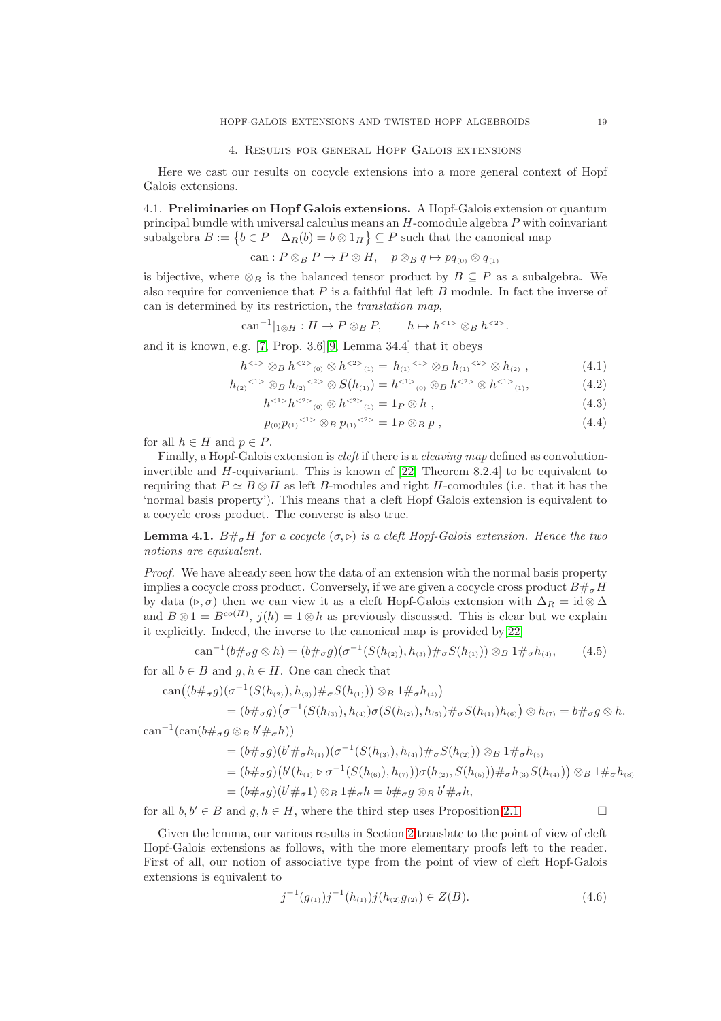### 4. Results for general Hopf Galois extensions

<span id="page-18-0"></span>Here we cast our results on cocycle extensions into a more general context of Hopf Galois extensions.

4.1. Preliminaries on Hopf Galois extensions. A Hopf-Galois extension or quantum principal bundle with universal calculus means an  $H$ -comodule algebra  $P$  with coinvariant subalgebra  $B := \{b \in P \mid \Delta_R(b) = b \otimes 1_H\} \subseteq P$  such that the canonical map

can: 
$$
P \otimes_B P \to P \otimes H
$$
,  $p \otimes_B q \mapsto pq_{(0)} \otimes q_{(1)}$ 

is bijective, where  $\otimes_B$  is the balanced tensor product by  $B \subseteq P$  as a subalgebra. We also require for convenience that  $P$  is a faithful flat left  $B$  module. In fact the inverse of can is determined by its restriction, the translation map,

$$
can^{-1}|_{1\otimes H}:H\to P\otimes_BP, \qquad h\mapsto h^{<1>}\otimes_B h^{<2>}. \qquad
$$

and it is known, e.g. [\[7,](#page-26-11) Prop. 3.6][\[9,](#page-26-2) Lemma 34.4] that it obeys

$$
h^{<1>}\otimes_B h^{<2>}(0) \otimes h^{<2>}(1) = h_{(1)}^{<1>}\otimes_B h_{(1)}^{<2>}\otimes h_{(2)}, \qquad (4.1)
$$

$$
h_{(2)}^{(1)} \otimes_B h_{(2)}^{(2)} \otimes S(h_{(1)}) = h^{(1)} \otimes_B h^{(2)} \otimes h^{(1)} \otimes_{(1)}, \tag{4.2}
$$

<span id="page-18-3"></span><span id="page-18-2"></span><span id="page-18-1"></span>
$$
h^{<1>}h^{<2>}_{(0)} \otimes h^{<2>}_{(1)} = 1_P \otimes h , \qquad (4.3)
$$

$$
p_{(0)}p_{(1)}^{\{1\}} \otimes_B p_{(1)}^{\{2\}} = 1_P \otimes_B p , \qquad (4.4)
$$

for all  $h \in H$  and  $p \in P$ .

Finally, a Hopf-Galois extension is *cleft* if there is a *cleaving map* defined as convolutioninvertible and H-equivariant. This is known cf [\[22,](#page-26-4) Theorem 8.2.4] to be equivalent to requiring that  $P \simeq B \otimes H$  as left B-modules and right H-comodules (i.e. that it has the 'normal basis property'). This means that a cleft Hopf Galois extension is equivalent to a cocycle cross product. The converse is also true.

**Lemma 4.1.**  $B\#_{\sigma}H$  for a cocycle  $(\sigma, \triangleright)$  is a cleft Hopf-Galois extension. Hence the two notions are equivalent.

Proof. We have already seen how the data of an extension with the normal basis property implies a cocycle cross product. Conversely, if we are given a cocycle cross product  $B\#_{\sigma}H$ by data ( $\triangleright, \sigma$ ) then we can view it as a cleft Hopf-Galois extension with  $\Delta_R = id \otimes \Delta$ and  $B \otimes 1 = B^{co(H)}$ ,  $j(h) = 1 \otimes h$  as previously discussed. This is clear but we explain it explicitly. Indeed, the inverse to the canonical map is provided by[\[22\]](#page-26-4)

$$
can^{-1}(b\#_{\sigma} g \otimes h) = (b\#_{\sigma} g)(\sigma^{-1}(S(h_{(2)}), h_{(3)})\#_{\sigma} S(h_{(1)})) \otimes_B 1\#_{\sigma} h_{(4)},
$$
(4.5)

for all  $b \in B$  and  $a, h \in H$ . One can check that

$$
can((b\#_{\sigma}g)(\sigma^{-1}(S(h_{(2)}),h_{(3)})\#_{\sigma}S(h_{(1)}))\otimes_B 1\#_{\sigma}h_{(4)})
$$
  
=  $(b\#_{\sigma}g)(\sigma^{-1}(S(h_{(3)}),h_{(4)})\sigma(S(h_{(2)}),h_{(5)})\#_{\sigma}S(h_{(1)})h_{(6)})\otimes h_{(7)} = b\#_{\sigma}g\otimes h.$ 

can<sup>-1</sup>(can( $b \#_{\sigma} g \otimes_B b' \#_{\sigma} h$ ))

<span id="page-18-4"></span>
$$
= (b \#_{\sigma} g)(b' \#_{\sigma} h_{(1)}) (\sigma^{-1}(S(h_{(3)}), h_{(4)}) \#_{\sigma} S(h_{(2)})) \otimes_B 1 \#_{\sigma} h_{(5)}
$$
  
=  $(b \#_{\sigma} g)(b'(h_{(1)} \triangleright \sigma^{-1}(S(h_{(6)}), h_{(7)})) \sigma(h_{(2)}, S(h_{(5)})) \#_{\sigma} h_{(3)} S(h_{(4)})) \otimes_B 1 \#_{\sigma} h_{(8)}$   
=  $(b \#_{\sigma} g)(b' \#_{\sigma} 1) \otimes_B 1 \#_{\sigma} h = b \#_{\sigma} g \otimes_B b' \#_{\sigma} h,$ 

for all  $b, b' \in B$  and  $g, h \in H$ , where the third step uses Proposition [2.1.](#page-2-0)

Given the lemma, our various results in Section [2](#page-1-0) translate to the point of view of cleft Hopf-Galois extensions as follows, with the more elementary proofs left to the reader. First of all, our notion of associative type from the point of view of cleft Hopf-Galois extensions is equivalent to

$$
j^{-1}(g_{(1)})j^{-1}(h_{(1)})j(h_{(2)}g_{(2)}) \in Z(B). \tag{4.6}
$$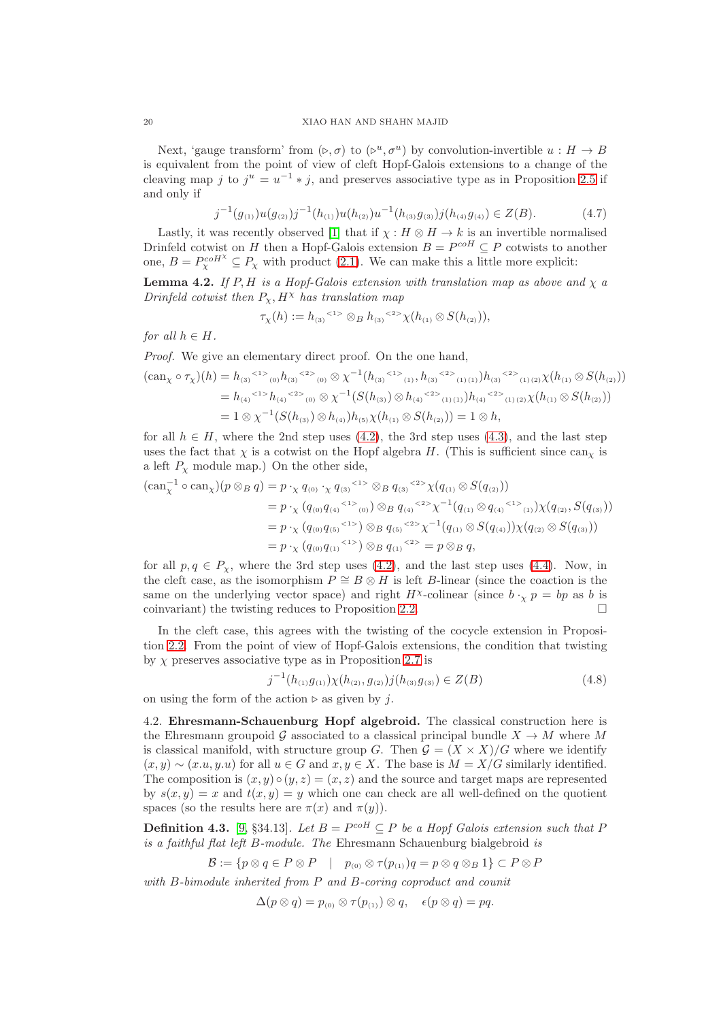Next, 'gauge transform' from  $(\triangleright, \sigma)$  to  $(\triangleright^u, \sigma^u)$  by convolution-invertible  $u : H \to B$ is equivalent from the point of view of cleft Hopf-Galois extensions to a change of the cleaving map j to  $j^u = u^{-1} * j$ , and preserves associative type as in Proposition [2.5](#page-5-1) if and only if

$$
j^{-1}(g_{(1)})u(g_{(2)})j^{-1}(h_{(1)})u(h_{(2)})u^{-1}(h_{(3)}g_{(3)})j(h_{(4)}g_{(4)}) \in Z(B). \tag{4.7}
$$

Lastly, it was recently observed [\[1\]](#page-25-4) that if  $\chi : H \otimes H \to k$  is an invertible normalised Drinfeld cotwist on H then a Hopf-Galois extension  $B = P^{coH} \subseteq P$  cotwists to another one,  $B = P_{\chi}^{coH^{\chi}} \subseteq P_{\chi}$  with product [\(2.1\)](#page-2-2). We can make this a little more explicit:

**Lemma 4.2.** If P, H is a Hopf-Galois extension with translation map as above and  $\chi$  a Drinfeld cotwist then  $P_{\chi}$ ,  $H^{\chi}$  has translation map

$$
\tau_{\chi}(h) := h_{(3)}^{1} \otimes_B h_{(3)}^{1} \otimes_{\mathbb{Z}} h_{(1)} \otimes S(h_{(2)}),
$$

for all  $h \in H$ .

Proof. We give an elementary direct proof. On the one hand,

$$
(\text{can}_{\chi} \circ \tau_{\chi})(h) = h_{(3)}^{(1)} \circ h_{(3)}^{(2)} \circ \chi^{-1}(h_{(3)}^{(1)} \circ h_{(3)}^{(2)} \circ \chi_{(1)(1)})h_{(3)}^{(2)} \circ \chi_{(1)(2)} \chi(h_{(1)} \otimes S(h_{(2)}))
$$
  
=  $h_{(4)}^{(1)} \circ h_{(4)}^{(2)} \circ \chi_{(0)} \otimes \chi^{-1}(S(h_{(3)}) \otimes h_{(4)}^{(2)} \circ \chi_{(1)(1)})h_{(4)}^{(2)} \circ \chi_{(1)(2)} \chi(h_{(1)} \otimes S(h_{(2)}))$   
=  $1 \otimes \chi^{-1}(S(h_{(3)}) \otimes h_{(4)})h_{(5)} \chi(h_{(1)} \otimes S(h_{(2)})) = 1 \otimes h,$ 

for all  $h \in H$ , where the 2nd step uses [\(4.2\)](#page-18-1), the 3rd step uses [\(4.3\)](#page-18-2), and the last step uses the fact that  $\chi$  is a cotwist on the Hopf algebra H. (This is sufficient since  $\text{can}_{\chi}$  is a left  $P_\chi$  module map.) On the other side,

$$
\begin{aligned} (\text{can}_{\chi}^{-1} \circ \text{can}_{\chi})(p \otimes_B q) &= p \cdot_{\chi} q_{(0)} \cdot_{\chi} q_{(3)}^{(1)} \otimes B \ q_{(3)}^{(2)} \chi(q_{(1)} \otimes S(q_{(2)})) \\ &= p \cdot_{\chi} (q_{(0)} q_{(4)}^{(1)} \otimes q_{(4)}^{(2)} \chi^{-1} (q_{(1)} \otimes q_{(4)}^{(2)} \chi^{-1} (q_{1}) \chi(q_{(2)}, S(q_{(3)})) \\ &= p \cdot_{\chi} (q_{(0)} q_{(5)}^{(2)} \chi^{-1} \otimes B \ q_{(5)}^{(2)} \chi^{-1} (q_{(1)} \otimes S(q_{(4)})) \chi(q_{(2)} \otimes S(q_{(3)})) \\ &= p \cdot_{\chi} (q_{(0)} q_{(1)}^{(2)} \otimes B \ q_{(1)}^{(2)} \otimes B \ q_{(3)}^{(2)} \end{aligned}
$$

for all  $p, q \in P_{\chi}$ , where the 3rd step uses [\(4.2\)](#page-18-1), and the last step uses [\(4.4\)](#page-18-3). Now, in the cleft case, as the isomorphism  $P \cong B \otimes H$  is left B-linear (since the coaction is the same on the underlying vector space) and right  $H^{\chi}$ -colinear (since  $b \cdot_{\chi} p = bp$  as b is coinvariant) the twisting reduces to Proposition [2.2.](#page-3-2)

In the cleft case, this agrees with the twisting of the cocycle extension in Proposition [2.2.](#page-3-2) From the point of view of Hopf-Galois extensions, the condition that twisting by  $\chi$  preserves associative type as in Proposition [2.7](#page-6-2) is

$$
j^{-1}(h_{(1)}g_{(1)})\chi(h_{(2)},g_{(2)})j(h_{(3)}g_{(3)}) \in Z(B)
$$
\n(4.8)

on using the form of the action ⊳ as given by j.

4.2. Ehresmann-Schauenburg Hopf algebroid. The classical construction here is the Ehresmann groupoid G associated to a classical principal bundle  $X \to M$  where M is classical manifold, with structure group G. Then  $\mathcal{G} = (X \times X)/G$  where we identify  $(x, y) \sim (x. u, y. u)$  for all  $u \in G$  and  $x, y \in X$ . The base is  $M = X/G$  similarly identified. The composition is  $(x, y) \circ (y, z) = (x, z)$  and the source and target maps are represented by  $s(x, y) = x$  and  $t(x, y) = y$  which one can check are all well-defined on the quotient spaces (so the results here are  $\pi(x)$  and  $\pi(y)$ ).

**Definition 4.3.** [\[9,](#page-26-2) §34.13]. Let  $B = P^{coH} \subseteq P$  be a Hopf Galois extension such that P is a faithful flat left B-module. The Ehresmann Schauenburg bialgebroid is

 $\mathcal{B} := \{p \otimes q \in P \otimes P \mid p_{(0)} \otimes \tau(p_{(1)}) q = p \otimes q \otimes_B 1\} \subset P \otimes P$ 

with B-bimodule inherited from P and B-coring coproduct and counit

 $\Delta(p \otimes q) = p_{(0)} \otimes \tau(p_{(1)}) \otimes q, \quad \epsilon(p \otimes q) = pq.$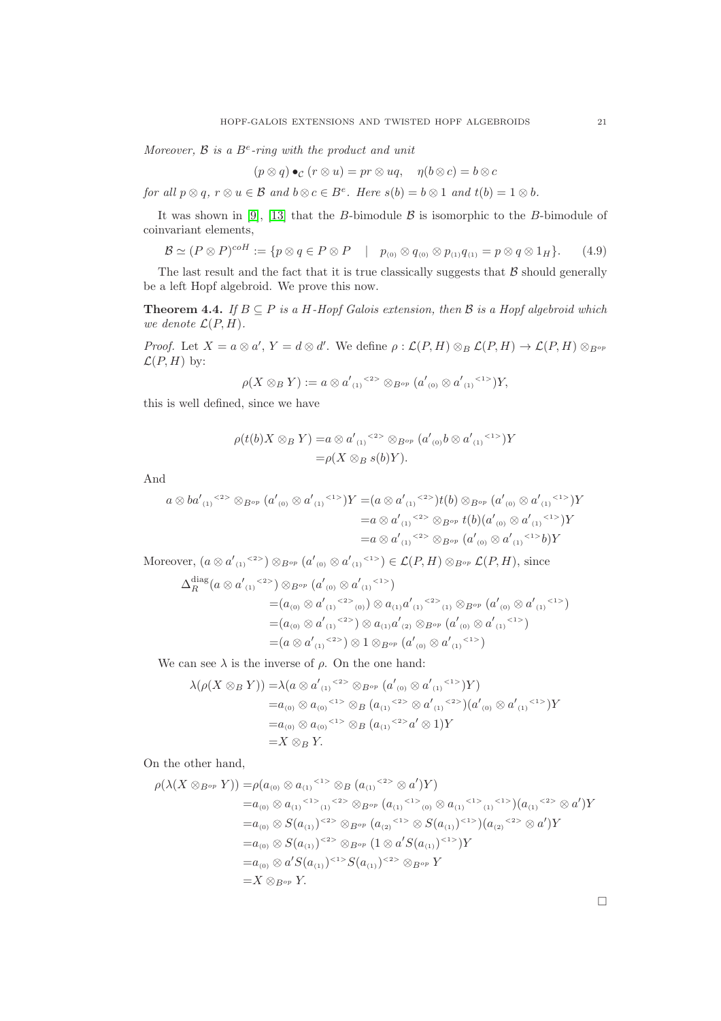Moreover,  $\beta$  is a  $B^e$ -ring with the product and unit

$$
(p \otimes q) \bullet_{\mathcal{C}} (r \otimes u) = pr \otimes uq, \quad \eta(b \otimes c) = b \otimes c
$$

for all  $p \otimes q$ ,  $r \otimes u \in \mathcal{B}$  and  $b \otimes c \in B^e$ . Here  $s(b) = b \otimes 1$  and  $t(b) = 1 \otimes b$ .

It was shown in [\[9\]](#page-26-2), [\[13\]](#page-26-12) that the B-bimodule  $\beta$  is isomorphic to the B-bimodule of coinvariant elements,

<span id="page-20-1"></span>
$$
\mathcal{B} \simeq (P \otimes P)^{coH} := \{ p \otimes q \in P \otimes P \quad | \quad p_{(0)} \otimes q_{(0)} \otimes p_{(1)} q_{(1)} = p \otimes q \otimes 1_H \}. \tag{4.9}
$$

The last result and the fact that it is true classically suggests that  $\beta$  should generally be a left Hopf algebroid. We prove this now.

<span id="page-20-0"></span>**Theorem 4.4.** If  $B \subseteq P$  is a H-Hopf Galois extension, then  $B$  is a Hopf algebroid which we denote  $\mathcal{L}(P, H)$ .

*Proof.* Let  $X = a \otimes a'$ ,  $Y = d \otimes d'$ . We define  $\rho : \mathcal{L}(P, H) \otimes_B \mathcal{L}(P, H) \to \mathcal{L}(P, H) \otimes_{B^{op}}$  $\mathcal{L}(P,H)$  by:

$$
\rho(X \otimes_B Y) := a \otimes {a'}_{(1)}^{2} \otimes_{B^{op}} (a'_{(0)} \otimes {a'}_{(1)}^{2} Y),
$$

this is well defined, since we have

$$
\rho(t(b)X \otimes_B Y) = a \otimes {a'}_{(1)}^{2>} \otimes_{B^{op}} (a'_{(0)}b \otimes {a'}_{(1)}^{2>})Y
$$
  
=  $\rho(X \otimes_B s(b)Y).$ 

And

$$
a \otimes ba'_{(1)}^{2>} \otimes_{B^{op}} (a'_{(0)} \otimes a'_{(1)}^{2>})Y = (a \otimes a'_{(1)}^{2>})t(b) \otimes_{B^{op}} (a'_{(0)} \otimes a'_{(1)}^{2>})Y
$$
  
=  $a \otimes a'_{(1)}^{2>} \otimes_{B^{op}} t(b)(a'_{(0)} \otimes a'_{(1)}^{2>})Y$   
=  $a \otimes a'_{(1)}^{2>} \otimes_{B^{op}} (a'_{(0)} \otimes a'_{(1)}^{2>})Y$ 

Moreover,  $(a \otimes a'_{(1)} \leq s) \otimes_{B^{op}} (a'_{(0)} \otimes a'_{(1)} \leq s) \in \mathcal{L}(P, H) \otimes_{B^{op}} \mathcal{L}(P, H)$ , since

$$
\Delta_R^{\text{diag}}(a \otimes a'_{(1)}^{(2>)}) \otimes_{B^{op}} (a'_{(0)} \otimes a'_{(1)}^{(1>)})
$$
\n
$$
= (a_{(0)} \otimes a'_{(1)}^{(2>)}) \otimes a_{(1)} a'_{(1)}^{(2>)} \otimes_{B^{op}} (a'_{(0)} \otimes a'_{(1)}^{(1>)})
$$
\n
$$
= (a_{(0)} \otimes a'_{(1)}^{(2>)}) \otimes a_{(1)} a'_{(2)} \otimes_{B^{op}} (a'_{(0)} \otimes a'_{(1)}^{(1>)})
$$
\n
$$
= (a \otimes a'_{(1)}^{(2>)}) \otimes 1 \otimes_{B^{op}} (a'_{(0)} \otimes a'_{(1)}^{(1>)})
$$

We can see  $\lambda$  is the inverse of  $\rho$ . On the one hand:

$$
\lambda(\rho(X \otimes_B Y)) = \lambda(a \otimes a'_{(1)}^{2} \otimes B^{op} (a'_{(0)} \otimes a'_{(1)}^{2} \otimes Y))
$$
  
=  $a_{(0)} \otimes a_{(0)}^{2} \otimes B (a_{(1)}^{2} \otimes a'_{(1)}^{2} \otimes a'_{(0)} \otimes a'_{(1)}^{2} \otimes Y)$   
=  $a_{(0)} \otimes a_{(0)}^{2} \otimes B (a_{(1)}^{2} \otimes a' \otimes Y)$   
=  $X \otimes_B Y$ .

On the other hand,

$$
\rho(\lambda(X \otimes_{B^{op}} Y)) = \rho(a_{(0)} \otimes a_{(1)} \otimes \cdots \otimes_{B} (a_{(1)} \otimes \cdots \otimes a')Y)
$$
  
\n
$$
= a_{(0)} \otimes a_{(1)} \otimes \cdots \otimes_{B^{op}} (a_{(1)} \otimes \cdots \otimes a_{(1)} \otimes a_{(1)} \otimes \cdots \otimes a')Y
$$
  
\n
$$
= a_{(0)} \otimes S(a_{(1)}) \otimes \cdots \otimes_{B^{op}} (a_{(2)} \otimes S(a_{(1)}) \otimes \cdots \otimes a')Y
$$
  
\n
$$
= a_{(0)} \otimes S(a_{(1)}) \otimes \cdots \otimes_{B^{op}} (1 \otimes a' S(a_{(1)}) \otimes \cdots \otimes a')Y
$$
  
\n
$$
= a_{(0)} \otimes a' S(a_{(1)}) \otimes \cdots \otimes S(a_{(1)}) \otimes \cdots \otimes_{B^{op}} Y
$$
  
\n
$$
= X \otimes_{B^{op}} Y.
$$

 $\Box$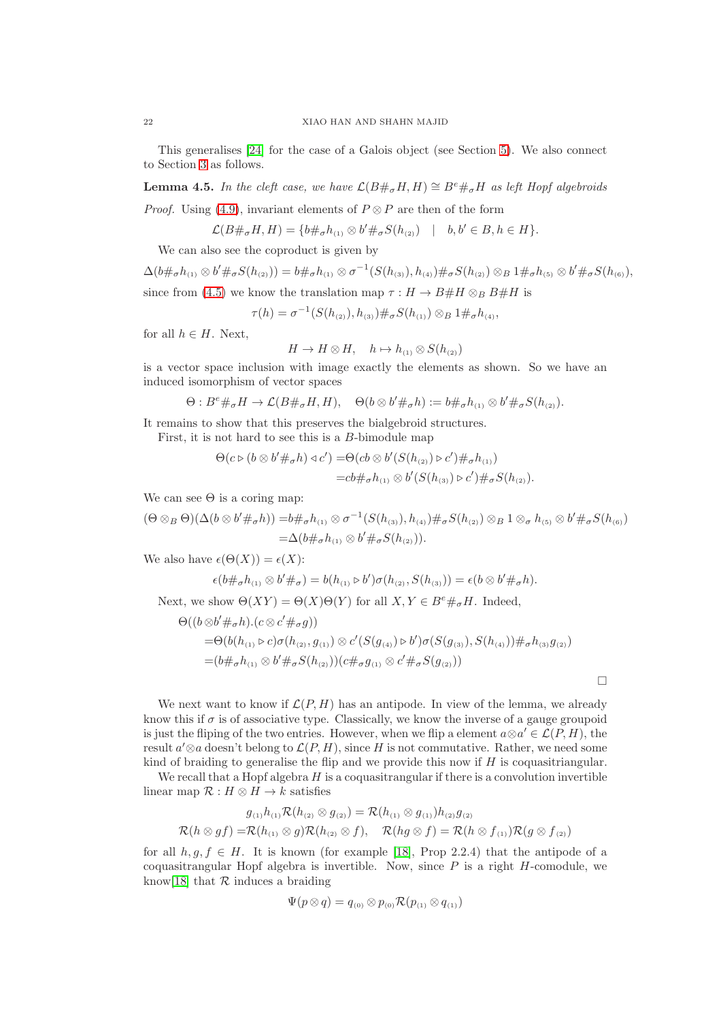This generalises [\[24\]](#page-26-3) for the case of a Galois object (see Section [5\)](#page-23-0). We also connect to Section [3](#page-6-0) as follows.

<span id="page-21-0"></span>**Lemma 4.5.** In the cleft case, we have  $\mathcal{L}(B \#_{\sigma} H, H) \cong B^e \#_{\sigma} H$  as left Hopf algebroids

*Proof.* Using [\(4.9\)](#page-20-1), invariant elements of  $P \otimes P$  are then of the form

$$
\mathcal{L}(B\#_{\sigma}H, H) = \{b\#_{\sigma}h_{(1)} \otimes b'\#_{\sigma}S(h_{(2)}) \mid b, b' \in B, h \in H\}.
$$

We can also see the coproduct is given by

$$
\Delta(b\#_{\sigma}h_{(1)}\otimes b'\#_{\sigma}S(h_{(2)}))=b\#_{\sigma}h_{(1)}\otimes \sigma^{-1}(S(h_{(3)}),h_{(4)})\#_{\sigma}S(h_{(2)})\otimes B_{1}\#_{\sigma}h_{(5)}\otimes b'\#_{\sigma}S(h_{(6)}),
$$
since from (4.5) we know the translation map  $\sigma: H \to B\# H \otimes B\# H$  is

since from [\(4.5\)](#page-18-4) we know the translation map  $\tau : H \to B \# H \otimes_B B \# H$  is

$$
\tau(h) = \sigma^{-1}(S(h_{(2)}), h_{(3)}) \#_{\sigma} S(h_{(1)}) \otimes_B 1 \#_{\sigma} h_{(4)},
$$

for all  $h \in H$ . Next,

$$
H \to H \otimes H, \quad h \mapsto h_{(1)} \otimes S(h_{(2)})
$$

is a vector space inclusion with image exactly the elements as shown. So we have an induced isomorphism of vector spaces

$$
\Theta: B^e \#_\sigma H \to \mathcal{L}(B \#_\sigma H, H), \quad \Theta(b \otimes b' \#_\sigma h) := b \#_\sigma h_{(1)} \otimes b' \#_\sigma S(h_{(2)}).
$$

It remains to show that this preserves the bialgebroid structures.

First, it is not hard to see this is a B-bimodule map

$$
\Theta(c \triangleright (b \otimes b' \#_{\sigma} h) \triangleleft c') = \Theta(c b \otimes b' (S(h_{(2)}) \triangleright c') \#_{\sigma} h_{(1)})
$$
  
=  $c b \#_{\sigma} h_{(1)} \otimes b' (S(h_{(3)}) \triangleright c') \#_{\sigma} S(h_{(2)}).$ 

We can see  $\Theta$  is a coring map:

$$
(\Theta \otimes_B \Theta)(\Delta(b \otimes b' \#_{\sigma} h)) = b \#_{\sigma} h_{(1)} \otimes \sigma^{-1}(S(h_{(3)}), h_{(4)}) \#_{\sigma} S(h_{(2)}) \otimes_B 1 \otimes_{\sigma} h_{(5)} \otimes b' \#_{\sigma} S(h_{(6)})
$$
  
=  $\Delta(b \#_{\sigma} h_{(1)} \otimes b' \#_{\sigma} S(h_{(2)})).$ 

We also have  $\epsilon(\Theta(X)) = \epsilon(X)$ :

$$
\epsilon(b\#_{\sigma}h_{(1)}\otimes b'\#_{\sigma})=b(h_{(1)}\triangleright b')\sigma(h_{(2)},S(h_{(3)}))=\epsilon(b\otimes b'\#_{\sigma}h).
$$

Next, we show  $\Theta(XY) = \Theta(X)\Theta(Y)$  for all  $X, Y \in B^e \#_\sigma H$ . Indeed,

$$
\Theta((b \otimes b' \#_{\sigma} h).(c \otimes c' \#_{\sigma} g))
$$
  
= $\Theta(b(h_{(1)} \triangleright c)\sigma(h_{(2)}, g_{(1)}) \otimes c'(S(g_{(4)}) \triangleright b')\sigma(S(g_{(3)}), S(h_{(4)})) \#_{\sigma} h_{(3)}g_{(2)})$   
= $(b \#_{\sigma} h_{(1)} \otimes b' \#_{\sigma} S(h_{(2)}))(c \#_{\sigma} g_{(1)} \otimes c' \#_{\sigma} S(g_{(2)}))$ 

 $\Box$ 

We next want to know if  $\mathcal{L}(P, H)$  has an antipode. In view of the lemma, we already know this if  $\sigma$  is of associative type. Classically, we know the inverse of a gauge groupoid is just the fliping of the two entries. However, when we flip a element  $a \otimes a' \in \mathcal{L}(P, H)$ , the result  $a' \otimes a$  doesn't belong to  $\mathcal{L}(P, H)$ , since H is not commutative. Rather, we need some kind of braiding to generalise the flip and we provide this now if  $H$  is coquasitriangular.

We recall that a Hopf algebra  $H$  is a coquasitrangular if there is a convolution invertible linear map  $\mathcal{R}: H \otimes H \to k$  satisfies

$$
g_{(1)}h_{(1)}\mathcal{R}(h_{(2)}\otimes g_{(2)})=\mathcal{R}(h_{(1)}\otimes g_{(1)})h_{(2)}g_{(2)}
$$
  

$$
\mathcal{R}(h\otimes gf)=\mathcal{R}(h_{(1)}\otimes g)\mathcal{R}(h_{(2)}\otimes f), \quad \mathcal{R}(hg\otimes f)=\mathcal{R}(h\otimes f_{(1)})\mathcal{R}(g\otimes f_{(2)})
$$

for all  $h, g, f \in H$ . It is known (for example [\[18\]](#page-26-6), Prop 2.2.4) that the antipode of a coquasitrangular Hopf algebra is invertible. Now, since  $P$  is a right  $H$ -comodule, we know<sup>[\[18\]](#page-26-6)</sup> that  $R$  induces a braiding

$$
\Psi(p\otimes q)=q_{\text{\tiny{(0)}}}\otimes p_{\text{\tiny{(0)}}}\mathcal{R}(p_{\text{\tiny{(1)}}}\otimes q_{\text{\tiny{(1)}}})
$$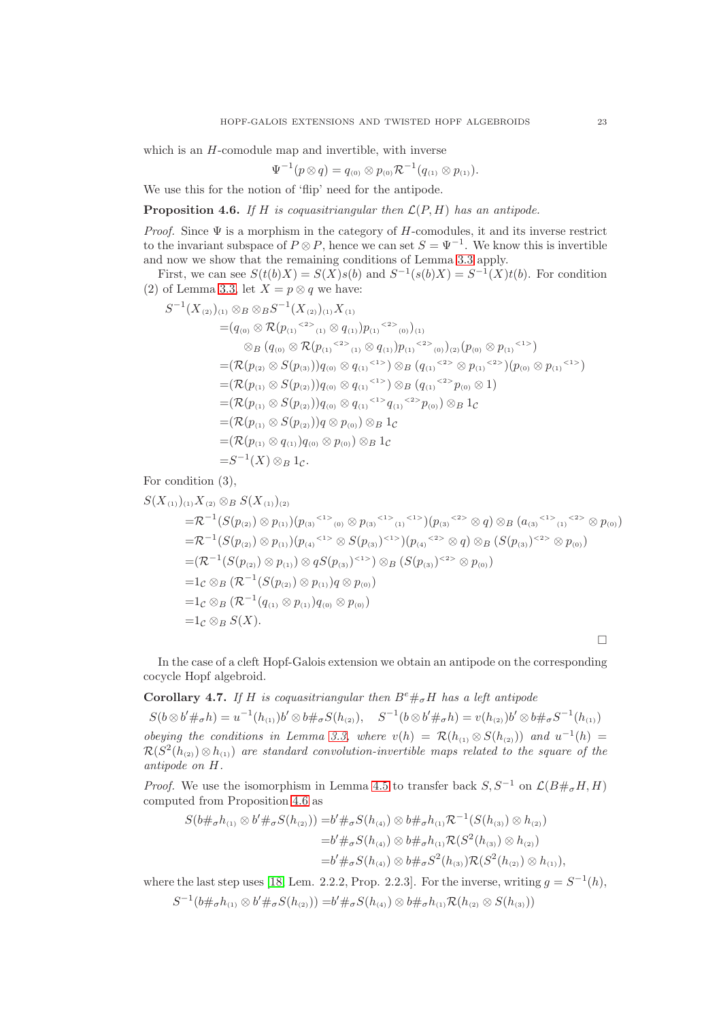which is an  $H$ -comodule map and invertible, with inverse

$$
\Psi^{-1}(p \otimes q) = q_{(0)} \otimes p_{(0)} \mathcal{R}^{-1}(q_{(1)} \otimes p_{(1)}).
$$

We use this for the notion of 'flip' need for the antipode.

<span id="page-22-0"></span>**Proposition 4.6.** If H is coquasitriangular then  $\mathcal{L}(P, H)$  has an antipode.

*Proof.* Since  $\Psi$  is a morphism in the category of H-comodules, it and its inverse restrict to the invariant subspace of  $P \otimes P$ , hence we can set  $S = \Psi^{-1}$ . We know this is invertible and now we show that the remaining conditions of Lemma [3.3](#page-7-0) apply.

First, we can see  $S(t(b)X) = S(X)s(b)$  and  $S^{-1}(s(b)X) = S^{-1}(X)t(b)$ . For condition (2) of Lemma [3.3,](#page-7-0) let  $X = p \otimes q$  we have:

$$
S^{-1}(X_{(2)})_{(1)} \otimes_{B} \otimes_{B} S^{-1}(X_{(2)})_{(1)} X_{(1)}
$$
  
\n
$$
= (q_{(0)} \otimes \mathcal{R}(p_{(1)} \otimes_{(1)} \otimes q_{(1)}) p_{(1)} \otimes_{(0)})_{(1)}
$$
  
\n
$$
\otimes_{B} (q_{(0)} \otimes \mathcal{R}(p_{(1)} \otimes_{(1)} \otimes q_{(1)}) p_{(1)} \otimes_{(0)})_{(2)} (p_{(0)} \otimes p_{(1)} \otimes_{(1)})
$$
  
\n
$$
= (\mathcal{R}(p_{(2)} \otimes S(p_{(3)})) q_{(0)} \otimes q_{(1)} \otimes_{(1)} \otimes_{(1)} \otimes_{(2)} \otimes p_{(1)} \otimes_{(2)}) (p_{(0)} \otimes p_{(1)} \otimes_{(1)})
$$
  
\n
$$
= (\mathcal{R}(p_{(1)} \otimes S(p_{(2)})) q_{(0)} \otimes q_{(1)} \otimes_{(1)} \otimes_{(2)} p_{(0)} \otimes_{(1)})
$$
  
\n
$$
= (\mathcal{R}(p_{(1)} \otimes S(p_{(2)})) q_{(0)} \otimes q_{(1)} \otimes_{(2)} \otimes_{(2)} p_{(0)}) \otimes_{B} 1_{C}
$$
  
\n
$$
= (\mathcal{R}(p_{(1)} \otimes S(p_{(2)})) q \otimes p_{(0)}) \otimes_{B} 1_{C}
$$
  
\n
$$
= (\mathcal{R}(p_{(1)} \otimes q_{(1)}) q_{(0)} \otimes p_{(0)}) \otimes_{B} 1_{C}
$$
  
\n
$$
= S^{-1}(X) \otimes_{B} 1_{C}.
$$

For condition (3),

$$
S(X_{(1)})_{(1)}X_{(2)} \otimes B S(X_{(1)})_{(2)}
$$
  
= $\mathcal{R}^{-1}(S(p_{(2)}) \otimes p_{(1)})(p_{(3)}^{(1)} \otimes p_{(3)}^{(1)} \otimes p_{(3)}^{(1)}) (p_{(3)}^{(2)} \otimes q) \otimes B (a_{(3)}^{(1)} \otimes p_{(0)})$   
= $\mathcal{R}^{-1}(S(p_{(2)}) \otimes p_{(1)})(p_{(4)}^{(1)} \otimes S(p_{(3)})^{(1)}) (p_{(4)}^{(2)} \otimes q) \otimes B (S(p_{(3)})^{(2)} \otimes p_{(0)})$   
= $(\mathcal{R}^{-1}(S(p_{(2)}) \otimes p_{(1)}) \otimes qS(p_{(3)})^{(1)} \otimes B (S(p_{(3)})^{(2)} \otimes p_{(0)})$   
= $1_{\mathcal{C}} \otimes B (\mathcal{R}^{-1}(S(p_{(2)}) \otimes p_{(1)}) q \otimes p_{(0)})$   
= $1_{\mathcal{C}} \otimes B (\mathcal{R}^{-1}(q_{(1)} \otimes p_{(1)}) q_{(0)} \otimes p_{(0)})$   
= $1_{\mathcal{C}} \otimes B S(X).$ 

In the case of a cleft Hopf-Galois extension we obtain an antipode on the corresponding cocycle Hopf algebroid.

# Corollary 4.7. If H is coquasitriangular then  $B^e\#_{\sigma}H$  has a left antipode

 $S(b \otimes b' \#_{\sigma} h) = u^{-1}(h_{(1)})b' \otimes b \#_{\sigma} S(h_{(2)}), \quad S^{-1}(b \otimes b' \#_{\sigma} h) = v(h_{(2)})b' \otimes b \#_{\sigma} S^{-1}(h_{(1)})$ obeying the conditions in Lemma [3.3,](#page-7-0) where  $v(h) = \mathcal{R}(h_{(1)} \otimes S(h_{(2)}))$  and  $u^{-1}(h) =$  $\mathcal{R}(S^2(h_{(2)}) \otimes h_{(1)})$  are standard convolution-invertible maps related to the square of the antipode on H.

*Proof.* We use the isomorphism in Lemma [4.5](#page-21-0) to transfer back  $S, S^{-1}$  on  $\mathcal{L}(B \#_{\sigma} H, H)$ computed from Proposition [4.6](#page-22-0) as

$$
S(b\#_{\sigma}h_{(1)} \otimes b'\#_{\sigma}S(h_{(2)})) = b'\#_{\sigma}S(h_{(4)}) \otimes b\#_{\sigma}h_{(1)}\mathcal{R}^{-1}(S(h_{(3)}) \otimes h_{(2)})
$$
  

$$
= b'\#_{\sigma}S(h_{(4)}) \otimes b\#_{\sigma}h_{(1)}\mathcal{R}(S^{2}(h_{(3)}) \otimes h_{(2)})
$$
  

$$
= b'\#_{\sigma}S(h_{(4)}) \otimes b\#_{\sigma}S^{2}(h_{(3)})\mathcal{R}(S^{2}(h_{(2)}) \otimes h_{(1)}),
$$

where the last step uses [\[18,](#page-26-6) Lem. 2.2.2, Prop. 2.2.3]. For the inverse, writing  $g = S^{-1}(h)$ ,

$$
S^{-1}(b\#_{\sigma}h_{(1)}\otimes b'\#_{\sigma}S(h_{(2)}))=b'\#_{\sigma}S(h_{(4)})\otimes b\#_{\sigma}h_{(1)}\mathcal{R}(h_{(2)}\otimes S(h_{(3)}))
$$

 $\Box$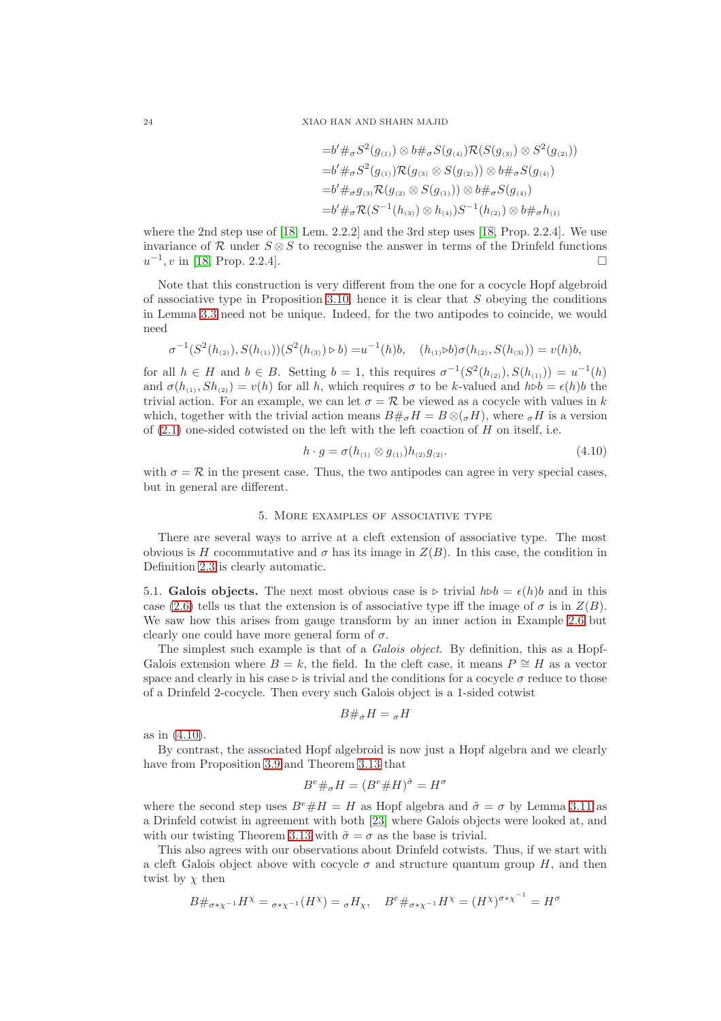$$
=b' \#_{\sigma} S^{2}(g_{(1)}) \otimes b \#_{\sigma} S(g_{(4)}) \mathcal{R}(S(g_{(3)}) \otimes S^{2}(g_{(2)}))
$$
  
\n
$$
=b' \#_{\sigma} S^{2}(g_{(1)}) \mathcal{R}(g_{(3)} \otimes S(g_{(2)})) \otimes b \#_{\sigma} S(g_{(4)})
$$
  
\n
$$
=b' \#_{\sigma} g_{(3)} \mathcal{R}(g_{(2)} \otimes S(g_{(1)})) \otimes b \#_{\sigma} S(g_{(4)})
$$
  
\n
$$
=b' \#_{\sigma} \mathcal{R}(S^{-1}(h_{(3)}) \otimes h_{(4)}) S^{-1}(h_{(2)}) \otimes b \#_{\sigma} h_{(1)}
$$

where the 2nd step use of [\[18,](#page-26-6) Lem. 2.2.2] and the 3rd step uses [\[18,](#page-26-6) Prop. 2.2.4]. We use invariance of R under  $S \otimes S$  to recognise the answer in terms of the Drinfeld functions  $u^{-1}$ , v in [\[18,](#page-26-6) Prop. 2.2.4].

Note that this construction is very different from the one for a cocycle Hopf algebroid of associative type in Proposition [3.10,](#page-12-0) hence it is clear that  $S$  obeying the conditions in Lemma [3.3](#page-7-0) need not be unique. Indeed, for the two antipodes to coincide, we would need

$$
\sigma^{-1}(S^2(h_{(2)}), S(h_{(1)}))(S^2(h_{(3)}) \triangleright b) = u^{-1}(h)b, \quad (h_{(1)} \triangleright b)\sigma(h_{(2)}, S(h_{(3)})) = v(h)b,
$$

for all  $h \in H$  and  $b \in B$ . Setting  $b = 1$ , this requires  $\sigma^{-1}(S^2(h_{(2)}), S(h_{(1)})) = u^{-1}(h)$ and  $\sigma(h_{(1)}, Sh_{(2)}) = v(h)$  for all h, which requires  $\sigma$  to be k-valued and  $h \triangleright b = \epsilon(h)b$  the trivial action. For an example, we can let  $\sigma = \mathcal{R}$  be viewed as a cocycle with values in k which, together with the trivial action means  $B#_{\sigma}H = B \otimes_{\sigma}H$ , where  $_{\sigma}H$  is a version of  $(2.1)$  one-sided cotwisted on the left with the left coaction of  $H$  on itself, i.e.

<span id="page-23-1"></span>
$$
h \cdot g = \sigma(h_{(1)} \otimes g_{(1)})h_{(2)}g_{(2)}.
$$
\n(4.10)

<span id="page-23-0"></span>with  $\sigma = \mathcal{R}$  in the present case. Thus, the two antipodes can agree in very special cases, but in general are different.

#### 5. More examples of associative type

There are several ways to arrive at a cleft extension of associative type. The most obvious is H cocommutative and  $\sigma$  has its image in  $Z(B)$ . In this case, the condition in Definition [2.3](#page-5-0) is clearly automatic.

5.1. Galois objects. The next most obvious case is ⊳ trivial  $h \triangleright b = \epsilon(h)b$  and in this case [\(2.6\)](#page-5-2) tells us that the extension is of associative type iff the image of  $\sigma$  is in  $Z(B)$ . We saw how this arises from gauge transform by an inner action in Example [2.6](#page-5-4) but clearly one could have more general form of  $\sigma$ .

The simplest such example is that of a *Galois object*. By definition, this as a Hopf-Galois extension where  $B = k$ , the field. In the cleft case, it means  $P \cong H$  as a vector space and clearly in his case ⊳ is trivial and the conditions for a cocycle  $\sigma$  reduce to those of a Drinfeld 2-cocycle. Then every such Galois object is a 1-sided cotwist

$$
B\#_{\sigma}H=\sigma H
$$

as in [\(4.10\)](#page-23-1).

By contrast, the associated Hopf algebroid is now just a Hopf algebra and we clearly have from Proposition [3.9](#page-11-0) and Theorem [3.13](#page-16-0) that

$$
B^e \#_\sigma H = (B^e \# H)^{\tilde{\sigma}} = H^{\sigma}
$$

where the second step uses  $B^e \# H = H$  as Hopf algebra and  $\tilde{\sigma} = \sigma$  by Lemma [3.11](#page-13-0) as a Drinfeld cotwist in agreement with both [\[23\]](#page-26-1) where Galois objects were looked at, and with our twisting Theorem [3.13](#page-16-0) with  $\tilde{\sigma} = \sigma$  as the base is trivial.

This also agrees with our observations about Drinfeld cotwists. Thus, if we start with a cleft Galois object above with cocycle  $\sigma$  and structure quantum group H, and then twist by  $\chi$  then

$$
B\#_{\sigma^*\chi^{-1}}H^\chi = {}_{\sigma^*\chi^{-1}}(H^\chi) = {}_\sigma H_\chi, \quad B^e \#_{\sigma^*\chi^{-1}}H^\chi = (H^\chi)^{\sigma^*\chi^{-1}} = H^\sigma
$$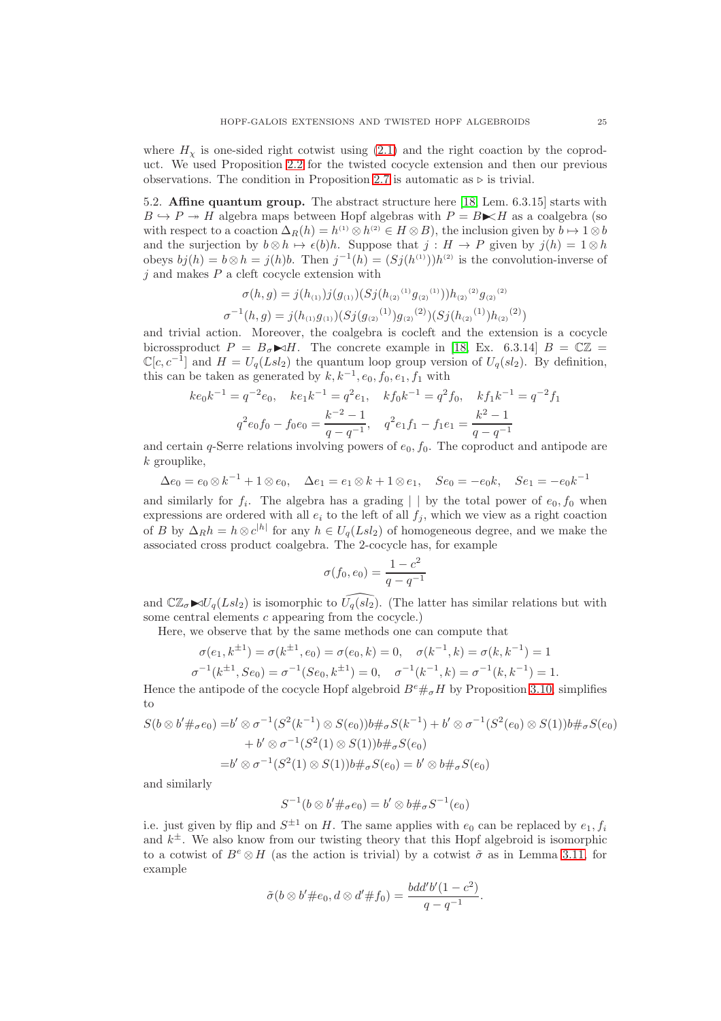where  $H<sub>\chi</sub>$  is one-sided right cotwist using [\(2.1\)](#page-2-2) and the right coaction by the coproduct. We used Proposition [2.2](#page-3-2) for the twisted cocycle extension and then our previous observations. The condition in Proposition [2.7](#page-6-2) is automatic as  $\triangleright$  is trivial.

5.2. Affine quantum group. The abstract structure here [\[18,](#page-26-6) Lem. 6.3.15] starts with  $B \hookrightarrow P \twoheadrightarrow H$  algebra maps between Hopf algebras with  $P = B \ltimes H$  as a coalgebra (so with respect to a coaction  $\Delta_R(h) = h^{(1)} \otimes h^{(2)} \in H \otimes B$ , the inclusion given by  $b \mapsto 1 \otimes b$ and the surjection by  $b \otimes h \mapsto \epsilon(b)h$ . Suppose that  $j : H \to P$  given by  $j(h) = 1 \otimes h$ obeys  $bj(h) = b \otimes h = j(h)b$ . Then  $j^{-1}(h) = (Sj(h^{(1)}))h^{(2)}$  is the convolution-inverse of  $i$  and makes  $P$  a cleft cocycle extension with

$$
\sigma(h,g) = j(h_{(1)})j(g_{(1)}) (Sj(h_{(2)}^{(1)}g_{(2)}^{(1)}))h_{(2)}^{(2)}g_{(2)}^{(2)}
$$

$$
\sigma^{-1}(h,g) = j(h_{(1)}g_{(1)}) (Sj(g_{(2)}^{(1)})g_{(2)}^{(2)}) (Sj(h_{(2)}^{(1)})h_{(2)}^{(2)})
$$

and trivial action. Moreover, the coalgebra is cocleft and the extension is a cocycle bicrossproduct  $P = B_{\sigma} \blacktriangleright dH$ . The concrete example in [\[18,](#page-26-6) Ex. 6.3.14]  $B = \mathbb{C}\mathbb{Z} =$  $\mathbb{C}[c, c^{-1}]$  and  $H = U_q(Lsl_2)$  the quantum loop group version of  $U_q(sl_2)$ . By definition, this can be taken as generated by  $k, k^{-1}, e_0, f_0, e_1, f_1$  with

$$
ke_0k^{-1} = q^{-2}e_0
$$
,  $ke_1k^{-1} = q^2e_1$ ,  $kf_0k^{-1} = q^2f_0$ ,  $kf_1k^{-1} = q^{-2}f_1$   
 $q^2e_0f_0 - f_0e_0 = \frac{k^{-2} - 1}{q - q^{-1}}$ ,  $q^2e_1f_1 - f_1e_1 = \frac{k^2 - 1}{q - q^{-1}}$ 

and certain q-Serre relations involving powers of  $e_0$ ,  $f_0$ . The coproduct and antipode are  $k$  grouplike.

 $\Delta e_0 = e_0 \otimes k^{-1} + 1 \otimes e_0$ ,  $\Delta e_1 = e_1 \otimes k + 1 \otimes e_1$ ,  $Se_0 = -e_0k$ ,  $Se_1 = -e_0k^{-1}$ 

and similarly for  $f_i$ . The algebra has a grading  $|\;|$  by the total power of  $e_0, f_0$  when expressions are ordered with all  $e_i$  to the left of all  $f_j$ , which we view as a right coaction of B by  $\Delta_R h = h \otimes c^{|h|}$  for any  $h \in U_q(Lsl_2)$  of homogeneous degree, and we make the associated cross product coalgebra. The 2-cocycle has, for example

$$
\sigma(f_0, e_0) = \frac{1 - c^2}{q - q^{-1}}
$$

and  $\mathbb{C}\mathbb{Z}_{\sigma}\blacktriangleright U_q(Lsl_2)$  is isomorphic to  $\widehat{U_q(sl_2)}$ . (The latter has similar relations but with some central elements c appearing from the cocycle.)

Here, we observe that by the same methods one can compute that

$$
\sigma(e_1, k^{\pm 1}) = \sigma(k^{\pm 1}, e_0) = \sigma(e_0, k) = 0, \quad \sigma(k^{-1}, k) = \sigma(k, k^{-1}) = 1
$$
  

$$
\sigma^{-1}(k^{\pm 1}, S e_0) = \sigma^{-1}(S e_0, k^{\pm 1}) = 0, \quad \sigma^{-1}(k^{-1}, k) = \sigma^{-1}(k, k^{-1}) = 1.
$$

Hence the antipode of the cocycle Hopf algebroid  $B^e\#_\sigma H$  by Proposition [3.10,](#page-12-0) simplifies to

$$
S(b \otimes b' \#_{\sigma} e_0) = b' \otimes \sigma^{-1}(S^2(k^{-1}) \otimes S(e_0))b \#_{\sigma} S(k^{-1}) + b' \otimes \sigma^{-1}(S^2(e_0) \otimes S(1))b \#_{\sigma} S(e_0)
$$
  
+  $b' \otimes \sigma^{-1}(S^2(1) \otimes S(1))b \#_{\sigma} S(e_0)$   
=  $b' \otimes \sigma^{-1}(S^2(1) \otimes S(1))b \#_{\sigma} S(e_0) = b' \otimes b \#_{\sigma} S(e_0)$ 

and similarly

$$
S^{-1}(b \otimes b' \#_{\sigma} e_0) = b' \otimes b \#_{\sigma} S^{-1}(e_0)
$$

i.e. just given by flip and  $S^{\pm 1}$  on H. The same applies with  $e_0$  can be replaced by  $e_1, f_i$ and  $k^{\pm}$ . We also know from our twisting theory that this Hopf algebroid is isomorphic to a cotwist of  $B^e \otimes H$  (as the action is trivial) by a cotwist  $\tilde{\sigma}$  as in Lemma [3.11,](#page-13-0) for example

$$
\tilde{\sigma}(b \otimes b' \# e_0, d \otimes d' \# f_0) = \frac{b d d' b' (1 - c^2)}{q - q^{-1}}.
$$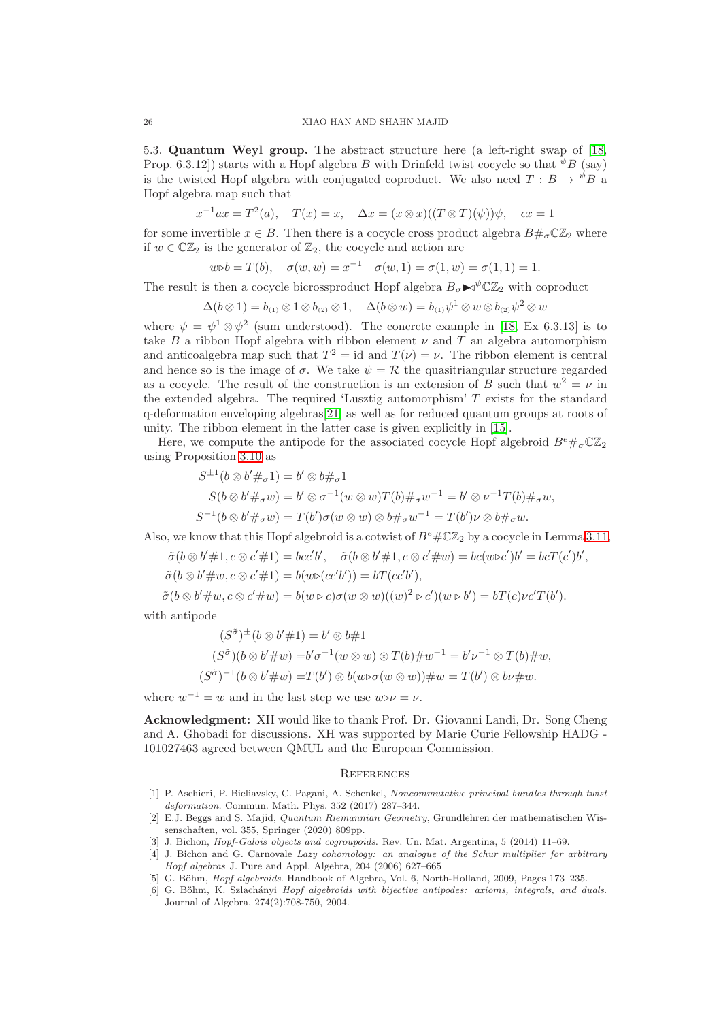5.3. Quantum Weyl group. The abstract structure here (a left-right swap of [\[18,](#page-26-6) Prop. 6.3.12) starts with a Hopf algebra B with Drinfeld twist cocycle so that  ${}^{\psi}B$  (say) is the twisted Hopf algebra with conjugated coproduct. We also need  $T : B \to {}^{\psi}B$  a Hopf algebra map such that

$$
x^{-1}ax = T^2(a)
$$
,  $T(x) = x$ ,  $\Delta x = (x \otimes x)((T \otimes T)(\psi))\psi$ ,  $\epsilon x = 1$ 

for some invertible  $x \in B$ . Then there is a cocycle cross product algebra  $B \#_{\sigma} \mathbb{C} \mathbb{Z}_2$  where if  $w \in \mathbb{CZ}_2$  is the generator of  $\mathbb{Z}_2$ , the cocycle and action are

$$
w \triangleright b = T(b), \quad \sigma(w, w) = x^{-1} \quad \sigma(w, 1) = \sigma(1, w) = \sigma(1, 1) = 1.
$$

The result is then a cocycle bicrossproduct Hopf algebra  $B_{\sigma} \blacktriangleright \sqrt{\mathbb{C}} \mathbb{Z}_2$  with coproduct

$$
\Delta(b\otimes 1)=b_{(1)}\otimes 1\otimes b_{(2)}\otimes 1, \quad \Delta(b\otimes w)=b_{(1)}\psi^1\otimes w\otimes b_{(2)}\psi^2\otimes w
$$

where  $\psi = \psi^1 \otimes \psi^2$  (sum understood). The concrete example in [\[18,](#page-26-6) Ex 6.3.13] is to take B a ribbon Hopf algebra with ribbon element  $\nu$  and T an algebra automorphism and anticoalgebra map such that  $T^2 = id$  and  $T(\nu) = \nu$ . The ribbon element is central and hence so is the image of  $\sigma$ . We take  $\psi = \mathcal{R}$  the quasitriangular structure regarded as a cocycle. The result of the construction is an extension of B such that  $w^2 = \nu$  in the extended algebra. The required 'Lusztig automorphism'  $T$  exists for the standard q-deformation enveloping algebras[\[21\]](#page-26-13) as well as for reduced quantum groups at roots of unity. The ribbon element in the latter case is given explicitly in [\[15\]](#page-26-14).

Here, we compute the antipode for the associated cocycle Hopf algebroid  $B^e\#_\sigma \mathbb{C} \mathbb{Z}_2$ using Proposition [3.10](#page-12-0) as

$$
S^{\pm 1}(b \otimes b' \#_{\sigma} 1) = b' \otimes b \#_{\sigma} 1
$$
  
\n
$$
S(b \otimes b' \#_{\sigma} w) = b' \otimes \sigma^{-1}(w \otimes w)T(b) \#_{\sigma} w^{-1} = b' \otimes \nu^{-1}T(b) \#_{\sigma} w,
$$
  
\n
$$
S^{-1}(b \otimes b' \#_{\sigma} w) = T(b')\sigma(w \otimes w) \otimes b \#_{\sigma} w^{-1} = T(b')\nu \otimes b \#_{\sigma} w.
$$

Also, we know that this Hopf algebroid is a cotwist of  $B^e \# \mathbb{C} \mathbb{Z}_2$  by a cocycle in Lemma [3.11,](#page-13-0)

 $\tilde{\sigma}(b \otimes b' \# 1, c \otimes c' \# 1) = bcc'b', \quad \tilde{\sigma}(b \otimes b' \# 1, c \otimes c' \# w) = bc(w \triangleright c')b' = bcT(c')b',$ 

$$
\tilde{\sigma}(b \otimes b' \# w, c \otimes c' \# 1) = b(w \triangleright (cc'b')) = bT(cc'b'),
$$

 $\tilde{\sigma}(b \otimes b' \# w, c \otimes c' \# w) = b(w \triangleright c)\sigma(w \otimes w)((w)^2 \triangleright c')(w \triangleright b') = bT(c)\nu c'T(b').$ 

with antipode

$$
(S^{\tilde{\sigma}})^{\pm}(b \otimes b' \# 1) = b' \otimes b \# 1
$$
  
\n
$$
(S^{\tilde{\sigma}})(b \otimes b' \# w) = b'\sigma^{-1}(w \otimes w) \otimes T(b) \# w^{-1} = b'\nu^{-1} \otimes T(b) \# w,
$$
  
\n
$$
(S^{\tilde{\sigma}})^{-1}(b \otimes b' \# w) = T(b') \otimes b(w \triangleright \sigma(w \otimes w)) \# w = T(b') \otimes b \nu \# w.
$$

where  $w^{-1} = w$  and in the last step we use  $w \triangleright \nu = \nu$ .

Acknowledgment: XH would like to thank Prof. Dr. Giovanni Landi, Dr. Song Cheng and A. Ghobadi for discussions. XH was supported by Marie Curie Fellowship HADG - 101027463 agreed between QMUL and the European Commission.

## **REFERENCES**

- <span id="page-25-4"></span>[1] P. Aschieri, P. Bieliavsky, C. Pagani, A. Schenkel, Noncommutative principal bundles through twist deformation. Commun. Math. Phys. 352 (2017) 287–344.
- <span id="page-25-0"></span>[2] E.J. Beggs and S. Majid, Quantum Riemannian Geometry, Grundlehren der mathematischen Wissenschaften, vol. 355, Springer (2020) 809pp.
- <span id="page-25-3"></span>[3] J. Bichon, Hopf-Galois objects and cogroupoids. Rev. Un. Mat. Argentina, 5 (2014) 11–69.
- [4] J. Bichon and G. Carnovale Lazy cohomology: an analogue of the Schur multiplier for arbitrary Hopf algebras J. Pure and Appl. Algebra, 204 (2006) 627–665
- <span id="page-25-2"></span><span id="page-25-1"></span>[5] G. Böhm, *Hopf algebroids*. Handbook of Algebra, Vol. 6, North-Holland, 2009, Pages 173–235.
- [6] G. Böhm, K. Szlachányi Hopf algebroids with bijective antipodes: axioms, integrals, and duals. Journal of Algebra, 274(2):708-750, 2004.